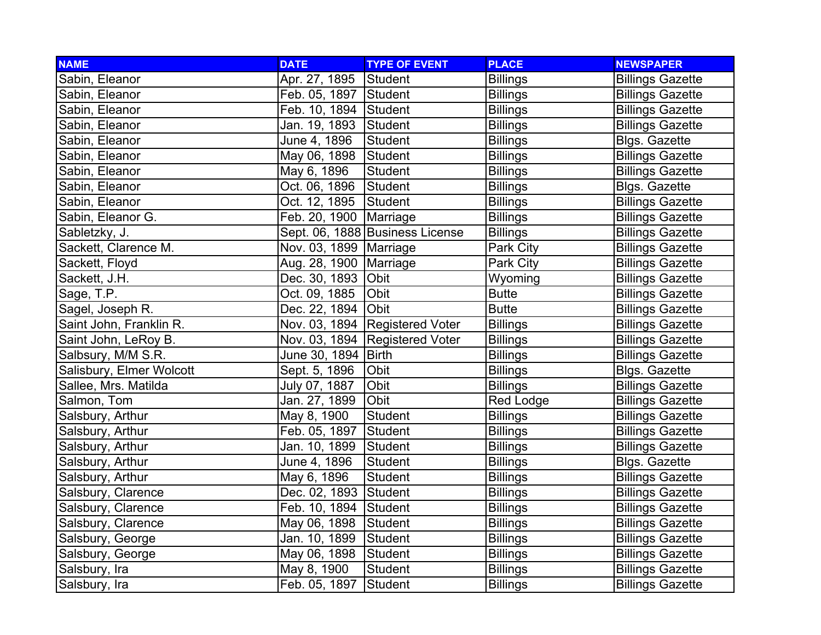| <b>NAME</b>              | <b>DATE</b>              | <b>TYPE OF EVENT</b>            | <b>PLACE</b>    | <b>NEWSPAPER</b>        |
|--------------------------|--------------------------|---------------------------------|-----------------|-------------------------|
| Sabin, Eleanor           | Apr. 27, 1895            | Student                         | <b>Billings</b> | <b>Billings Gazette</b> |
| Sabin, Eleanor           | Feb. 05, 1897 Student    |                                 | <b>Billings</b> | <b>Billings Gazette</b> |
| Sabin, Eleanor           | Feb. 10, 1894 Student    |                                 | <b>Billings</b> | <b>Billings Gazette</b> |
| Sabin, Eleanor           | Jan. 19, 1893 Student    |                                 | <b>Billings</b> | <b>Billings Gazette</b> |
| Sabin, Eleanor           | June 4, 1896             | <b>Student</b>                  | <b>Billings</b> | Blgs. Gazette           |
| Sabin, Eleanor           | May 06, 1898             | Student                         | <b>Billings</b> | <b>Billings Gazette</b> |
| Sabin, Eleanor           | May 6, 1896              | Student                         | <b>Billings</b> | <b>Billings Gazette</b> |
| Sabin, Eleanor           | Oct. 06, 1896            | Student                         | <b>Billings</b> | Blgs. Gazette           |
| Sabin, Eleanor           | Oct. 12, 1895            | Student                         | <b>Billings</b> | <b>Billings Gazette</b> |
| Sabin, Eleanor G.        | Feb. 20, 1900            | Marriage                        | <b>Billings</b> | <b>Billings Gazette</b> |
| Sabletzky, J.            |                          | Sept. 06, 1888 Business License | <b>Billings</b> | <b>Billings Gazette</b> |
| Sackett, Clarence M.     | Nov. 03, 1899   Marriage |                                 | Park City       | <b>Billings Gazette</b> |
| Sackett, Floyd           | Aug. 28, 1900   Marriage |                                 | Park City       | <b>Billings Gazette</b> |
| Sackett, J.H.            | Dec. 30, 1893 Obit       |                                 | Wyoming         | <b>Billings Gazette</b> |
| Sage, T.P.               | Oct. 09, 1885            | Obit                            | <b>Butte</b>    | <b>Billings Gazette</b> |
| Sagel, Joseph R.         | Dec. 22, 1894 Obit       |                                 | <b>Butte</b>    | <b>Billings Gazette</b> |
| Saint John, Franklin R.  |                          | Nov. 03, 1894 Registered Voter  | <b>Billings</b> | <b>Billings Gazette</b> |
| Saint John, LeRoy B.     |                          | Nov. 03, 1894 Registered Voter  | <b>Billings</b> | <b>Billings Gazette</b> |
| Salbsury, M/M S.R.       | June 30, 1894 Birth      |                                 | <b>Billings</b> | <b>Billings Gazette</b> |
| Salisbury, Elmer Wolcott | Sept. 5, 1896            | Obit                            | <b>Billings</b> | <b>Blgs. Gazette</b>    |
| Sallee, Mrs. Matilda     | July 07, 1887            | Obit                            | <b>Billings</b> | <b>Billings Gazette</b> |
| Salmon, Tom              | Jan. 27, 1899            | Obit                            | Red Lodge       | <b>Billings Gazette</b> |
| Salsbury, Arthur         | May 8, 1900              | Student                         | <b>Billings</b> | <b>Billings Gazette</b> |
| Salsbury, Arthur         | Feb. 05, 1897            | <b>Student</b>                  | <b>Billings</b> | <b>Billings Gazette</b> |
| Salsbury, Arthur         | Jan. 10, 1899            | Student                         | <b>Billings</b> | <b>Billings Gazette</b> |
| Salsbury, Arthur         | June 4, 1896             | Student                         | <b>Billings</b> | Blgs. Gazette           |
| Salsbury, Arthur         | May 6, 1896              | <b>Student</b>                  | <b>Billings</b> | <b>Billings Gazette</b> |
| Salsbury, Clarence       | Dec. 02, 1893            | Student                         | <b>Billings</b> | <b>Billings Gazette</b> |
| Salsbury, Clarence       | Feb. 10, 1894 Student    |                                 | <b>Billings</b> | <b>Billings Gazette</b> |
| Salsbury, Clarence       | May 06, 1898             | Student                         | <b>Billings</b> | <b>Billings Gazette</b> |
| Salsbury, George         | Jan. 10, 1899            | Student                         | <b>Billings</b> | <b>Billings Gazette</b> |
| Salsbury, George         | May 06, 1898             | Student                         | <b>Billings</b> | <b>Billings Gazette</b> |
| Salsbury, Ira            | May 8, 1900              | Student                         | <b>Billings</b> | <b>Billings Gazette</b> |
| Salsbury, Ira            | Feb. 05, 1897            | Student                         | <b>Billings</b> | <b>Billings Gazette</b> |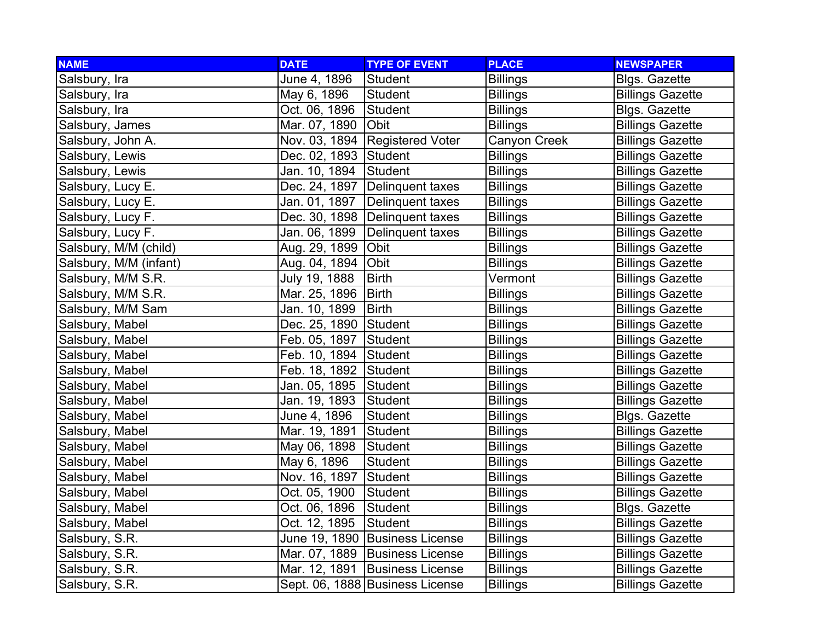| <b>NAME</b>            | <b>DATE</b>           | <b>TYPE OF EVENT</b>             | <b>PLACE</b>    | <b>NEWSPAPER</b>        |
|------------------------|-----------------------|----------------------------------|-----------------|-------------------------|
| Salsbury, Ira          | June 4, 1896          | <b>Student</b>                   | <b>Billings</b> | <b>Blgs. Gazette</b>    |
| Salsbury, Ira          | May 6, 1896           | <b>Student</b>                   | <b>Billings</b> | <b>Billings Gazette</b> |
| Salsbury, Ira          | Oct. 06, 1896         | Student                          | <b>Billings</b> | <b>Blgs. Gazette</b>    |
| Salsbury, James        | Mar. 07, 1890         | Obit                             | <b>Billings</b> | <b>Billings Gazette</b> |
| Salsbury, John A.      |                       | Nov. 03, 1894 Registered Voter   | Canyon Creek    | <b>Billings Gazette</b> |
| Salsbury, Lewis        | Dec. 02, 1893 Student |                                  | <b>Billings</b> | <b>Billings Gazette</b> |
| Salsbury, Lewis        | Jan. 10, 1894         | Student                          | <b>Billings</b> | <b>Billings Gazette</b> |
| Salsbury, Lucy E.      |                       | Dec. 24, 1897   Delinquent taxes | <b>Billings</b> | <b>Billings Gazette</b> |
| Salsbury, Lucy E.      | Jan. 01, 1897         | Delinquent taxes                 | <b>Billings</b> | <b>Billings Gazette</b> |
| Salsbury, Lucy F.      |                       | Dec. 30, 1898 Delinquent taxes   | <b>Billings</b> | <b>Billings Gazette</b> |
| Salsbury, Lucy F.      | Jan. 06, 1899         | Delinquent taxes                 | <b>Billings</b> | <b>Billings Gazette</b> |
| Salsbury, M/M (child)  | Aug. 29, 1899         | Obit                             | <b>Billings</b> | <b>Billings Gazette</b> |
| Salsbury, M/M (infant) | Aug. 04, 1894         | Obit                             | <b>Billings</b> | <b>Billings Gazette</b> |
| Salsbury, M/M S.R.     | July 19, 1888         | <b>Birth</b>                     | Vermont         | <b>Billings Gazette</b> |
| Salsbury, M/M S.R.     | Mar. 25, 1896         | Birth                            | <b>Billings</b> | <b>Billings Gazette</b> |
| Salsbury, M/M Sam      | Jan. 10, 1899         | Birth                            | <b>Billings</b> | <b>Billings Gazette</b> |
| Salsbury, Mabel        | Dec. 25, 1890 Student |                                  | <b>Billings</b> | <b>Billings Gazette</b> |
| Salsbury, Mabel        | Feb. 05, 1897         | Student                          | <b>Billings</b> | <b>Billings Gazette</b> |
| Salsbury, Mabel        | Feb. 10, 1894         | Student                          | <b>Billings</b> | <b>Billings Gazette</b> |
| Salsbury, Mabel        | Feb. 18, 1892 Student |                                  | <b>Billings</b> | <b>Billings Gazette</b> |
| Salsbury, Mabel        | Jan. 05, 1895         | Student                          | <b>Billings</b> | <b>Billings Gazette</b> |
| Salsbury, Mabel        | Jan. 19, 1893         | Student                          | <b>Billings</b> | <b>Billings Gazette</b> |
| Salsbury, Mabel        | June 4, 1896          | Student                          | <b>Billings</b> | <b>Blgs. Gazette</b>    |
| Salsbury, Mabel        | Mar. 19, 1891         | Student                          | <b>Billings</b> | <b>Billings Gazette</b> |
| Salsbury, Mabel        | May 06, 1898          | Student                          | <b>Billings</b> | <b>Billings Gazette</b> |
| Salsbury, Mabel        | May 6, 1896           | Student                          | <b>Billings</b> | <b>Billings Gazette</b> |
| Salsbury, Mabel        | Nov. 16, 1897         | Student                          | <b>Billings</b> | <b>Billings Gazette</b> |
| Salsbury, Mabel        | Oct. 05, 1900         | Student                          | <b>Billings</b> | <b>Billings Gazette</b> |
| Salsbury, Mabel        | Oct. 06, 1896         | Student                          | <b>Billings</b> | <b>Blgs. Gazette</b>    |
| Salsbury, Mabel        | Oct. 12, 1895         | Student                          | <b>Billings</b> | <b>Billings Gazette</b> |
| Salsbury, S.R.         |                       | June 19, 1890 Business License   | <b>Billings</b> | <b>Billings Gazette</b> |
| Salsbury, S.R.         |                       | Mar. 07, 1889 Business License   | <b>Billings</b> | <b>Billings Gazette</b> |
| Salsbury, S.R.         | Mar. 12, 1891         | <b>Business License</b>          | <b>Billings</b> | <b>Billings Gazette</b> |
| Salsbury, S.R.         |                       | Sept. 06, 1888 Business License  | <b>Billings</b> | <b>Billings Gazette</b> |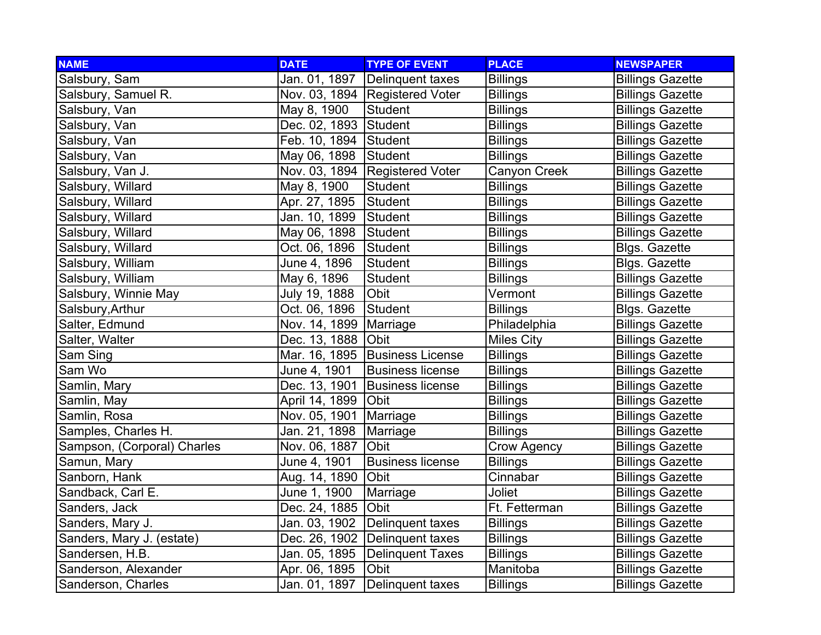| <b>NAME</b>                 | <b>DATE</b>           | <b>TYPE OF EVENT</b>             | <b>PLACE</b>       | <b>NEWSPAPER</b>        |
|-----------------------------|-----------------------|----------------------------------|--------------------|-------------------------|
| Salsbury, Sam               | Jan. 01, 1897         | Delinquent taxes                 | <b>Billings</b>    | <b>Billings Gazette</b> |
| Salsbury, Samuel R.         |                       | Nov. 03, 1894   Registered Voter | <b>Billings</b>    | <b>Billings Gazette</b> |
| Salsbury, Van               | May 8, 1900           | <b>Student</b>                   | <b>Billings</b>    | <b>Billings Gazette</b> |
| Salsbury, Van               | Dec. 02, 1893 Student |                                  | <b>Billings</b>    | <b>Billings Gazette</b> |
| Salsbury, Van               | Feb. 10, 1894 Student |                                  | <b>Billings</b>    | <b>Billings Gazette</b> |
| Salsbury, Van               | May 06, 1898          | Student                          | <b>Billings</b>    | <b>Billings Gazette</b> |
| Salsbury, Van J.            |                       | Nov. 03, 1894 Registered Voter   | Canyon Creek       | <b>Billings Gazette</b> |
| Salsbury, Willard           | May 8, 1900           | <b>Student</b>                   | <b>Billings</b>    | <b>Billings Gazette</b> |
| Salsbury, Willard           | Apr. 27, 1895         | Student                          | <b>Billings</b>    | <b>Billings Gazette</b> |
| Salsbury, Willard           | Jan. 10, 1899         | Student                          | <b>Billings</b>    | <b>Billings Gazette</b> |
| Salsbury, Willard           | May 06, 1898          | Student                          | <b>Billings</b>    | <b>Billings Gazette</b> |
| Salsbury, Willard           | Oct. 06, 1896         | Student                          | <b>Billings</b>    | Blgs. Gazette           |
| Salsbury, William           | June 4, 1896          | Student                          | <b>Billings</b>    | <b>Blgs. Gazette</b>    |
| Salsbury, William           | May 6, 1896           | Student                          | <b>Billings</b>    | <b>Billings Gazette</b> |
| Salsbury, Winnie May        | July 19, 1888         | Obit                             | Vermont            | <b>Billings Gazette</b> |
| Salsbury, Arthur            | Oct. 06, 1896         | Student                          | <b>Billings</b>    | Blgs. Gazette           |
| Salter, Edmund              | Nov. 14, 1899         | Marriage                         | Philadelphia       | <b>Billings Gazette</b> |
| Salter, Walter              | Dec. 13, 1888         | <b>Obit</b>                      | <b>Miles City</b>  | <b>Billings Gazette</b> |
| Sam Sing                    |                       | Mar. 16, 1895 Business License   | <b>Billings</b>    | <b>Billings Gazette</b> |
| Sam Wo                      | June 4, 1901          | <b>Business license</b>          | <b>Billings</b>    | <b>Billings Gazette</b> |
| Samlin, Mary                | Dec. 13, 1901         | <b>Business license</b>          | <b>Billings</b>    | <b>Billings Gazette</b> |
| Samlin, May                 | April 14, 1899        | Obit                             | <b>Billings</b>    | <b>Billings Gazette</b> |
| Samlin, Rosa                | Nov. 05, 1901         | Marriage                         | <b>Billings</b>    | <b>Billings Gazette</b> |
| Samples, Charles H.         | Jan. 21, 1898         | Marriage                         | <b>Billings</b>    | <b>Billings Gazette</b> |
| Sampson, (Corporal) Charles | Nov. 06, 1887         | Obit                             | <b>Crow Agency</b> | <b>Billings Gazette</b> |
| Samun, Mary                 | June 4, 1901          | <b>Business license</b>          | <b>Billings</b>    | <b>Billings Gazette</b> |
| Sanborn, Hank               | Aug. 14, 1890         | Obit                             | Cinnabar           | <b>Billings Gazette</b> |
| Sandback, Carl E.           | June 1, 1900          | Marriage                         | Joliet             | <b>Billings Gazette</b> |
| Sanders, Jack               | Dec. 24, 1885         | Obit                             | Ft. Fetterman      | <b>Billings Gazette</b> |
| Sanders, Mary J.            | Jan. 03, 1902         | Delinquent taxes                 | <b>Billings</b>    | <b>Billings Gazette</b> |
| Sanders, Mary J. (estate)   | Dec. 26, 1902         | Delinquent taxes                 | <b>Billings</b>    | <b>Billings Gazette</b> |
| Sandersen, H.B.             | Jan. 05, 1895         | Delinquent Taxes                 | <b>Billings</b>    | <b>Billings Gazette</b> |
| Sanderson, Alexander        | Apr. 06, 1895         | Obit                             | Manitoba           | <b>Billings Gazette</b> |
| Sanderson, Charles          | Jan. 01, 1897         | Delinquent taxes                 | <b>Billings</b>    | <b>Billings Gazette</b> |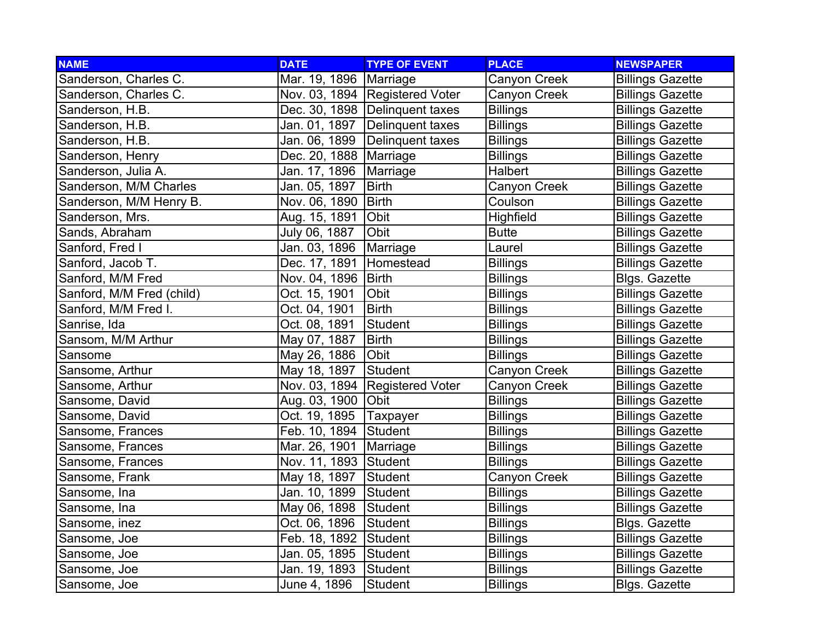| <b>NAME</b>               | <b>DATE</b>              | <b>TYPE OF EVENT</b>           | <b>PLACE</b>     | <b>NEWSPAPER</b>        |
|---------------------------|--------------------------|--------------------------------|------------------|-------------------------|
| Sanderson, Charles C.     | Mar. 19, 1896            | Marriage                       | Canyon Creek     | <b>Billings Gazette</b> |
| Sanderson, Charles C.     |                          | Nov. 03, 1894 Registered Voter | Canyon Creek     | <b>Billings Gazette</b> |
| Sanderson, H.B.           |                          | Dec. 30, 1898 Delinquent taxes | <b>Billings</b>  | <b>Billings Gazette</b> |
| Sanderson, H.B.           |                          | Jan. 01, 1897 Delinquent taxes | <b>Billings</b>  | <b>Billings Gazette</b> |
| Sanderson, H.B.           | Jan. 06, 1899            | Delinquent taxes               | <b>Billings</b>  | <b>Billings Gazette</b> |
| Sanderson, Henry          | Dec. 20, 1888   Marriage |                                | <b>Billings</b>  | <b>Billings Gazette</b> |
| Sanderson, Julia A.       | Jan. 17, 1896            | Marriage                       | Halbert          | <b>Billings Gazette</b> |
| Sanderson, M/M Charles    | Jan. 05, 1897            | <b>Birth</b>                   | Canyon Creek     | <b>Billings Gazette</b> |
| Sanderson, M/M Henry B.   | Nov. 06, 1890            | <b>Birth</b>                   | Coulson          | <b>Billings Gazette</b> |
| Sanderson, Mrs.           | Aug. 15, 1891            | Obit                           | <b>Highfield</b> | <b>Billings Gazette</b> |
| Sands, Abraham            | July 06, 1887            | Obit                           | <b>Butte</b>     | <b>Billings Gazette</b> |
| Sanford, Fred I           | Jan. 03, 1896            | Marriage                       | Laurel           | <b>Billings Gazette</b> |
| Sanford, Jacob T.         | Dec. 17, 1891            | Homestead                      | <b>Billings</b>  | <b>Billings Gazette</b> |
| Sanford, M/M Fred         | Nov. 04, 1896            | Birth                          | <b>Billings</b>  | Blgs. Gazette           |
| Sanford, M/M Fred (child) | Oct. 15, 1901            | Obit                           | <b>Billings</b>  | <b>Billings Gazette</b> |
| Sanford, M/M Fred I.      | Oct. 04, 1901            | <b>Birth</b>                   | <b>Billings</b>  | <b>Billings Gazette</b> |
| Sanrise, Ida              | Oct. 08, 1891            | Student                        | <b>Billings</b>  | <b>Billings Gazette</b> |
| Sansom, M/M Arthur        | May 07, 1887             | <b>Birth</b>                   | <b>Billings</b>  | <b>Billings Gazette</b> |
| Sansome                   | May 26, 1886             | Obit                           | <b>Billings</b>  | <b>Billings Gazette</b> |
| Sansome, Arthur           | May 18, 1897             | Student                        | Canyon Creek     | <b>Billings Gazette</b> |
| Sansome, Arthur           |                          | Nov. 03, 1894 Registered Voter | Canyon Creek     | <b>Billings Gazette</b> |
| Sansome, David            | Aug. 03, 1900 Obit       |                                | <b>Billings</b>  | <b>Billings Gazette</b> |
| Sansome, David            | Oct. 19, 1895            | Taxpayer                       | <b>Billings</b>  | <b>Billings Gazette</b> |
| Sansome, Frances          | Feb. 10, 1894            | Student                        | <b>Billings</b>  | <b>Billings Gazette</b> |
| Sansome, Frances          | Mar. 26, 1901            | Marriage                       | <b>Billings</b>  | <b>Billings Gazette</b> |
| Sansome, Frances          | Nov. 11, 1893 Student    |                                | <b>Billings</b>  | <b>Billings Gazette</b> |
| Sansome, Frank            | May 18, 1897             | Student                        | Canyon Creek     | <b>Billings Gazette</b> |
| Sansome, Ina              | Jan. 10, 1899            | Student                        | <b>Billings</b>  | <b>Billings Gazette</b> |
| Sansome, Ina              | May 06, 1898             | Student                        | <b>Billings</b>  | <b>Billings Gazette</b> |
| Sansome, inez             | Oct. 06, 1896            | Student                        | <b>Billings</b>  | Blgs. Gazette           |
| Sansome, Joe              | Feb. 18, 1892            | Student                        | <b>Billings</b>  | <b>Billings Gazette</b> |
| Sansome, Joe              | Jan. 05, 1895            | Student                        | <b>Billings</b>  | <b>Billings Gazette</b> |
| Sansome, Joe              | Jan. 19, 1893            | Student                        | <b>Billings</b>  | <b>Billings Gazette</b> |
| Sansome, Joe              | June 4, 1896             | Student                        | <b>Billings</b>  | <b>Blgs. Gazette</b>    |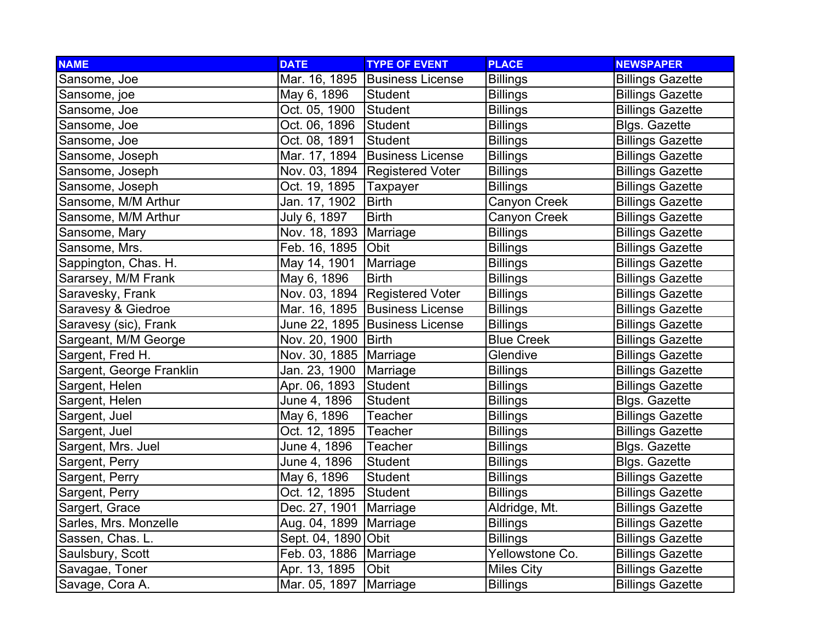| <b>NAME</b>              | <b>DATE</b>              | <b>TYPE OF EVENT</b>           | <b>PLACE</b>      | <b>NEWSPAPER</b>        |
|--------------------------|--------------------------|--------------------------------|-------------------|-------------------------|
| Sansome, Joe             |                          | Mar. 16, 1895 Business License | <b>Billings</b>   | <b>Billings Gazette</b> |
| Sansome, joe             | May 6, 1896              | Student                        | <b>Billings</b>   | <b>Billings Gazette</b> |
| Sansome, Joe             | Oct. 05, 1900            | Student                        | <b>Billings</b>   | <b>Billings Gazette</b> |
| Sansome, Joe             | Oct. 06, 1896            | Student                        | <b>Billings</b>   | Blgs. Gazette           |
| Sansome, Joe             | Oct. 08, 1891            | Student                        | <b>Billings</b>   | <b>Billings Gazette</b> |
| Sansome, Joseph          |                          | Mar. 17, 1894 Business License | <b>Billings</b>   | <b>Billings Gazette</b> |
| Sansome, Joseph          |                          | Nov. 03, 1894 Registered Voter | <b>Billings</b>   | <b>Billings Gazette</b> |
| Sansome, Joseph          | Oct. 19, 1895            | Taxpayer                       | <b>Billings</b>   | <b>Billings Gazette</b> |
| Sansome, M/M Arthur      | Jan. 17, 1902            | <b>Birth</b>                   | Canyon Creek      | <b>Billings Gazette</b> |
| Sansome, M/M Arthur      | July 6, 1897             | <b>Birth</b>                   | Canyon Creek      | <b>Billings Gazette</b> |
| Sansome, Mary            | Nov. 18, 1893   Marriage |                                | <b>Billings</b>   | <b>Billings Gazette</b> |
| Sansome, Mrs.            | Feb. 16, 1895 Obit       |                                | <b>Billings</b>   | <b>Billings Gazette</b> |
| Sappington, Chas. H.     | May 14, 1901             | Marriage                       | <b>Billings</b>   | <b>Billings Gazette</b> |
| Sararsey, M/M Frank      | May 6, 1896              | <b>Birth</b>                   | <b>Billings</b>   | <b>Billings Gazette</b> |
| Saravesky, Frank         |                          | Nov. 03, 1894 Registered Voter | <b>Billings</b>   | <b>Billings Gazette</b> |
| Saravesy & Giedroe       |                          | Mar. 16, 1895 Business License | <b>Billings</b>   | <b>Billings Gazette</b> |
| Saravesy (sic), Frank    |                          | June 22, 1895 Business License | <b>Billings</b>   | <b>Billings Gazette</b> |
| Sargeant, M/M George     | Nov. 20, 1900   Birth    |                                | <b>Blue Creek</b> | <b>Billings Gazette</b> |
| Sargent, Fred H.         | Nov. 30, 1885   Marriage |                                | Glendive          | <b>Billings Gazette</b> |
| Sargent, George Franklin | Jan. 23, 1900            | Marriage                       | <b>Billings</b>   | <b>Billings Gazette</b> |
| Sargent, Helen           | Apr. 06, 1893            | Student                        | <b>Billings</b>   | <b>Billings Gazette</b> |
| Sargent, Helen           | June 4, 1896             | Student                        | <b>Billings</b>   | <b>Blgs. Gazette</b>    |
| Sargent, Juel            | May 6, 1896              | Teacher                        | <b>Billings</b>   | <b>Billings Gazette</b> |
| Sargent, Juel            | Oct. 12, 1895            | Teacher                        | <b>Billings</b>   | <b>Billings Gazette</b> |
| Sargent, Mrs. Juel       | June 4, 1896             | <b>Teacher</b>                 | <b>Billings</b>   | <b>Blgs. Gazette</b>    |
| Sargent, Perry           | June 4, 1896             | Student                        | <b>Billings</b>   | <b>Blgs. Gazette</b>    |
| Sargent, Perry           | May 6, 1896              | <b>Student</b>                 | <b>Billings</b>   | <b>Billings Gazette</b> |
| Sargent, Perry           | Oct. 12, 1895            | Student                        | <b>Billings</b>   | <b>Billings Gazette</b> |
| Sargert, Grace           | Dec. 27, 1901            | Marriage                       | Aldridge, Mt.     | <b>Billings Gazette</b> |
| Sarles, Mrs. Monzelle    | Aug. 04, 1899   Marriage |                                | <b>Billings</b>   | <b>Billings Gazette</b> |
| Sassen, Chas. L.         | Sept. 04, 1890 Obit      |                                | <b>Billings</b>   | <b>Billings Gazette</b> |
| Saulsbury, Scott         | Feb. 03, 1886   Marriage |                                | Yellowstone Co.   | <b>Billings Gazette</b> |
| Savagae, Toner           | Apr. 13, 1895            | Obit                           | <b>Miles City</b> | <b>Billings Gazette</b> |
| Savage, Cora A.          | Mar. 05, 1897            | Marriage                       | <b>Billings</b>   | <b>Billings Gazette</b> |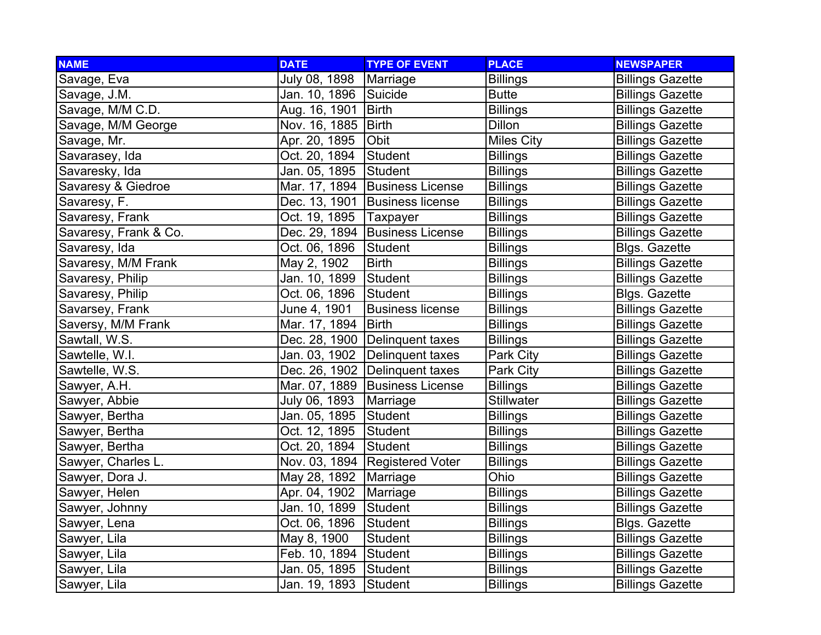| <b>NAME</b>           | <b>DATE</b>           | <b>TYPE OF EVENT</b>             | <b>PLACE</b>      | <b>NEWSPAPER</b>        |
|-----------------------|-----------------------|----------------------------------|-------------------|-------------------------|
| Savage, Eva           | July 08, 1898         | Marriage                         | <b>Billings</b>   | <b>Billings Gazette</b> |
| Savage, J.M.          | Jan. 10, 1896 Suicide |                                  | <b>Butte</b>      | <b>Billings Gazette</b> |
| Savage, M/M C.D.      | Aug. 16, 1901         | Birth                            | <b>Billings</b>   | <b>Billings Gazette</b> |
| Savage, M/M George    | Nov. 16, 1885   Birth |                                  | <b>Dillon</b>     | <b>Billings Gazette</b> |
| Savage, Mr.           | Apr. 20, 1895         | Obit                             | <b>Miles City</b> | <b>Billings Gazette</b> |
| Savarasey, Ida        | Oct. 20, 1894         | Student                          | <b>Billings</b>   | <b>Billings Gazette</b> |
| Savaresky, Ida        | Jan. 05, 1895         | Student                          | <b>Billings</b>   | <b>Billings Gazette</b> |
| Savaresy & Giedroe    |                       | Mar. 17, 1894 Business License   | <b>Billings</b>   | <b>Billings Gazette</b> |
| Savaresy, F.          |                       | Dec. 13, 1901 Business license   | <b>Billings</b>   | <b>Billings Gazette</b> |
| Savaresy, Frank       | Oct. 19, 1895         | Taxpayer                         | <b>Billings</b>   | <b>Billings Gazette</b> |
| Savaresy, Frank & Co. |                       | Dec. 29, 1894 Business License   | <b>Billings</b>   | <b>Billings Gazette</b> |
| Savaresy, Ida         | Oct. 06, 1896         | Student                          | <b>Billings</b>   | Blgs. Gazette           |
| Savaresy, M/M Frank   | May 2, 1902           | <b>Birth</b>                     | <b>Billings</b>   | <b>Billings Gazette</b> |
| Savaresy, Philip      | Jan. 10, 1899         | Student                          | <b>Billings</b>   | <b>Billings Gazette</b> |
| Savaresy, Philip      | Oct. 06, 1896         | Student                          | <b>Billings</b>   | Blgs. Gazette           |
| Savarsey, Frank       | <u>Jun</u> e 4, 1901  | <b>Business license</b>          | <b>Billings</b>   | <b>Billings Gazette</b> |
| Saversy, M/M Frank    | Mar. 17, 1894         | <b>Birth</b>                     | <b>Billings</b>   | <b>Billings Gazette</b> |
| Sawtall, W.S.         |                       | Dec. 28, 1900 Delinquent taxes   | <b>Billings</b>   | <b>Billings Gazette</b> |
| Sawtelle, W.I.        |                       | Jan. 03, 1902 Delinquent taxes   | Park City         | <b>Billings Gazette</b> |
| Sawtelle, W.S.        |                       | Dec. 26, 1902 Delinquent taxes   | Park City         | <b>Billings Gazette</b> |
| Sawyer, A.H.          |                       | Mar. 07, 1889 Business License   | <b>Billings</b>   | <b>Billings Gazette</b> |
| Sawyer, Abbie         | July 06, 1893         | Marriage                         | <b>Stillwater</b> | <b>Billings Gazette</b> |
| Sawyer, Bertha        | Jan. 05, 1895 Student |                                  | <b>Billings</b>   | <b>Billings Gazette</b> |
| Sawyer, Bertha        | Oct. 12, 1895         | Student                          | <b>Billings</b>   | <b>Billings Gazette</b> |
| Sawyer, Bertha        | Oct. 20, 1894         | Student                          | <b>Billings</b>   | <b>Billings Gazette</b> |
| Sawyer, Charles L.    |                       | Nov. 03, 1894   Registered Voter | <b>Billings</b>   | <b>Billings Gazette</b> |
| Sawyer, Dora J.       | May 28, 1892          | Marriage                         | Ohio              | <b>Billings Gazette</b> |
| Sawyer, Helen         | Apr. 04, 1902         | Marriage                         | Billings          | <b>Billings Gazette</b> |
| Sawyer, Johnny        | Jan. 10, 1899         | Student                          | <b>Billings</b>   | <b>Billings Gazette</b> |
| Sawyer, Lena          | Oct. 06, 1896         | Student                          | <b>Billings</b>   | <b>Blgs. Gazette</b>    |
| Sawyer, Lila          | May 8, 1900           | Student                          | <b>Billings</b>   | <b>Billings Gazette</b> |
| Sawyer, Lila          | Feb. 10, 1894 Student |                                  | <b>Billings</b>   | <b>Billings Gazette</b> |
| Sawyer, Lila          | Jan. 05, 1895         | Student                          | <b>Billings</b>   | <b>Billings Gazette</b> |
| Sawyer, Lila          | Jan. 19, 1893         | Student                          | <b>Billings</b>   | <b>Billings Gazette</b> |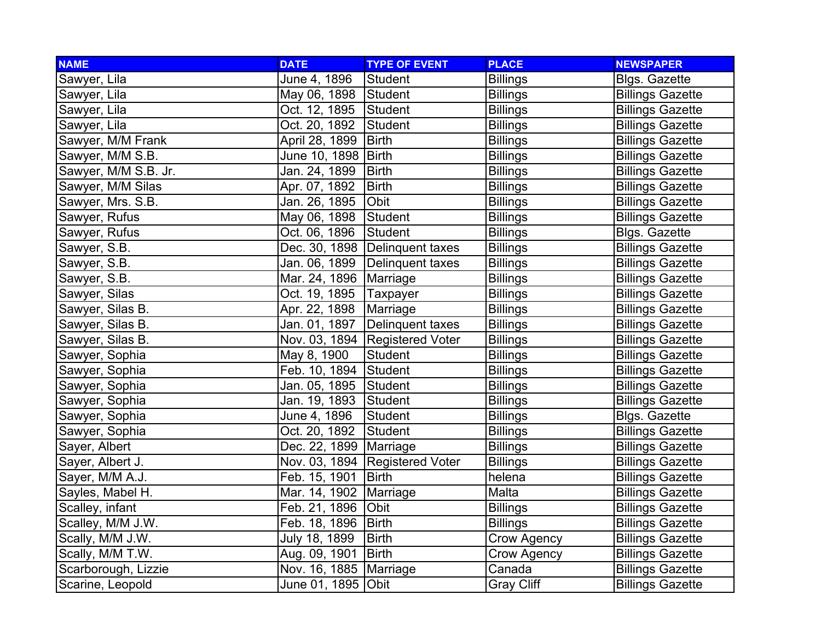| <b>NAME</b>          | <b>DATE</b>              | <b>TYPE OF EVENT</b>             | <b>PLACE</b>       | <b>NEWSPAPER</b>        |
|----------------------|--------------------------|----------------------------------|--------------------|-------------------------|
| Sawyer, Lila         | June 4, 1896             | Student                          | <b>Billings</b>    | <b>Blgs. Gazette</b>    |
| Sawyer, Lila         | May 06, 1898             | Student                          | <b>Billings</b>    | <b>Billings Gazette</b> |
| Sawyer, Lila         | Oct. 12, 1895            | Student                          | <b>Billings</b>    | <b>Billings Gazette</b> |
| Sawyer, Lila         | Oct. 20, 1892            | Student                          | <b>Billings</b>    | <b>Billings Gazette</b> |
| Sawyer, M/M Frank    | April 28, 1899           | <b>Birth</b>                     | <b>Billings</b>    | <b>Billings Gazette</b> |
| Sawyer, M/M S.B.     | June 10, 1898 Birth      |                                  | <b>Billings</b>    | <b>Billings Gazette</b> |
| Sawyer, M/M S.B. Jr. | Jan. 24, 1899            | <b>Birth</b>                     | <b>Billings</b>    | <b>Billings Gazette</b> |
| Sawyer, M/M Silas    | Apr. 07, 1892            | <b>Birth</b>                     | <b>Billings</b>    | <b>Billings Gazette</b> |
| Sawyer, Mrs. S.B.    | Jan. 26, 1895            | Obit                             | <b>Billings</b>    | <b>Billings Gazette</b> |
| Sawyer, Rufus        | May 06, 1898             | Student                          | <b>Billings</b>    | <b>Billings Gazette</b> |
| Sawyer, Rufus        | Oct. 06, 1896            | Student                          | <b>Billings</b>    | Blgs. Gazette           |
| Sawyer, S.B.         |                          | Dec. 30, 1898   Delinquent taxes | <b>Billings</b>    | <b>Billings Gazette</b> |
| Sawyer, S.B.         | Jan. 06, 1899            | Delinguent taxes                 | <b>Billings</b>    | <b>Billings Gazette</b> |
| Sawyer, S.B.         | Mar. 24, 1896   Marriage |                                  | <b>Billings</b>    | <b>Billings Gazette</b> |
| Sawyer, Silas        | Oct. 19, 1895            | <b>Taxpayer</b>                  | <b>Billings</b>    | <b>Billings Gazette</b> |
| Sawyer, Silas B.     | Apr. 22, 1898            | Marriage                         | <b>Billings</b>    | <b>Billings Gazette</b> |
| Sawyer, Silas B.     | Jan. 01, 1897            | Delinquent taxes                 | <b>Billings</b>    | <b>Billings Gazette</b> |
| Sawyer, Silas B.     |                          | Nov. 03, 1894 Registered Voter   | <b>Billings</b>    | <b>Billings Gazette</b> |
| Sawyer, Sophia       | May 8, 1900              | <b>Student</b>                   | <b>Billings</b>    | <b>Billings Gazette</b> |
| Sawyer, Sophia       | Feb. 10, 1894            | <b>Student</b>                   | <b>Billings</b>    | <b>Billings Gazette</b> |
| Sawyer, Sophia       | Jan. 05, 1895            | Student                          | <b>Billings</b>    | <b>Billings Gazette</b> |
| Sawyer, Sophia       | Jan. 19, 1893            | Student                          | <b>Billings</b>    | <b>Billings Gazette</b> |
| Sawyer, Sophia       | June 4, 1896             | Student                          | <b>Billings</b>    | Blgs. Gazette           |
| Sawyer, Sophia       | Oct. 20, 1892            | Student                          | <b>Billings</b>    | <b>Billings Gazette</b> |
| Sayer, Albert        | Dec. 22, 1899   Marriage |                                  | <b>Billings</b>    | <b>Billings Gazette</b> |
| Sayer, Albert J.     |                          | Nov. 03, 1894 Registered Voter   | <b>Billings</b>    | <b>Billings Gazette</b> |
| Sayer, M/M A.J.      | Feb. 15, 1901            | <b>Birth</b>                     | helena             | <b>Billings Gazette</b> |
| Sayles, Mabel H.     | Mar. 14, 1902            | Marriage                         | Malta              | <b>Billings Gazette</b> |
| Scalley, infant      | Feb. 21, 1896            | Obit                             | <b>Billings</b>    | <b>Billings Gazette</b> |
| Scalley, M/M J.W.    | Feb. 18, 1896            | <b>Birth</b>                     | <b>Billings</b>    | <b>Billings Gazette</b> |
| Scally, M/M J.W.     | July 18, 1899            | <b>Birth</b>                     | Crow Agency        | <b>Billings Gazette</b> |
| Scally, M/M T.W.     | Aug. 09, 1901            | <b>Birth</b>                     | <b>Crow Agency</b> | <b>Billings Gazette</b> |
| Scarborough, Lizzie  | Nov. 16, 1885   Marriage |                                  | Canada             | <b>Billings Gazette</b> |
| Scarine, Leopold     | June 01, 1895 Obit       |                                  | <b>Gray Cliff</b>  | <b>Billings Gazette</b> |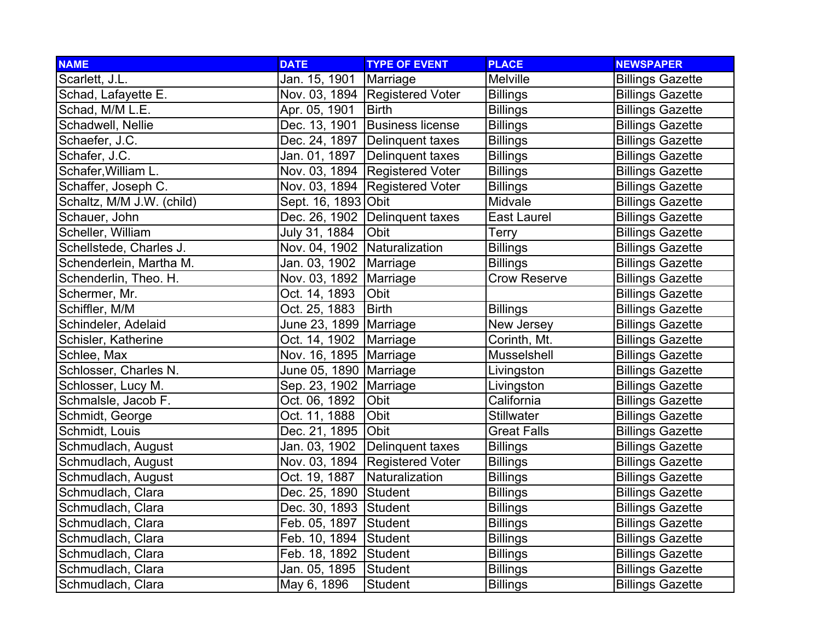| <b>NAME</b>               | <b>DATE</b>                  | <b>TYPE OF EVENT</b>             | <b>PLACE</b>        | <b>NEWSPAPER</b>        |
|---------------------------|------------------------------|----------------------------------|---------------------|-------------------------|
| Scarlett, J.L.            | Jan. 15, 1901                | Marriage                         | Melville            | <b>Billings Gazette</b> |
| Schad, Lafayette E.       |                              | Nov. 03, 1894 Registered Voter   | <b>Billings</b>     | <b>Billings Gazette</b> |
| Schad, M/M L.E.           | Apr. 05, 1901                | <b>Birth</b>                     | <b>Billings</b>     | <b>Billings Gazette</b> |
| Schadwell, Nellie         | Dec. 13, 1901                | <b>Business license</b>          | <b>Billings</b>     | <b>Billings Gazette</b> |
| Schaefer, J.C.            |                              | Dec. 24, 1897   Delinquent taxes | <b>Billings</b>     | <b>Billings Gazette</b> |
| Schafer, J.C.             | Jan. 01, 1897                | Delinquent taxes                 | <b>Billings</b>     | <b>Billings Gazette</b> |
| Schafer, William L.       |                              | Nov. 03, 1894 Registered Voter   | <b>Billings</b>     | <b>Billings Gazette</b> |
| Schaffer, Joseph C.       |                              | Nov. 03, 1894   Registered Voter | <b>Billings</b>     | <b>Billings Gazette</b> |
| Schaltz, M/M J.W. (child) | Sept. 16, 1893 Obit          |                                  | Midvale             | <b>Billings Gazette</b> |
| Schauer, John             | Dec. 26, 1902                | Delinquent taxes                 | East Laurel         | <b>Billings Gazette</b> |
| Scheller, William         | July 31, 1884                | Obit                             | Terry               | <b>Billings Gazette</b> |
| Schellstede, Charles J.   | Nov. 04, 1902 Naturalization |                                  | <b>Billings</b>     | <b>Billings Gazette</b> |
| Schenderlein, Martha M.   | Jan. 03, 1902                | Marriage                         | <b>Billings</b>     | <b>Billings Gazette</b> |
| Schenderlin, Theo. H.     | Nov. 03, 1892   Marriage     |                                  | <b>Crow Reserve</b> | <b>Billings Gazette</b> |
| Schermer, Mr.             | Oct. 14, 1893                | Obit                             |                     | <b>Billings Gazette</b> |
| Schiffler, M/M            | Oct. 25, 1883                | Birth                            | <b>Billings</b>     | <b>Billings Gazette</b> |
| Schindeler, Adelaid       | June 23, 1899   Marriage     |                                  | New Jersey          | <b>Billings Gazette</b> |
| Schisler, Katherine       | Oct. 14, 1902                | Marriage                         | Corinth, Mt.        | <b>Billings Gazette</b> |
| Schlee, Max               | Nov. 16, 1895                | Marriage                         | Musselshell         | <b>Billings Gazette</b> |
| Schlosser, Charles N.     | June 05, 1890   Marriage     |                                  | Livingston          | <b>Billings Gazette</b> |
| Schlosser, Lucy M.        | Sep. 23, 1902   Marriage     |                                  | Livingston          | <b>Billings Gazette</b> |
| Schmalsle, Jacob F.       | Oct. 06, 1892                | Obit                             | California          | <b>Billings Gazette</b> |
| Schmidt, George           | Oct. 11, 1888                | Obit                             | Stillwater          | <b>Billings Gazette</b> |
| Schmidt, Louis            | Dec. 21, 1895 Obit           |                                  | <b>Great Falls</b>  | <b>Billings Gazette</b> |
| Schmudlach, August        | Jan. 03, 1902                | Delinquent taxes                 | <b>Billings</b>     | <b>Billings Gazette</b> |
| Schmudlach, August        |                              | Nov. 03, 1894 Registered Voter   | <b>Billings</b>     | <b>Billings Gazette</b> |
| Schmudlach, August        | Oct. 19, 1887                | Naturalization                   | <b>Billings</b>     | <b>Billings Gazette</b> |
| Schmudlach, Clara         | Dec. 25, 1890                | Student                          | <b>Billings</b>     | <b>Billings Gazette</b> |
| Schmudlach, Clara         | Dec. 30, 1893 Student        |                                  | <b>Billings</b>     | <b>Billings Gazette</b> |
| Schmudlach, Clara         | Feb. 05, 1897                | Student                          | <b>Billings</b>     | <b>Billings Gazette</b> |
| Schmudlach, Clara         | Feb. 10, 1894                | Student                          | <b>Billings</b>     | <b>Billings Gazette</b> |
| Schmudlach, Clara         | Feb. 18, 1892                | Student                          | <b>Billings</b>     | <b>Billings Gazette</b> |
| Schmudlach, Clara         | Jan. 05, 1895                | Student                          | <b>Billings</b>     | <b>Billings Gazette</b> |
| Schmudlach, Clara         | May 6, 1896                  | Student                          | <b>Billings</b>     | <b>Billings Gazette</b> |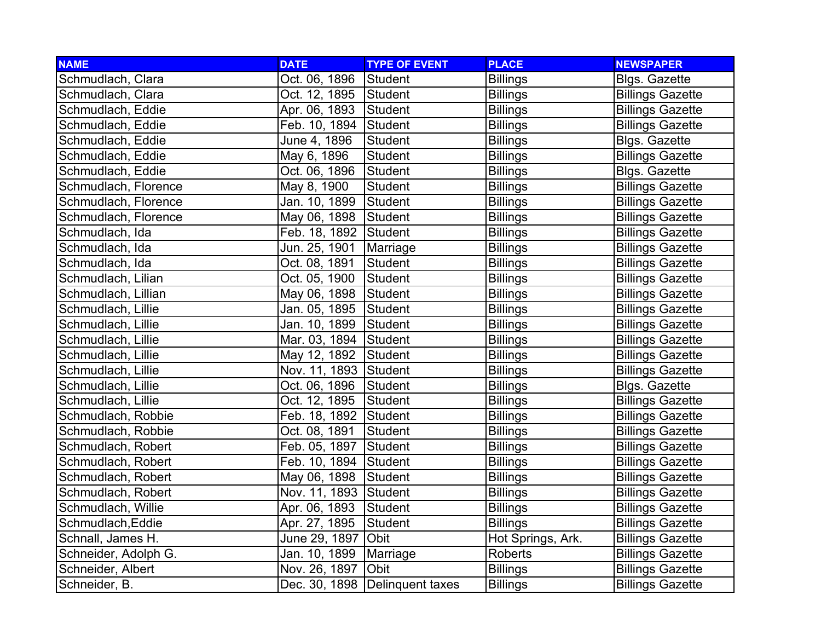| <b>NAME</b>          | <b>DATE</b>           | <b>TYPE OF EVENT</b>             | <b>PLACE</b>      | <b>NEWSPAPER</b>        |
|----------------------|-----------------------|----------------------------------|-------------------|-------------------------|
| Schmudlach, Clara    | Oct. 06, 1896         | Student                          | <b>Billings</b>   | Blgs. Gazette           |
| Schmudlach, Clara    | Oct. 12, 1895         | Student                          | <b>Billings</b>   | <b>Billings Gazette</b> |
| Schmudlach, Eddie    | Apr. 06, 1893         | Student                          | <b>Billings</b>   | <b>Billings Gazette</b> |
| Schmudlach, Eddie    | Feb. 10, 1894         | Student                          | <b>Billings</b>   | <b>Billings Gazette</b> |
| Schmudlach, Eddie    | June 4, 1896          | Student                          | <b>Billings</b>   | Blgs. Gazette           |
| Schmudlach, Eddie    | May 6, 1896           | Student                          | <b>Billings</b>   | <b>Billings Gazette</b> |
| Schmudlach, Eddie    | Oct. 06, 1896         | <b>Student</b>                   | <b>Billings</b>   | Blgs. Gazette           |
| Schmudlach, Florence | May 8, 1900           | Student                          | <b>Billings</b>   | <b>Billings Gazette</b> |
| Schmudlach, Florence | Jan. 10, 1899         | <b>Student</b>                   | <b>Billings</b>   | <b>Billings Gazette</b> |
| Schmudlach, Florence | May 06, 1898          | Student                          | <b>Billings</b>   | <b>Billings Gazette</b> |
| Schmudlach, Ida      | Feb. 18, 1892         | Student                          | <b>Billings</b>   | <b>Billings Gazette</b> |
| Schmudlach, Ida      | Jun. 25, 1901         | Marriage                         | <b>Billings</b>   | <b>Billings Gazette</b> |
| Schmudlach, Ida      | Oct. 08, 1891         | Student                          | <b>Billings</b>   | <b>Billings Gazette</b> |
| Schmudlach, Lilian   | Oct. 05, 1900         | Student                          | <b>Billings</b>   | <b>Billings Gazette</b> |
| Schmudlach, Lillian  | May 06, 1898          | Student                          | <b>Billings</b>   | <b>Billings Gazette</b> |
| Schmudlach, Lillie   | Jan. 05, 1895         | Student                          | <b>Billings</b>   | <b>Billings Gazette</b> |
| Schmudlach, Lillie   | Jan. 10, 1899         | Student                          | <b>Billings</b>   | <b>Billings Gazette</b> |
| Schmudlach, Lillie   | Mar. 03, 1894 Student |                                  | <b>Billings</b>   | <b>Billings Gazette</b> |
| Schmudlach, Lillie   | May 12, 1892          | Student                          | <b>Billings</b>   | <b>Billings Gazette</b> |
| Schmudlach, Lillie   | Nov. 11, 1893 Student |                                  | <b>Billings</b>   | <b>Billings Gazette</b> |
| Schmudlach, Lillie   | Oct. 06, 1896         | Student                          | <b>Billings</b>   | <b>Blgs. Gazette</b>    |
| Schmudlach, Lillie   | Oct. 12, 1895         | Student                          | <b>Billings</b>   | <b>Billings Gazette</b> |
| Schmudlach, Robbie   | Feb. 18, 1892 Student |                                  | <b>Billings</b>   | <b>Billings Gazette</b> |
| Schmudlach, Robbie   | Oct. 08, 1891         | <b>Student</b>                   | <b>Billings</b>   | <b>Billings Gazette</b> |
| Schmudlach, Robert   | Feb. 05, 1897         | Student                          | <b>Billings</b>   | <b>Billings Gazette</b> |
| Schmudlach, Robert   | Feb. 10, 1894         | Student                          | <b>Billings</b>   | <b>Billings Gazette</b> |
| Schmudlach, Robert   | May 06, 1898          | Student                          | <b>Billings</b>   | <b>Billings Gazette</b> |
| Schmudlach, Robert   | Nov. 11, 1893 Student |                                  | <b>Billings</b>   | <b>Billings Gazette</b> |
| Schmudlach, Willie   | Apr. 06, 1893         | Student                          | <b>Billings</b>   | <b>Billings Gazette</b> |
| Schmudlach, Eddie    | Apr. 27, 1895         | Student                          | <b>Billings</b>   | <b>Billings Gazette</b> |
| Schnall, James H.    | June 29, 1897         | Obit                             | Hot Springs, Ark. | <b>Billings Gazette</b> |
| Schneider, Adolph G. | Jan. 10, 1899         | Marriage                         | Roberts           | <b>Billings Gazette</b> |
| Schneider, Albert    | Nov. 26, 1897         | Obit                             | <b>Billings</b>   | <b>Billings Gazette</b> |
| Schneider, B.        |                       | Dec. 30, 1898   Delinquent taxes | <b>Billings</b>   | <b>Billings Gazette</b> |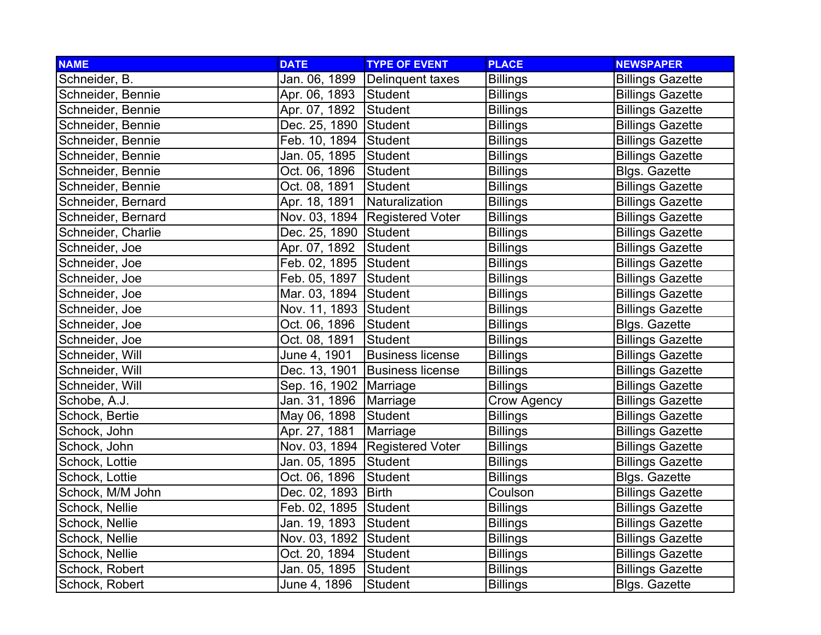| <b>NAME</b>        | <b>DATE</b>              | <b>TYPE OF EVENT</b>    | <b>PLACE</b>       | <b>NEWSPAPER</b>        |
|--------------------|--------------------------|-------------------------|--------------------|-------------------------|
| Schneider, B.      | Jan. 06, 1899            | Delinquent taxes        | <b>Billings</b>    | <b>Billings Gazette</b> |
| Schneider, Bennie  | Apr. 06, 1893            | Student                 | <b>Billings</b>    | <b>Billings Gazette</b> |
| Schneider, Bennie  | Apr. 07, 1892            | Student                 | <b>Billings</b>    | <b>Billings Gazette</b> |
| Schneider, Bennie  | Dec. 25, 1890 Student    |                         | <b>Billings</b>    | <b>Billings Gazette</b> |
| Schneider, Bennie  | Feb. 10, 1894 Student    |                         | <b>Billings</b>    | <b>Billings Gazette</b> |
| Schneider, Bennie  | Jan. 05, 1895            | Student                 | <b>Billings</b>    | <b>Billings Gazette</b> |
| Schneider, Bennie  | Oct. 06, 1896            | Student                 | <b>Billings</b>    | Blgs. Gazette           |
| Schneider, Bennie  | Oct. 08, 1891            | Student                 | <b>Billings</b>    | <b>Billings Gazette</b> |
| Schneider, Bernard | Apr. 18, 1891            | Naturalization          | <b>Billings</b>    | <b>Billings Gazette</b> |
| Schneider, Bernard | Nov. 03, 1894            | Registered Voter        | <b>Billings</b>    | <b>Billings Gazette</b> |
| Schneider, Charlie | Dec. 25, 1890            | Student                 | <b>Billings</b>    | <b>Billings Gazette</b> |
| Schneider, Joe     | Apr. 07, 1892            | Student                 | <b>Billings</b>    | <b>Billings Gazette</b> |
| Schneider, Joe     | Feb. 02, 1895 Student    |                         | <b>Billings</b>    | <b>Billings Gazette</b> |
| Schneider, Joe     | Feb. 05, 1897            | Student                 | <b>Billings</b>    | <b>Billings Gazette</b> |
| Schneider, Joe     | Mar. 03, 1894 Student    |                         | <b>Billings</b>    | <b>Billings Gazette</b> |
| Schneider, Joe     | Nov. 11, 1893 Student    |                         | <b>Billings</b>    | <b>Billings Gazette</b> |
| Schneider, Joe     | Oct. 06, 1896            | Student                 | <b>Billings</b>    | Blgs. Gazette           |
| Schneider, Joe     | Oct. 08, 1891            | Student                 | <b>Billings</b>    | <b>Billings Gazette</b> |
| Schneider, Will    | June 4, 1901             | <b>Business license</b> | <b>Billings</b>    | <b>Billings Gazette</b> |
| Schneider, Will    | Dec. 13, 1901            | <b>Business license</b> | <b>Billings</b>    | <b>Billings Gazette</b> |
| Schneider, Will    | Sep. 16, 1902   Marriage |                         | <b>Billings</b>    | <b>Billings Gazette</b> |
| Schobe, A.J.       | Jan. 31, 1896            | Marriage                | <b>Crow Agency</b> | <b>Billings Gazette</b> |
| Schock, Bertie     | May 06, 1898             | Student                 | <b>Billings</b>    | <b>Billings Gazette</b> |
| Schock, John       | Apr. 27, 1881            | Marriage                | <b>Billings</b>    | <b>Billings Gazette</b> |
| Schock, John       | Nov. 03, 1894            | <b>Registered Voter</b> | <b>Billings</b>    | <b>Billings Gazette</b> |
| Schock, Lottie     | Jan. 05, 1895            | Student                 | <b>Billings</b>    | <b>Billings Gazette</b> |
| Schock, Lottie     | Oct. 06, 1896            | <b>Student</b>          | <b>Billings</b>    | Blgs. Gazette           |
| Schock, M/M John   | Dec. 02, 1893            | <b>Birth</b>            | Coulson            | <b>Billings Gazette</b> |
| Schock, Nellie     | Feb. 02, 1895 Student    |                         | <b>Billings</b>    | <b>Billings Gazette</b> |
| Schock, Nellie     | Jan. 19, 1893            | Student                 | <b>Billings</b>    | <b>Billings Gazette</b> |
| Schock, Nellie     | Nov. 03, 1892            | Student                 | <b>Billings</b>    | <b>Billings Gazette</b> |
| Schock, Nellie     | Oct. 20, 1894            | Student                 | <b>Billings</b>    | <b>Billings Gazette</b> |
| Schock, Robert     | Jan. 05, 1895            | Student                 | <b>Billings</b>    | <b>Billings Gazette</b> |
| Schock, Robert     | June 4, 1896             | Student                 | <b>Billings</b>    | <b>Blgs. Gazette</b>    |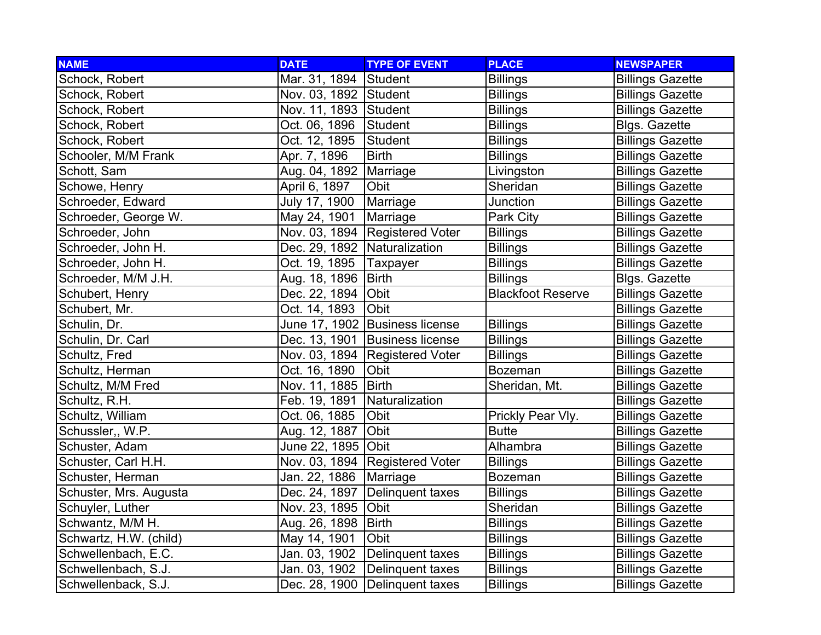| <b>NAME</b>            | <b>DATE</b>                  | <b>TYPE OF EVENT</b>             | <b>PLACE</b>             | <b>NEWSPAPER</b>        |
|------------------------|------------------------------|----------------------------------|--------------------------|-------------------------|
| Schock, Robert         | Mar. 31, 1894 Student        |                                  | <b>Billings</b>          | <b>Billings Gazette</b> |
| Schock, Robert         | Nov. 03, 1892 Student        |                                  | <b>Billings</b>          | <b>Billings Gazette</b> |
| Schock, Robert         | Nov. 11, 1893 Student        |                                  | <b>Billings</b>          | <b>Billings Gazette</b> |
| Schock, Robert         | Oct. 06, 1896                | Student                          | <b>Billings</b>          | Blgs. Gazette           |
| Schock, Robert         | Oct. 12, 1895                | Student                          | <b>Billings</b>          | <b>Billings Gazette</b> |
| Schooler, M/M Frank    | Apr. 7, 1896                 | <b>Birth</b>                     | <b>Billings</b>          | <b>Billings Gazette</b> |
| Schott, Sam            | Aug. 04, 1892                | Marriage                         | Livingston               | <b>Billings Gazette</b> |
| Schowe, Henry          | April 6, 1897                | Obit                             | Sheridan                 | <b>Billings Gazette</b> |
| Schroeder, Edward      | July 17, 1900                | Marriage                         | Junction                 | <b>Billings Gazette</b> |
| Schroeder, George W.   | May 24, 1901                 | Marriage                         | Park City                | <b>Billings Gazette</b> |
| Schroeder, John        | Nov. 03, 1894                | <b>Registered Voter</b>          | <b>Billings</b>          | <b>Billings Gazette</b> |
| Schroeder, John H.     | Dec. 29, 1892 Naturalization |                                  | <b>Billings</b>          | <b>Billings Gazette</b> |
| Schroeder, John H.     | Oct. 19, 1895                | Taxpayer                         | <b>Billings</b>          | <b>Billings Gazette</b> |
| Schroeder, M/M J.H.    | Aug. 18, 1896                | Birth                            | <b>Billings</b>          | Blgs. Gazette           |
| Schubert, Henry        | Dec. 22, 1894                | Obit                             | <b>Blackfoot Reserve</b> | <b>Billings Gazette</b> |
| Schubert, Mr.          | Oct. 14, 1893                | <b>Obit</b>                      |                          | <b>Billings Gazette</b> |
| Schulin, Dr.           |                              | June 17, 1902 Business license   | <b>Billings</b>          | <b>Billings Gazette</b> |
| Schulin, Dr. Carl      |                              | Dec. 13, 1901 Business license   | <b>Billings</b>          | <b>Billings Gazette</b> |
| Schultz, Fred          |                              | Nov. 03, 1894   Registered Voter | <b>Billings</b>          | <b>Billings Gazette</b> |
| Schultz, Herman        | Oct. 16, 1890                | Obit                             | <b>Bozeman</b>           | <b>Billings Gazette</b> |
| Schultz, M/M Fred      | Nov. 11, 1885                | Birth                            | Sheridan, Mt.            | <b>Billings Gazette</b> |
| Schultz, R.H.          | Feb. 19, 1891                | Naturalization                   |                          | <b>Billings Gazette</b> |
| Schultz, William       | Oct. 06, 1885                | Obit                             | Prickly Pear Vly.        | <b>Billings Gazette</b> |
| Schussler,, W.P.       | Aug. 12, 1887                | Obit                             | <b>Butte</b>             | <b>Billings Gazette</b> |
| Schuster, Adam         | June 22, 1895 Obit           |                                  | Alhambra                 | <b>Billings Gazette</b> |
| Schuster, Carl H.H.    |                              | Nov. 03, 1894   Registered Voter | <b>Billings</b>          | <b>Billings Gazette</b> |
| Schuster, Herman       | Jan. 22, 1886                | Marriage                         | Bozeman                  | <b>Billings Gazette</b> |
| Schuster, Mrs. Augusta | Dec. 24, 1897                | Delinquent taxes                 | <b>Billings</b>          | <b>Billings Gazette</b> |
| Schuyler, Luther       | Nov. 23, 1895                | Obit                             | Sheridan                 | <b>Billings Gazette</b> |
| Schwantz, M/M H.       | Aug. 26, 1898                | Birth                            | <b>Billings</b>          | <b>Billings Gazette</b> |
| Schwartz, H.W. (child) | May 14, 1901                 | Obit                             | <b>Billings</b>          | <b>Billings Gazette</b> |
| Schwellenbach, E.C.    | Jan. 03, 1902                | Delinquent taxes                 | <b>Billings</b>          | <b>Billings Gazette</b> |
| Schwellenbach, S.J.    | Jan. 03, 1902                | Delinquent taxes                 | <b>Billings</b>          | <b>Billings Gazette</b> |
| Schwellenback, S.J.    |                              | Dec. 28, 1900   Delinquent taxes | <b>Billings</b>          | <b>Billings Gazette</b> |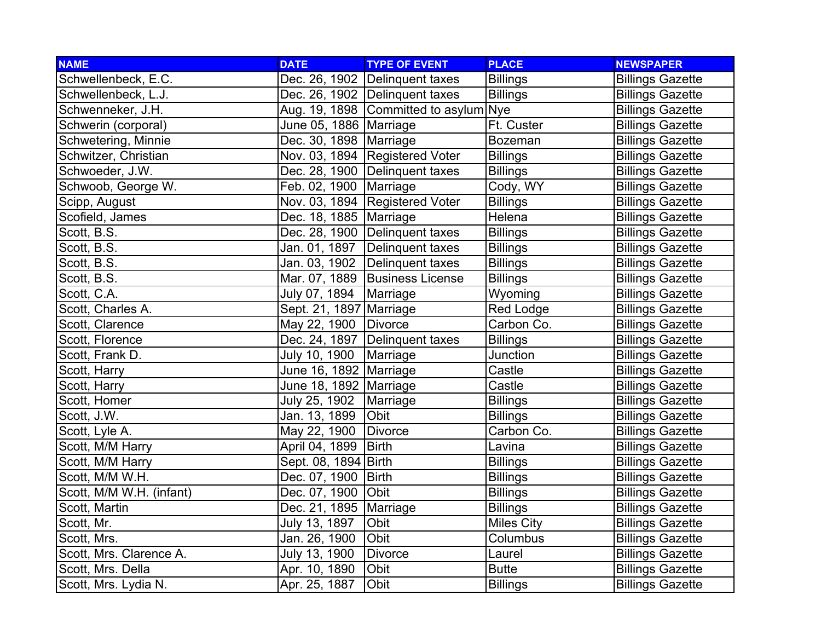| <b>NAME</b>              | <b>DATE</b>              | <b>TYPE OF EVENT</b>                  | <b>PLACE</b>      | <b>NEWSPAPER</b>        |
|--------------------------|--------------------------|---------------------------------------|-------------------|-------------------------|
| Schwellenbeck, E.C.      |                          | Dec. 26, 1902 Delinquent taxes        | <b>Billings</b>   | <b>Billings Gazette</b> |
| Schwellenbeck, L.J.      |                          | Dec. 26, 1902 Delinquent taxes        | <b>Billings</b>   | <b>Billings Gazette</b> |
| Schwenneker, J.H.        |                          | Aug. 19, 1898 Committed to asylum Nye |                   | <b>Billings Gazette</b> |
| Schwerin (corporal)      | June 05, 1886   Marriage |                                       | Ft. Custer        | <b>Billings Gazette</b> |
| Schwetering, Minnie      | Dec. 30, 1898   Marriage |                                       | Bozeman           | <b>Billings Gazette</b> |
| Schwitzer, Christian     |                          | Nov. 03, 1894 Registered Voter        | <b>Billings</b>   | <b>Billings Gazette</b> |
| Schwoeder, J.W.          |                          | Dec. 28, 1900   Delinguent taxes      | <b>Billings</b>   | <b>Billings Gazette</b> |
| Schwoob, George W.       | Feb. 02, 1900            | Marriage                              | Cody, WY          | <b>Billings Gazette</b> |
| Scipp, August            |                          | Nov. 03, 1894 Registered Voter        | <b>Billings</b>   | <b>Billings Gazette</b> |
| Scofield, James          | Dec. 18, 1885   Marriage |                                       | Helena            | <b>Billings Gazette</b> |
| Scott, B.S.              |                          | Dec. 28, 1900 Delinguent taxes        | <b>Billings</b>   | <b>Billings Gazette</b> |
| Scott, B.S.              | Jan. 01, 1897            | Delinquent taxes                      | <b>Billings</b>   | <b>Billings Gazette</b> |
| Scott, B.S.              | Jan. 03, 1902            | Delinquent taxes                      | <b>Billings</b>   | <b>Billings Gazette</b> |
| Scott, B.S.              |                          | Mar. 07, 1889 Business License        | <b>Billings</b>   | <b>Billings Gazette</b> |
| Scott, C.A.              | July 07, 1894            | Marriage                              | Wyoming           | <b>Billings Gazette</b> |
| Scott, Charles A.        | Sept. 21, 1897 Marriage  |                                       | Red Lodge         | <b>Billings Gazette</b> |
| Scott, Clarence          | May 22, 1900             | Divorce                               | Carbon Co.        | <b>Billings Gazette</b> |
| Scott, Florence          |                          | Dec. 24, 1897   Delinquent taxes      | <b>Billings</b>   | <b>Billings Gazette</b> |
| Scott, Frank D.          | July 10, 1900            | Marriage                              | Junction          | <b>Billings Gazette</b> |
| Scott, Harry             | June 16, 1892 Marriage   |                                       | Castle            | <b>Billings Gazette</b> |
| Scott, Harry             | June 18, 1892 Marriage   |                                       | Castle            | <b>Billings Gazette</b> |
| Scott, Homer             | July 25, 1902            | Marriage                              | <b>Billings</b>   | <b>Billings Gazette</b> |
| Scott, J.W.              | Jan. 13, 1899            | Obit                                  | <b>Billings</b>   | <b>Billings Gazette</b> |
| Scott, Lyle A.           | May 22, 1900             | Divorce                               | Carbon Co.        | <b>Billings Gazette</b> |
| Scott, M/M Harry         | April 04, 1899           | <b>Birth</b>                          | Lavina            | <b>Billings Gazette</b> |
| Scott, M/M Harry         | Sept. 08, 1894 Birth     |                                       | <b>Billings</b>   | <b>Billings Gazette</b> |
| Scott, M/M W.H.          | Dec. 07, 1900            | Birth                                 | <b>Billings</b>   | <b>Billings Gazette</b> |
| Scott, M/M W.H. (infant) | Dec. 07, 1900            | <b>Obit</b>                           | <b>Billings</b>   | <b>Billings Gazette</b> |
| Scott, Martin            | Dec. 21, 1895   Marriage |                                       | <b>Billings</b>   | <b>Billings Gazette</b> |
| Scott, Mr.               | July 13, 1897            | Obit                                  | <b>Miles City</b> | <b>Billings Gazette</b> |
| Scott, Mrs.              | Jan. 26, 1900            | Obit                                  | Columbus          | <b>Billings Gazette</b> |
| Scott, Mrs. Clarence A.  | July 13, 1900            | Divorce                               | Laurel            | <b>Billings Gazette</b> |
| Scott, Mrs. Della        | Apr. 10, 1890            | Obit                                  | <b>Butte</b>      | <b>Billings Gazette</b> |
| Scott, Mrs. Lydia N.     | Apr. 25, 1887            | Obit                                  | <b>Billings</b>   | <b>Billings Gazette</b> |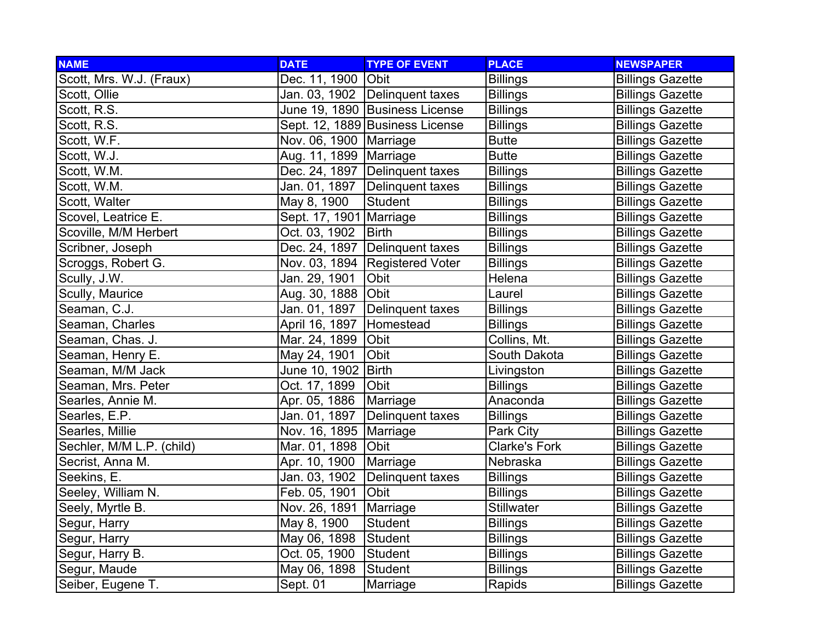| <b>NAME</b>               | <b>DATE</b>               | <b>TYPE OF EVENT</b>             | <b>PLACE</b>         | <b>NEWSPAPER</b>        |
|---------------------------|---------------------------|----------------------------------|----------------------|-------------------------|
| Scott, Mrs. W.J. (Fraux)  | Dec. 11, 1900             | <b>Obit</b>                      | <b>Billings</b>      | <b>Billings Gazette</b> |
| Scott, Ollie              |                           | Jan. 03, 1902 Delinquent taxes   | <b>Billings</b>      | <b>Billings Gazette</b> |
| Scott, R.S.               |                           | June 19, 1890 Business License   | <b>Billings</b>      | <b>Billings Gazette</b> |
| Scott, R.S.               |                           | Sept. 12, 1889 Business License  | <b>Billings</b>      | <b>Billings Gazette</b> |
| Scott, W.F.               | Nov. 06, 1900   Marriage  |                                  | <b>Butte</b>         | <b>Billings Gazette</b> |
| Scott, W.J.               | Aug. 11, 1899   Marriage  |                                  | <b>Butte</b>         | <b>Billings Gazette</b> |
| Scott, W.M.               |                           | Dec. 24, 1897   Delinquent taxes | <b>Billings</b>      | <b>Billings Gazette</b> |
| Scott, W.M.               | Jan. 01, 1897             | Delinquent taxes                 | <b>Billings</b>      | <b>Billings Gazette</b> |
| Scott, Walter             | May 8, 1900               | <b>Student</b>                   | <b>Billings</b>      | <b>Billings Gazette</b> |
| Scovel, Leatrice E.       | Sept. 17, 1901   Marriage |                                  | <b>Billings</b>      | <b>Billings Gazette</b> |
| Scoville, M/M Herbert     | Oct. 03, 1902             | <b>Birth</b>                     | <b>Billings</b>      | <b>Billings Gazette</b> |
| Scribner, Joseph          |                           | Dec. 24, 1897   Delinquent taxes | <b>Billings</b>      | <b>Billings Gazette</b> |
| Scroggs, Robert G.        |                           | Nov. 03, 1894 Registered Voter   | <b>Billings</b>      | <b>Billings Gazette</b> |
| Scully, J.W.              | Jan. 29, 1901             | Obit                             | Helena               | <b>Billings Gazette</b> |
| Scully, Maurice           | Aug. 30, 1888 Obit        |                                  | Laurel               | <b>Billings Gazette</b> |
| Seaman, C.J.              | Jan. 01, 1897             | Delinquent taxes                 | <b>Billings</b>      | <b>Billings Gazette</b> |
| Seaman, Charles           | April 16, 1897            | Homestead                        | <b>Billings</b>      | <b>Billings Gazette</b> |
| Seaman, Chas. J.          | Mar. 24, 1899             | Obit                             | Collins, Mt.         | <b>Billings Gazette</b> |
| Seaman, Henry E.          | May 24, 1901              | Obit                             | South Dakota         | <b>Billings Gazette</b> |
| Seaman, M/M Jack          | June 10, 1902 Birth       |                                  | Livingston           | <b>Billings Gazette</b> |
| Seaman, Mrs. Peter        | Oct. 17, 1899             | Obit                             | <b>Billings</b>      | <b>Billings Gazette</b> |
| Searles, Annie M.         | Apr. 05, 1886             | Marriage                         | Anaconda             | <b>Billings Gazette</b> |
| Searles, E.P.             | Jan. 01, 1897             | Delinquent taxes                 | <b>Billings</b>      | <b>Billings Gazette</b> |
| Searles, Millie           | Nov. 16, 1895   Marriage  |                                  | Park City            | <b>Billings Gazette</b> |
| Sechler, M/M L.P. (child) | Mar. 01, 1898             | Obit                             | <b>Clarke's Fork</b> | <b>Billings Gazette</b> |
| Secrist, Anna M.          | Apr. 10, 1900             | Marriage                         | Nebraska             | <b>Billings Gazette</b> |
| Seekins, E.               | Jan. 03, 1902             | Delinquent taxes                 | <b>Billings</b>      | <b>Billings Gazette</b> |
| Seeley, William N.        | Feb. 05, 1901             | Obit                             | <b>Billings</b>      | <b>Billings Gazette</b> |
| Seely, Myrtle B.          | Nov. 26, 1891             | Marriage                         | <b>Stillwater</b>    | <b>Billings Gazette</b> |
| Segur, Harry              | May 8, 1900               | <b>Student</b>                   | <b>Billings</b>      | <b>Billings Gazette</b> |
| Segur, Harry              | May 06, 1898              | Student                          | <b>Billings</b>      | <b>Billings Gazette</b> |
| Segur, Harry B.           | Oct. 05, 1900             | Student                          | <b>Billings</b>      | <b>Billings Gazette</b> |
| Segur, Maude              | May 06, 1898              | <b>Student</b>                   | <b>Billings</b>      | <b>Billings Gazette</b> |
| Seiber, Eugene T.         | Sept. 01                  | Marriage                         | Rapids               | <b>Billings Gazette</b> |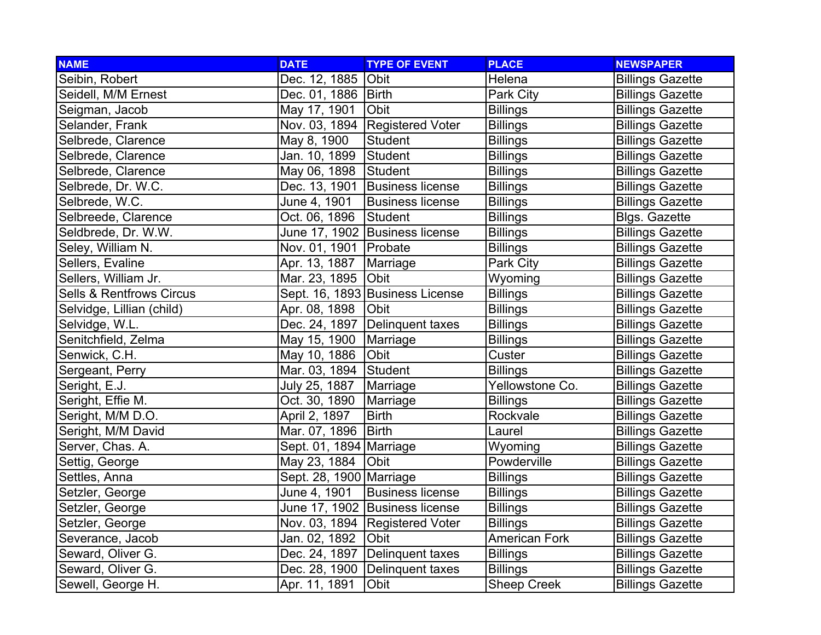| <b>NAME</b>                         | <b>DATE</b>             | <b>TYPE OF EVENT</b>             | <b>PLACE</b>         | <b>NEWSPAPER</b>        |
|-------------------------------------|-------------------------|----------------------------------|----------------------|-------------------------|
| Seibin, Robert                      | Dec. 12, 1885           | <b>Obit</b>                      | Helena               | <b>Billings Gazette</b> |
| Seidell, M/M Ernest                 | Dec. 01, 1886   Birth   |                                  | Park City            | <b>Billings Gazette</b> |
| Seigman, Jacob                      | May 17, 1901            | <b>Obit</b>                      | <b>Billings</b>      | <b>Billings Gazette</b> |
| Selander, Frank                     |                         | Nov. 03, 1894 Registered Voter   | <b>Billings</b>      | <b>Billings Gazette</b> |
| Selbrede, Clarence                  | May 8, 1900             | <b>Student</b>                   | <b>Billings</b>      | <b>Billings Gazette</b> |
| Selbrede, Clarence                  | Jan. 10, 1899           | Student                          | <b>Billings</b>      | <b>Billings Gazette</b> |
| Selbrede, Clarence                  | May 06, 1898            | Student                          | <b>Billings</b>      | <b>Billings Gazette</b> |
| Selbrede, Dr. W.C.                  | Dec. 13, 1901           | Business license                 | <b>Billings</b>      | <b>Billings Gazette</b> |
| Selbrede, W.C.                      | June 4, 1901            | <b>Business license</b>          | <b>Billings</b>      | <b>Billings Gazette</b> |
| Selbreede, Clarence                 | Oct. 06, 1896           | Student                          | <b>Billings</b>      | Blgs. Gazette           |
| Seldbrede, Dr. W.W.                 |                         | June 17, 1902 Business license   | <b>Billings</b>      | <b>Billings Gazette</b> |
| Seley, William N.                   | Nov. 01, 1901   Probate |                                  | <b>Billings</b>      | <b>Billings Gazette</b> |
| Sellers, Evaline                    | Apr. 13, 1887           | Marriage                         | Park City            | <b>Billings Gazette</b> |
| Sellers, William Jr.                | Mar. 23, 1895           | <b>Obit</b>                      | Wyoming              | <b>Billings Gazette</b> |
| <b>Sells &amp; Rentfrows Circus</b> |                         | Sept. 16, 1893 Business License  | <b>Billings</b>      | <b>Billings Gazette</b> |
| Selvidge, Lillian (child)           | Apr. 08, 1898           | Obit                             | <b>Billings</b>      | <b>Billings Gazette</b> |
| Selvidge, W.L.                      |                         | Dec. 24, 1897   Delinquent taxes | <b>Billings</b>      | <b>Billings Gazette</b> |
| Senitchfield, Zelma                 | May 15, 1900            | Marriage                         | <b>Billings</b>      | <b>Billings Gazette</b> |
| Senwick, C.H.                       | May 10, 1886            | Obit                             | Custer               | <b>Billings Gazette</b> |
| Sergeant, Perry                     | Mar. 03, 1894           | Student                          | <b>Billings</b>      | <b>Billings Gazette</b> |
| Seright, E.J.                       | July 25, 1887           | Marriage                         | Yellowstone Co.      | <b>Billings Gazette</b> |
| Seright, Effie M.                   | Oct. 30, 1890           | Marriage                         | <b>Billings</b>      | <b>Billings Gazette</b> |
| Seright, M/M D.O.                   | April 2, 1897           | <b>Birth</b>                     | Rockvale             | <b>Billings Gazette</b> |
| Seright, M/M David                  | Mar. 07, 1896           | <b>Birth</b>                     | Laurel               | <b>Billings Gazette</b> |
| Server, Chas. A.                    | Sept. 01, 1894 Marriage |                                  | Wyoming              | <b>Billings Gazette</b> |
| Settig, George                      | May 23, 1884            | Obit                             | Powderville          | <b>Billings Gazette</b> |
| Settles, Anna                       | Sept. 28, 1900 Marriage |                                  | <b>Billings</b>      | <b>Billings Gazette</b> |
| Setzler, George                     | June 4, 1901            | <b>Business license</b>          | <b>Billings</b>      | <b>Billings Gazette</b> |
| Setzler, George                     |                         | June 17, 1902 Business license   | <b>Billings</b>      | <b>Billings Gazette</b> |
| Setzler, George                     |                         | Nov. 03, 1894   Registered Voter | <b>Billings</b>      | <b>Billings Gazette</b> |
| Severance, Jacob                    | Jan. 02, 1892           | Obit                             | <b>American Fork</b> | <b>Billings Gazette</b> |
| Seward, Oliver G.                   | Dec. 24, 1897           | Delinquent taxes                 | <b>Billings</b>      | <b>Billings Gazette</b> |
| Seward, Oliver G.                   | Dec. 28, 1900           | Delinquent taxes                 | <b>Billings</b>      | <b>Billings Gazette</b> |
| Sewell, George H.                   | Apr. 11, 1891           | Obit                             | <b>Sheep Creek</b>   | <b>Billings Gazette</b> |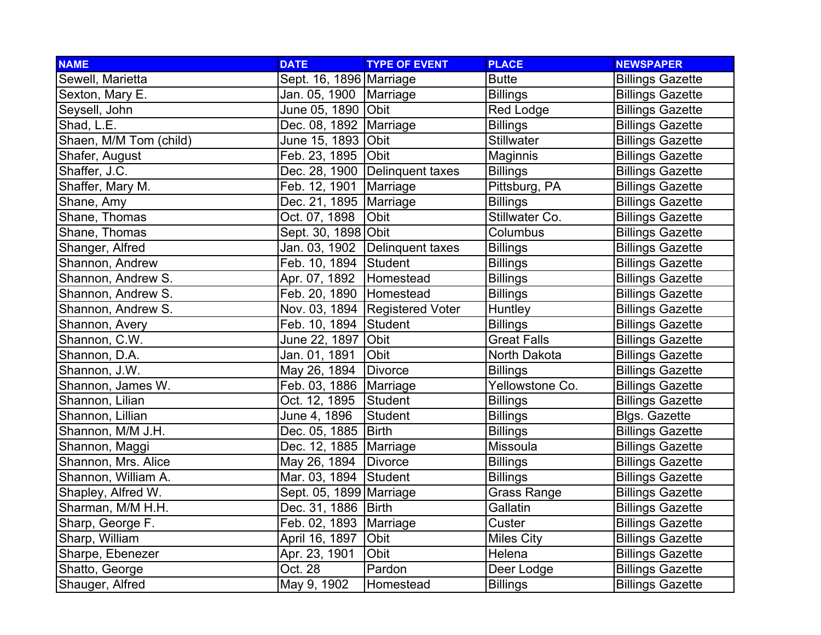| <b>NAME</b>            | <b>DATE</b>               | <b>TYPE OF EVENT</b>             | <b>PLACE</b>       | <b>NEWSPAPER</b>        |
|------------------------|---------------------------|----------------------------------|--------------------|-------------------------|
| Sewell, Marietta       | Sept. 16, 1896 Marriage   |                                  | <b>Butte</b>       | <b>Billings Gazette</b> |
| Sexton, Mary E.        | Jan. 05, 1900   Marriage  |                                  | <b>Billings</b>    | <b>Billings Gazette</b> |
| Seysell, John          | June 05, 1890  Obit       |                                  | Red Lodge          | <b>Billings Gazette</b> |
| Shad, L.E.             | Dec. 08, 1892   Marriage  |                                  | <b>Billings</b>    | <b>Billings Gazette</b> |
| Shaen, M/M Tom (child) | June 15, 1893 Obit        |                                  | <b>Stillwater</b>  | <b>Billings Gazette</b> |
| Shafer, August         | Feb. 23, 1895 Obit        |                                  | Maginnis           | <b>Billings Gazette</b> |
| Shaffer, J.C.          |                           | Dec. 28, 1900   Delinquent taxes | <b>Billings</b>    | <b>Billings Gazette</b> |
| Shaffer, Mary M.       | Feb. 12, 1901             | Marriage                         | Pittsburg, PA      | <b>Billings Gazette</b> |
| Shane, Amy             | Dec. 21, 1895   Marriage  |                                  | <b>Billings</b>    | <b>Billings Gazette</b> |
| Shane, Thomas          | Oct. 07, 1898             | Obit                             | Stillwater Co.     | <b>Billings Gazette</b> |
| Shane, Thomas          | Sept. 30, 1898 Obit       |                                  | Columbus           | <b>Billings Gazette</b> |
| Shanger, Alfred        |                           | Jan. 03, 1902 Delinquent taxes   | <b>Billings</b>    | <b>Billings Gazette</b> |
| Shannon, Andrew        | Feb. 10, 1894 Student     |                                  | <b>Billings</b>    | <b>Billings Gazette</b> |
| Shannon, Andrew S.     | Apr. 07, 1892   Homestead |                                  | <b>Billings</b>    | <b>Billings Gazette</b> |
| Shannon, Andrew S.     | Feb. 20, 1890 Homestead   |                                  | <b>Billings</b>    | <b>Billings Gazette</b> |
| Shannon, Andrew S.     |                           | Nov. 03, 1894   Registered Voter | Huntley            | <b>Billings Gazette</b> |
| Shannon, Avery         | Feb. 10, 1894 Student     |                                  | <b>Billings</b>    | <b>Billings Gazette</b> |
| Shannon, C.W.          | June 22, 1897 Obit        |                                  | <b>Great Falls</b> | <b>Billings Gazette</b> |
| Shannon, D.A.          | Jan. 01, 1891             | Obit                             | North Dakota       | <b>Billings Gazette</b> |
| Shannon, J.W.          | May 26, 1894              | <b>Divorce</b>                   | <b>Billings</b>    | <b>Billings Gazette</b> |
| Shannon, James W.      | Feb. 03, 1886   Marriage  |                                  | Yellowstone Co.    | <b>Billings Gazette</b> |
| Shannon, Lilian        | Oct. 12, 1895             | Student                          | <b>Billings</b>    | <b>Billings Gazette</b> |
| Shannon, Lillian       | June 4, 1896              | Student                          | <b>Billings</b>    | Blgs. Gazette           |
| Shannon, M/M J.H.      | Dec. 05, 1885             | <b>Birth</b>                     | <b>Billings</b>    | <b>Billings Gazette</b> |
| Shannon, Maggi         | Dec. 12, 1885   Marriage  |                                  | Missoula           | <b>Billings Gazette</b> |
| Shannon, Mrs. Alice    | May 26, 1894              | Divorce                          | <b>Billings</b>    | <b>Billings Gazette</b> |
| Shannon, William A.    | Mar. 03, 1894             | Student                          | <b>Billings</b>    | <b>Billings Gazette</b> |
| Shapley, Alfred W.     | Sept. 05, 1899 Marriage   |                                  | Grass Range        | <b>Billings Gazette</b> |
| Sharman, M/M H.H.      | Dec. 31, 1886   Birth     |                                  | Gallatin           | <b>Billings Gazette</b> |
| Sharp, George F.       | Feb. 02, 1893   Marriage  |                                  | Custer             | <b>Billings Gazette</b> |
| Sharp, William         | April 16, 1897            | Obit                             | <b>Miles City</b>  | <b>Billings Gazette</b> |
| Sharpe, Ebenezer       | Apr. 23, 1901             | Obit                             | Helena             | <b>Billings Gazette</b> |
| Shatto, George         | Oct. 28                   | Pardon                           | Deer Lodge         | <b>Billings Gazette</b> |
| Shauger, Alfred        | May 9, 1902               | Homestead                        | <b>Billings</b>    | <b>Billings Gazette</b> |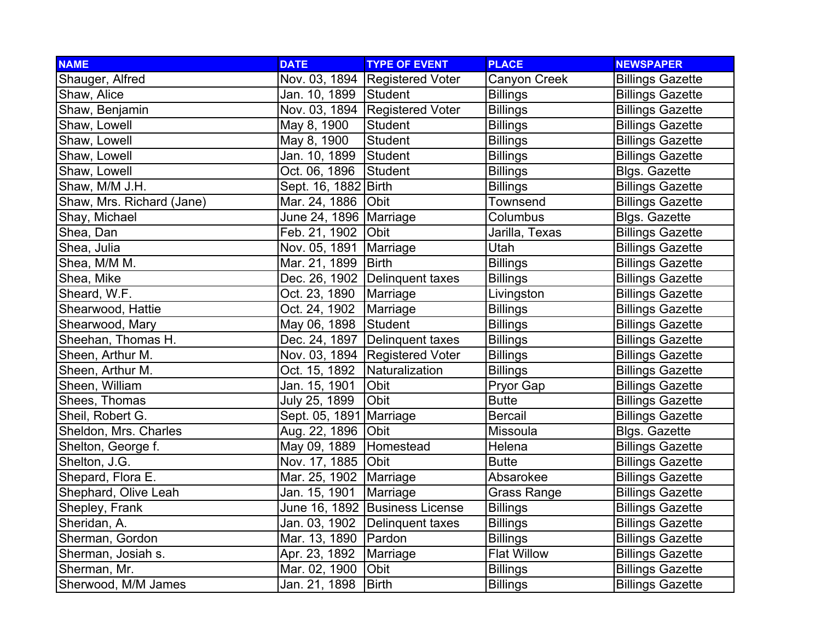| <b>NAME</b>               | <b>DATE</b>              | <b>TYPE OF EVENT</b>           | <b>PLACE</b>       | <b>NEWSPAPER</b>        |
|---------------------------|--------------------------|--------------------------------|--------------------|-------------------------|
| Shauger, Alfred           |                          | Nov. 03, 1894 Registered Voter | Canyon Creek       | <b>Billings Gazette</b> |
| Shaw, Alice               | Jan. 10, 1899            | Student                        | <b>Billings</b>    | <b>Billings Gazette</b> |
| Shaw, Benjamin            |                          | Nov. 03, 1894 Registered Voter | <b>Billings</b>    | <b>Billings Gazette</b> |
| Shaw, Lowell              | May 8, 1900              | <b>Student</b>                 | <b>Billings</b>    | <b>Billings Gazette</b> |
| Shaw, Lowell              | May 8, 1900              | <b>Student</b>                 | <b>Billings</b>    | <b>Billings Gazette</b> |
| Shaw, Lowell              | Jan. 10, 1899            | Student                        | <b>Billings</b>    | <b>Billings Gazette</b> |
| Shaw, Lowell              | Oct. 06, 1896            | Student                        | <b>Billings</b>    | Blgs. Gazette           |
| Shaw, M/M J.H.            | Sept. 16, 1882 Birth     |                                | <b>Billings</b>    | <b>Billings Gazette</b> |
| Shaw, Mrs. Richard (Jane) | Mar. 24, 1886            | Obit                           | Townsend           | <b>Billings Gazette</b> |
| Shay, Michael             | June 24, 1896   Marriage |                                | Columbus           | Blgs. Gazette           |
| Shea, Dan                 | Feb. 21, 1902            | <b>Obit</b>                    | Jarilla, Texas     | <b>Billings Gazette</b> |
| Shea, Julia               | Nov. 05, 1891            | Marriage                       | Utah               | <b>Billings Gazette</b> |
| Shea, M/M M.              | Mar. 21, 1899            | <b>Birth</b>                   | <b>Billings</b>    | <b>Billings Gazette</b> |
| Shea, Mike                |                          | Dec. 26, 1902 Delinquent taxes | <b>Billings</b>    | <b>Billings Gazette</b> |
| Sheard, W.F.              | Oct. 23, 1890            | Marriage                       | Livingston         | <b>Billings Gazette</b> |
| Shearwood, Hattie         | Oct. 24, 1902            | Marriage                       | <b>Billings</b>    | <b>Billings Gazette</b> |
| Shearwood, Mary           | May 06, 1898             | Student                        | <b>Billings</b>    | <b>Billings Gazette</b> |
| Sheehan, Thomas H.        |                          | Dec. 24, 1897 Delinquent taxes | <b>Billings</b>    | <b>Billings Gazette</b> |
| Sheen, Arthur M.          |                          | Nov. 03, 1894 Registered Voter | <b>Billings</b>    | <b>Billings Gazette</b> |
| Sheen, Arthur M.          | Oct. 15, 1892            | Naturalization                 | <b>Billings</b>    | <b>Billings Gazette</b> |
| Sheen, William            | Jan. 15, 1901            | Obit                           | Pryor Gap          | <b>Billings Gazette</b> |
| Shees, Thomas             | July 25, 1899            | Obit                           | <b>Butte</b>       | <b>Billings Gazette</b> |
| Sheil, Robert G.          | Sept. 05, 1891 Marriage  |                                | <b>Bercail</b>     | <b>Billings Gazette</b> |
| Sheldon, Mrs. Charles     | Aug. 22, 1896 Obit       |                                | Missoula           | Blgs. Gazette           |
| Shelton, George f.        | May 09, 1889             | Homestead                      | Helena             | <b>Billings Gazette</b> |
| Shelton, J.G.             | Nov. 17, 1885            | Obit                           | <b>Butte</b>       | <b>Billings Gazette</b> |
| Shepard, Flora E.         | Mar. 25, 1902            | Marriage                       | Absarokee          | <b>Billings Gazette</b> |
| Shephard, Olive Leah      | Jan. 15, 1901            | Marriage                       | Grass Range        | <b>Billings Gazette</b> |
| Shepley, Frank            |                          | June 16, 1892 Business License | <b>Billings</b>    | <b>Billings Gazette</b> |
| Sheridan, A.              |                          | Jan. 03, 1902 Delinquent taxes | <b>Billings</b>    | <b>Billings Gazette</b> |
| Sherman, Gordon           | Mar. 13, 1890   Pardon   |                                | <b>Billings</b>    | <b>Billings Gazette</b> |
| Sherman, Josiah s.        | Apr. 23, 1892            | Marriage                       | <b>Flat Willow</b> | <b>Billings Gazette</b> |
| Sherman, Mr.              | Mar. 02, 1900            | Obit                           | <b>Billings</b>    | <b>Billings Gazette</b> |
| Sherwood, M/M James       | Jan. 21, 1898            | <b>Birth</b>                   | <b>Billings</b>    | <b>Billings Gazette</b> |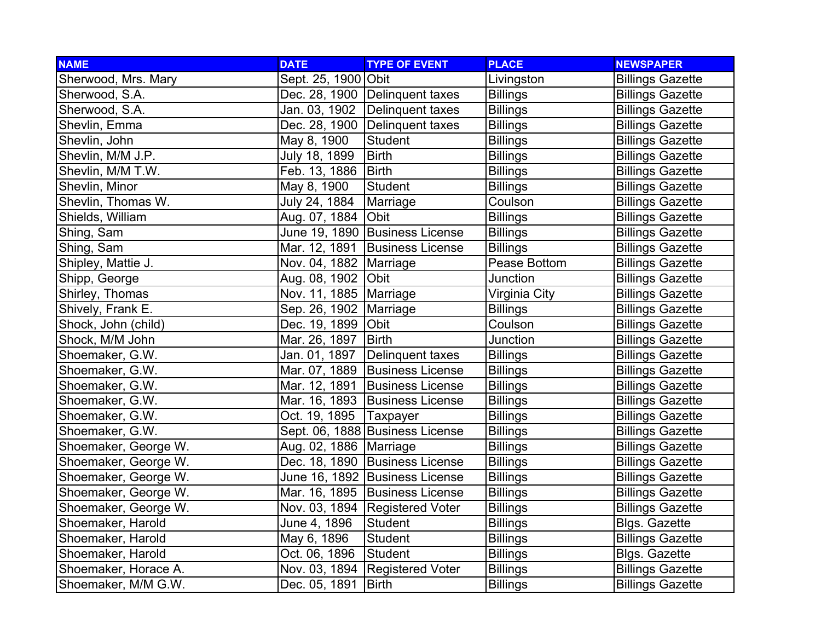| <b>NAME</b>          | <b>DATE</b>              | <b>TYPE OF EVENT</b>             | <b>PLACE</b>    | <b>NEWSPAPER</b>        |
|----------------------|--------------------------|----------------------------------|-----------------|-------------------------|
| Sherwood, Mrs. Mary  | Sept. 25, 1900 Obit      |                                  | Livingston      | <b>Billings Gazette</b> |
| Sherwood, S.A.       |                          | Dec. 28, 1900 Delinquent taxes   | <b>Billings</b> | <b>Billings Gazette</b> |
| Sherwood, S.A.       |                          | Jan. 03, 1902 Delinquent taxes   | <b>Billings</b> | <b>Billings Gazette</b> |
| Shevlin, Emma        |                          | Dec. 28, 1900 Delinquent taxes   | <b>Billings</b> | <b>Billings Gazette</b> |
| Shevlin, John        | May 8, 1900              | Student                          | <b>Billings</b> | <b>Billings Gazette</b> |
| Shevlin, M/M J.P.    | July 18, 1899            | <b>Birth</b>                     | <b>Billings</b> | <b>Billings Gazette</b> |
| Shevlin, M/M T.W.    | Feb. 13, 1886   Birth    |                                  | <b>Billings</b> | <b>Billings Gazette</b> |
| Shevlin, Minor       | May 8, 1900              | Student                          | <b>Billings</b> | <b>Billings Gazette</b> |
| Shevlin, Thomas W.   | July 24, 1884            | Marriage                         | Coulson         | <b>Billings Gazette</b> |
| Shields, William     | Aug. 07, 1884            | <b>Obit</b>                      | <b>Billings</b> | <b>Billings Gazette</b> |
| Shing, Sam           |                          | June 19, 1890 Business License   | <b>Billings</b> | <b>Billings Gazette</b> |
| Shing, Sam           |                          | Mar. 12, 1891 Business License   | <b>Billings</b> | <b>Billings Gazette</b> |
| Shipley, Mattie J.   | Nov. 04, 1882   Marriage |                                  | Pease Bottom    | <b>Billings Gazette</b> |
| Shipp, George        | Aug. 08, 1902 Obit       |                                  | Junction        | <b>Billings Gazette</b> |
| Shirley, Thomas      | Nov. 11, 1885   Marriage |                                  | Virginia City   | <b>Billings Gazette</b> |
| Shively, Frank E.    | Sep. 26, 1902   Marriage |                                  | <b>Billings</b> | <b>Billings Gazette</b> |
| Shock, John (child)  | Dec. 19, 1899 Obit       |                                  | Coulson         | <b>Billings Gazette</b> |
| Shock, M/M John      | Mar. 26, 1897   Birth    |                                  | Junction        | <b>Billings Gazette</b> |
| Shoemaker, G.W.      | Jan. 01, 1897            | Delinquent taxes                 | <b>Billings</b> | <b>Billings Gazette</b> |
| Shoemaker, G.W.      |                          | Mar. 07, 1889 Business License   | <b>Billings</b> | <b>Billings Gazette</b> |
| Shoemaker, G.W.      |                          | Mar. 12, 1891 Business License   | <b>Billings</b> | <b>Billings Gazette</b> |
| Shoemaker, G.W.      |                          | Mar. 16, 1893 Business License   | <b>Billings</b> | <b>Billings Gazette</b> |
| Shoemaker, G.W.      | Oct. 19, 1895   Taxpayer |                                  | <b>Billings</b> | <b>Billings Gazette</b> |
| Shoemaker, G.W.      |                          | Sept. 06, 1888 Business License  | <b>Billings</b> | <b>Billings Gazette</b> |
| Shoemaker, George W. | Aug. 02, 1886   Marriage |                                  | <b>Billings</b> | <b>Billings Gazette</b> |
| Shoemaker, George W. |                          | Dec. 18, 1890 Business License   | <b>Billings</b> | <b>Billings Gazette</b> |
| Shoemaker, George W. |                          | June 16, 1892 Business License   | <b>Billings</b> | <b>Billings Gazette</b> |
| Shoemaker, George W. |                          | Mar. 16, 1895   Business License | <b>Billings</b> | <b>Billings Gazette</b> |
| Shoemaker, George W. |                          | Nov. 03, 1894 Registered Voter   | <b>Billings</b> | <b>Billings Gazette</b> |
| Shoemaker, Harold    | June 4, 1896             | Student                          | <b>Billings</b> | <b>Blgs. Gazette</b>    |
| Shoemaker, Harold    | May 6, 1896              | <b>Student</b>                   | <b>Billings</b> | <b>Billings Gazette</b> |
| Shoemaker, Harold    | Oct. 06, 1896            | Student                          | <b>Billings</b> | Blgs. Gazette           |
| Shoemaker, Horace A. |                          | Nov. 03, 1894 Registered Voter   | <b>Billings</b> | <b>Billings Gazette</b> |
| Shoemaker, M/M G.W.  | Dec. 05, 1891            | Birth                            | <b>Billings</b> | <b>Billings Gazette</b> |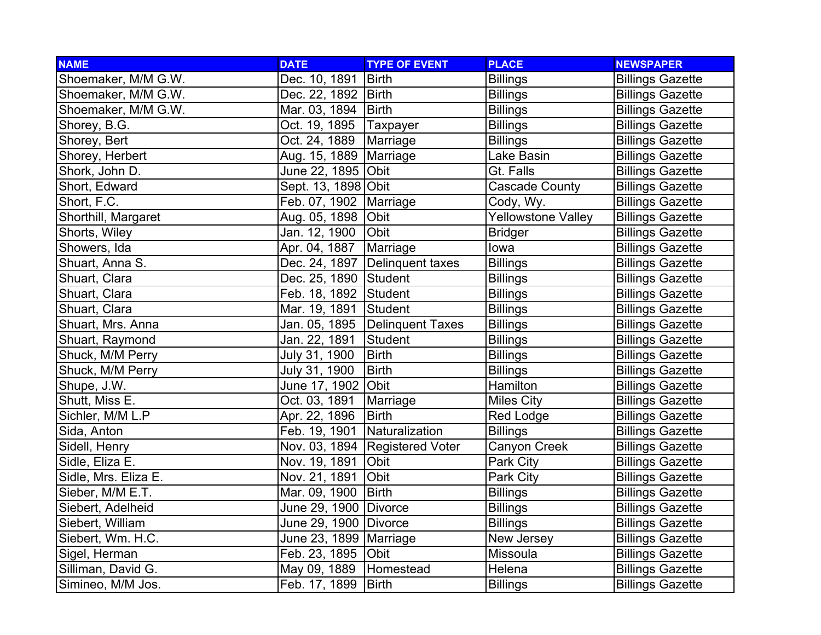| <b>NAME</b>          | <b>DATE</b>              | <b>TYPE OF EVENT</b>           | <b>PLACE</b>              | <b>NEWSPAPER</b>        |
|----------------------|--------------------------|--------------------------------|---------------------------|-------------------------|
| Shoemaker, M/M G.W.  | Dec. 10, 1891            | <b>Birth</b>                   | <b>Billings</b>           | <b>Billings Gazette</b> |
| Shoemaker, M/M G.W.  | Dec. 22, 1892   Birth    |                                | <b>Billings</b>           | <b>Billings Gazette</b> |
| Shoemaker, M/M G.W.  | Mar. 03, 1894   Birth    |                                | <b>Billings</b>           | <b>Billings Gazette</b> |
| Shorey, B.G.         | Oct. 19, 1895            | Taxpayer                       | <b>Billings</b>           | <b>Billings Gazette</b> |
| Shorey, Bert         | Oct. 24, 1889            | Marriage                       | <b>Billings</b>           | <b>Billings Gazette</b> |
| Shorey, Herbert      | Aug. 15, 1889   Marriage |                                | Lake Basin                | <b>Billings Gazette</b> |
| Shork, John D.       | June 22, 1895 Obit       |                                | Gt. Falls                 | <b>Billings Gazette</b> |
| Short, Edward        | Sept. 13, 1898 Obit      |                                | <b>Cascade County</b>     | <b>Billings Gazette</b> |
| Short, F.C.          | Feb. 07, 1902            | Marriage                       | Cody, Wy.                 | <b>Billings Gazette</b> |
| Shorthill, Margaret  | Aug. 05, 1898            | Obit                           | <b>Yellowstone Valley</b> | <b>Billings Gazette</b> |
| Shorts, Wiley        | Jan. 12, 1900            | <b>Obit</b>                    | <b>Bridger</b>            | <b>Billings Gazette</b> |
| Showers, Ida         | Apr. 04, 1887            | Marriage                       | lowa                      | <b>Billings Gazette</b> |
| Shuart, Anna S.      | Dec. 24, 1897            | Delinquent taxes               | <b>Billings</b>           | <b>Billings Gazette</b> |
| Shuart, Clara        | Dec. 25, 1890 Student    |                                | <b>Billings</b>           | <b>Billings Gazette</b> |
| Shuart, Clara        | Feb. 18, 1892 Student    |                                | <b>Billings</b>           | <b>Billings Gazette</b> |
| Shuart, Clara        | Mar. 19, 1891 Student    |                                | <b>Billings</b>           | <b>Billings Gazette</b> |
| Shuart, Mrs. Anna    |                          | Jan. 05, 1895 Delinquent Taxes | <b>Billings</b>           | <b>Billings Gazette</b> |
| Shuart, Raymond      | Jan. 22, 1891            | Student                        | <b>Billings</b>           | <b>Billings Gazette</b> |
| Shuck, M/M Perry     | July 31, 1900            | <b>Birth</b>                   | <b>Billings</b>           | <b>Billings Gazette</b> |
| Shuck, M/M Perry     | July 31, 1900            | <b>Birth</b>                   | <b>Billings</b>           | <b>Billings Gazette</b> |
| Shupe, J.W.          | June 17, 1902 Obit       |                                | Hamilton                  | <b>Billings Gazette</b> |
| Shutt, Miss E.       | Oct. 03, 1891            | Marriage                       | <b>Miles City</b>         | <b>Billings Gazette</b> |
| Sichler, M/M L.P     | Apr. 22, 1896            | <b>Birth</b>                   | Red Lodge                 | <b>Billings Gazette</b> |
| Sida, Anton          | Feb. 19, 1901            | Naturalization                 | <b>Billings</b>           | <b>Billings Gazette</b> |
| Sidell, Henry        |                          | Nov. 03, 1894 Registered Voter | Canyon Creek              | <b>Billings Gazette</b> |
| Sidle, Eliza E.      | Nov. 19, 1891            | Obit                           | Park City                 | <b>Billings Gazette</b> |
| Sidle, Mrs. Eliza E. | Nov. 21, 1891            | Obit                           | Park City                 | <b>Billings Gazette</b> |
| Sieber, M/M E.T.     | Mar. 09, 1900            | <b>Birth</b>                   | <b>Billings</b>           | <b>Billings Gazette</b> |
| Siebert, Adelheid    | June 29, 1900 Divorce    |                                | <b>Billings</b>           | <b>Billings Gazette</b> |
| Siebert, William     | June 29, 1900 Divorce    |                                | <b>Billings</b>           | <b>Billings Gazette</b> |
| Siebert, Wm. H.C.    | June 23, 1899   Marriage |                                | New Jersey                | <b>Billings Gazette</b> |
| Sigel, Herman        | Feb. 23, 1895 Obit       |                                | Missoula                  | <b>Billings Gazette</b> |
| Silliman, David G.   | May 09, 1889             | Homestead                      | Helena                    | <b>Billings Gazette</b> |
| Simineo, M/M Jos.    | Feb. 17, 1899            | Birth                          | <b>Billings</b>           | <b>Billings Gazette</b> |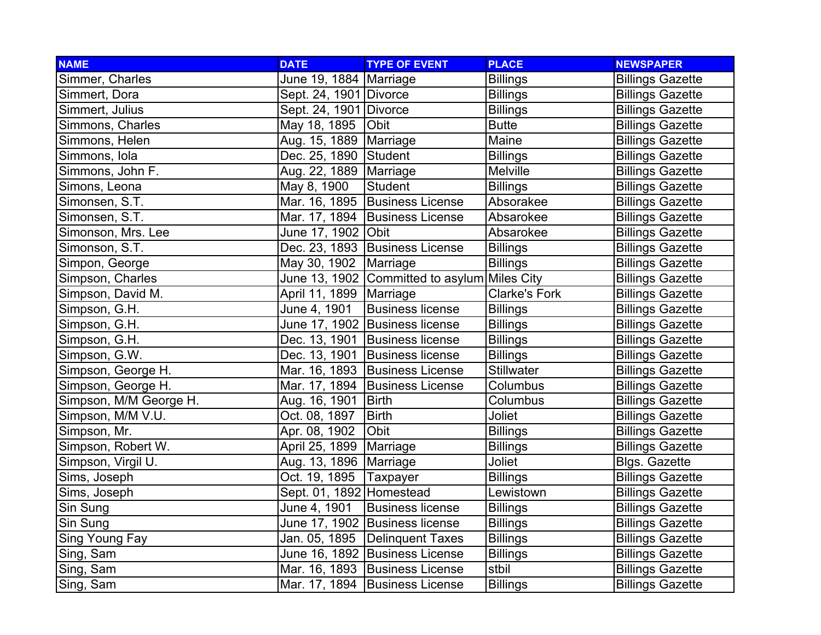| <b>NAME</b>            | <b>DATE</b>                | <b>TYPE OF EVENT</b>                         | <b>PLACE</b>         | <b>NEWSPAPER</b>        |
|------------------------|----------------------------|----------------------------------------------|----------------------|-------------------------|
| Simmer, Charles        | June 19, 1884   Marriage   |                                              | <b>Billings</b>      | <b>Billings Gazette</b> |
| Simmert, Dora          | Sept. 24, 1901 Divorce     |                                              | <b>Billings</b>      | <b>Billings Gazette</b> |
| Simmert, Julius        | Sept. 24, 1901 Divorce     |                                              | <b>Billings</b>      | <b>Billings Gazette</b> |
| Simmons, Charles       | May 18, 1895   Obit        |                                              | <b>Butte</b>         | <b>Billings Gazette</b> |
| Simmons, Helen         | Aug. 15, 1889   Marriage   |                                              | Maine                | <b>Billings Gazette</b> |
| Simmons, Iola          | Dec. 25, 1890 Student      |                                              | <b>Billings</b>      | <b>Billings Gazette</b> |
| Simmons, John F.       | Aug. 22, 1889   Marriage   |                                              | Melville             | <b>Billings Gazette</b> |
| Simons, Leona          | May 8, 1900                | Student                                      | <b>Billings</b>      | <b>Billings Gazette</b> |
| Simonsen, S.T.         |                            | Mar. 16, 1895 Business License               | Absorakee            | <b>Billings Gazette</b> |
| Simonsen, S.T.         |                            | Mar. 17, 1894 Business License               | Absarokee            | <b>Billings Gazette</b> |
| Simonson, Mrs. Lee     | June 17, 1902   Obit       |                                              | Absarokee            | <b>Billings Gazette</b> |
| Simonson, S.T.         |                            | Dec. 23, 1893   Business License             | <b>Billings</b>      | <b>Billings Gazette</b> |
| Simpon, George         | May 30, 1902 Marriage      |                                              | <b>Billings</b>      | <b>Billings Gazette</b> |
| Simpson, Charles       |                            | June 13, 1902 Committed to asylum Miles City |                      | <b>Billings Gazette</b> |
| Simpson, David M.      | April 11, 1899   Marriage  |                                              | <b>Clarke's Fork</b> | <b>Billings Gazette</b> |
| Simpson, G.H.          | June 4, 1901               | <b>Business license</b>                      | <b>Billings</b>      | <b>Billings Gazette</b> |
| Simpson, G.H.          |                            | June 17, 1902 Business license               | <b>Billings</b>      | <b>Billings Gazette</b> |
| Simpson, G.H.          |                            | Dec. 13, 1901 Business license               | <b>Billings</b>      | <b>Billings Gazette</b> |
| Simpson, G.W.          |                            | Dec. 13, 1901 Business license               | <b>Billings</b>      | <b>Billings Gazette</b> |
| Simpson, George H.     |                            | Mar. 16, 1893 Business License               | <b>Stillwater</b>    | <b>Billings Gazette</b> |
| Simpson, George H.     |                            | Mar. 17, 1894 Business License               | Columbus             | <b>Billings Gazette</b> |
| Simpson, M/M George H. | Aug. 16, 1901              | <b>Birth</b>                                 | Columbus             | <b>Billings Gazette</b> |
| Simpson, M/M V.U.      | Oct. 08, 1897              | <b>Birth</b>                                 | Joliet               | <b>Billings Gazette</b> |
| Simpson, Mr.           | Apr. 08, 1902              | Obit                                         | <b>Billings</b>      | <b>Billings Gazette</b> |
| Simpson, Robert W.     | April 25, 1899             | Marriage                                     | <b>Billings</b>      | <b>Billings Gazette</b> |
| Simpson, Virgil U.     | Aug. 13, 1896   Marriage   |                                              | Joliet               | Blgs. Gazette           |
| Sims, Joseph           | Oct. 19, 1895              | Taxpayer                                     | <b>Billings</b>      | <b>Billings Gazette</b> |
| Sims, Joseph           | Sept. 01, 1892   Homestead |                                              | Lewistown            | <b>Billings Gazette</b> |
| Sin Sung               | June 4, 1901               | <b>Business license</b>                      | <b>Billings</b>      | <b>Billings Gazette</b> |
| Sin Sung               |                            | June 17, 1902 Business license               | <b>Billings</b>      | <b>Billings Gazette</b> |
| Sing Young Fay         |                            | Jan. 05, 1895   Delinquent Taxes             | <b>Billings</b>      | <b>Billings Gazette</b> |
| Sing, Sam              |                            | June 16, 1892 Business License               | <b>Billings</b>      | <b>Billings Gazette</b> |
| Sing, Sam              |                            | Mar. 16, 1893 Business License               | stbil                | <b>Billings Gazette</b> |
| Sing, Sam              |                            | Mar. 17, 1894 Business License               | <b>Billings</b>      | <b>Billings Gazette</b> |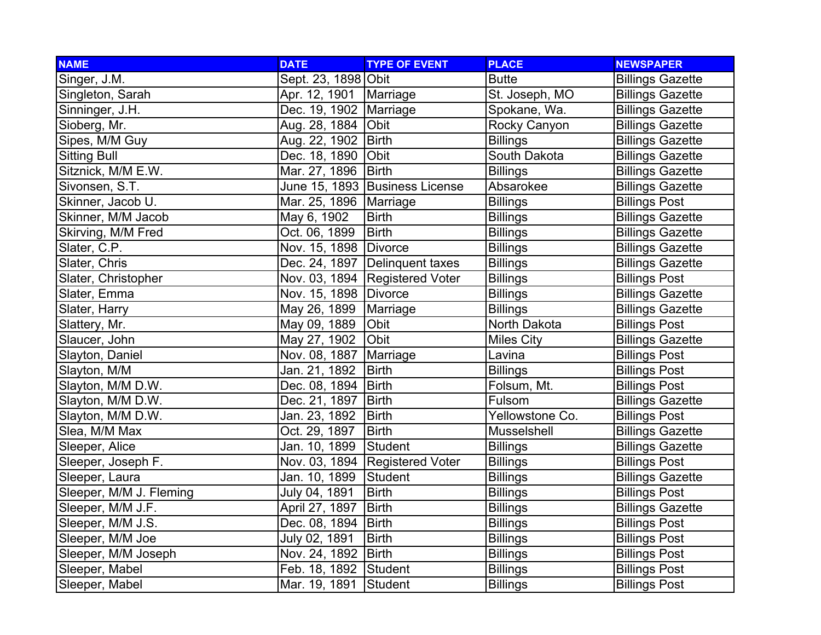| <b>NAME</b>             | <b>DATE</b>              | <b>TYPE OF EVENT</b>             | <b>PLACE</b>      | <b>NEWSPAPER</b>        |
|-------------------------|--------------------------|----------------------------------|-------------------|-------------------------|
| Singer, J.M.            | Sept. 23, 1898 Obit      |                                  | <b>Butte</b>      | <b>Billings Gazette</b> |
| Singleton, Sarah        | Apr. 12, 1901   Marriage |                                  | St. Joseph, MO    | <b>Billings Gazette</b> |
| Sinninger, J.H.         | Dec. 19, 1902 Marriage   |                                  | Spokane, Wa.      | <b>Billings Gazette</b> |
| Sioberg, Mr.            | Aug. 28, 1884            | Obit                             | Rocky Canyon      | <b>Billings Gazette</b> |
| Sipes, M/M Guy          | Aug. 22, 1902   Birth    |                                  | <b>Billings</b>   | <b>Billings Gazette</b> |
| <b>Sitting Bull</b>     | Dec. 18, 1890            | Obit                             | South Dakota      | <b>Billings Gazette</b> |
| Sitznick, M/M E.W.      | Mar. 27, 1896   Birth    |                                  | <b>Billings</b>   | <b>Billings Gazette</b> |
| Sivonsen, S.T.          |                          | June 15, 1893 Business License   | Absarokee         | <b>Billings Gazette</b> |
| Skinner, Jacob U.       | Mar. 25, 1896   Marriage |                                  | <b>Billings</b>   | <b>Billings Post</b>    |
| Skinner, M/M Jacob      | May 6, 1902              | <b>Birth</b>                     | <b>Billings</b>   | <b>Billings Gazette</b> |
| Skirving, M/M Fred      | Oct. 06, 1899            | <b>Birth</b>                     | <b>Billings</b>   | <b>Billings Gazette</b> |
| Slater, C.P.            | Nov. 15, 1898   Divorce  |                                  | <b>Billings</b>   | <b>Billings Gazette</b> |
| Slater, Chris           |                          | Dec. 24, 1897   Delinquent taxes | <b>Billings</b>   | <b>Billings Gazette</b> |
| Slater, Christopher     |                          | Nov. 03, 1894   Registered Voter | <b>Billings</b>   | <b>Billings Post</b>    |
| Slater, Emma            | Nov. 15, 1898 Divorce    |                                  | <b>Billings</b>   | <b>Billings Gazette</b> |
| Slater, Harry           | May 26, 1899             | Marriage                         | <b>Billings</b>   | <b>Billings Gazette</b> |
| Slattery, Mr.           | May 09, 1889             | Obit                             | North Dakota      | <b>Billings Post</b>    |
| Slaucer, John           | May 27, 1902             | Obit                             | <b>Miles City</b> | <b>Billings Gazette</b> |
| Slayton, Daniel         | Nov. 08, 1887            | Marriage                         | Lavina            | <b>Billings Post</b>    |
| Slayton, M/M            | Jan. 21, 1892            | <b>Birth</b>                     | <b>Billings</b>   | <b>Billings Post</b>    |
| Slayton, M/M D.W.       | Dec. 08, 1894            | <b>Birth</b>                     | Folsum, Mt.       | <b>Billings Post</b>    |
| Slayton, M/M D.W.       | Dec. 21, 1897            | <b>Birth</b>                     | Fulsom            | <b>Billings Gazette</b> |
| Slayton, M/M D.W.       | Jan. 23, 1892            | <b>Birth</b>                     | Yellowstone Co.   | <b>Billings Post</b>    |
| Slea, M/M Max           | Oct. 29, 1897            | <b>Birth</b>                     | Musselshell       | <b>Billings Gazette</b> |
| Sleeper, Alice          | Jan. 10, 1899            | Student                          | <b>Billings</b>   | <b>Billings Gazette</b> |
| Sleeper, Joseph F.      |                          | Nov. 03, 1894 Registered Voter   | <b>Billings</b>   | <b>Billings Post</b>    |
| Sleeper, Laura          | Jan. 10, 1899            | Student                          | <b>Billings</b>   | <b>Billings Gazette</b> |
| Sleeper, M/M J. Fleming | July 04, 1891            | <b>Birth</b>                     | <b>Billings</b>   | <b>Billings Post</b>    |
| Sleeper, M/M J.F.       | April 27, 1897           | <b>Birth</b>                     | <b>Billings</b>   | <b>Billings Gazette</b> |
| Sleeper, M/M J.S.       | Dec. 08, 1894            | <b>Birth</b>                     | <b>Billings</b>   | <b>Billings Post</b>    |
| Sleeper, M/M Joe        | July 02, 1891            | <b>Birth</b>                     | <b>Billings</b>   | <b>Billings Post</b>    |
| Sleeper, M/M Joseph     | Nov. 24, 1892   Birth    |                                  | <b>Billings</b>   | <b>Billings Post</b>    |
| Sleeper, Mabel          | Feb. 18, 1892 Student    |                                  | <b>Billings</b>   | <b>Billings Post</b>    |
| Sleeper, Mabel          | Mar. 19, 1891            | Student                          | <b>Billings</b>   | <b>Billings Post</b>    |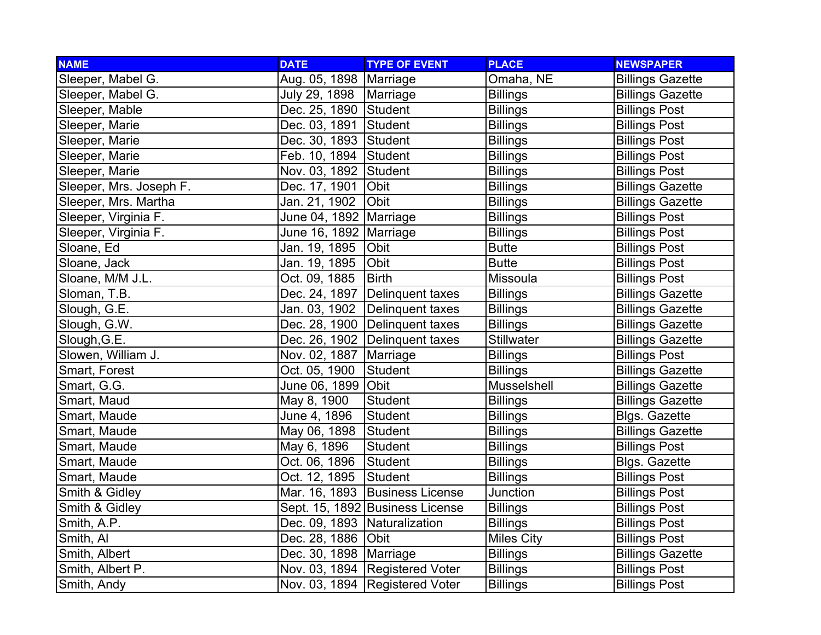| <b>NAME</b>             | <b>DATE</b>                    | <b>TYPE OF EVENT</b>            | <b>PLACE</b>      | <b>NEWSPAPER</b>        |
|-------------------------|--------------------------------|---------------------------------|-------------------|-------------------------|
| Sleeper, Mabel G.       | Aug. 05, 1898   Marriage       |                                 | Omaha, NE         | <b>Billings Gazette</b> |
| Sleeper, Mabel G.       | July 29, 1898   Marriage       |                                 | <b>Billings</b>   | <b>Billings Gazette</b> |
| Sleeper, Mable          | Dec. 25, 1890 Student          |                                 | <b>Billings</b>   | <b>Billings Post</b>    |
| Sleeper, Marie          | Dec. 03, 1891 Student          |                                 | <b>Billings</b>   | <b>Billings Post</b>    |
| Sleeper, Marie          | Dec. 30, 1893 Student          |                                 | <b>Billings</b>   | <b>Billings Post</b>    |
| Sleeper, Marie          | Feb. 10, 1894 Student          |                                 | <b>Billings</b>   | <b>Billings Post</b>    |
| Sleeper, Marie          | Nov. 03, 1892 Student          |                                 | <b>Billings</b>   | <b>Billings Post</b>    |
| Sleeper, Mrs. Joseph F. | Dec. 17, 1901                  | Obit                            | <b>Billings</b>   | <b>Billings Gazette</b> |
| Sleeper, Mrs. Martha    | Jan. 21, 1902                  | Obit                            | <b>Billings</b>   | <b>Billings Gazette</b> |
| Sleeper, Virginia F.    | June 04, 1892   Marriage       |                                 | <b>Billings</b>   | <b>Billings Post</b>    |
| Sleeper, Virginia F.    | June 16, 1892   Marriage       |                                 | <b>Billings</b>   | <b>Billings Post</b>    |
| Sloane, Ed              | Jan. 19, 1895                  | <b>Obit</b>                     | <b>Butte</b>      | <b>Billings Post</b>    |
| Sloane, Jack            | Jan. 19, 1895                  | Obit                            | <b>Butte</b>      | <b>Billings Post</b>    |
| Sloane, M/M J.L.        | Oct. 09, 1885                  | <b>Birth</b>                    | Missoula          | <b>Billings Post</b>    |
| Sloman, T.B.            |                                | Dec. 24, 1897 Delinquent taxes  | <b>Billings</b>   | <b>Billings Gazette</b> |
| Slough, G.E.            |                                | Jan. 03, 1902 Delinquent taxes  | <b>Billings</b>   | <b>Billings Gazette</b> |
| Slough, G.W.            |                                | Dec. 28, 1900 Delinquent taxes  | <b>Billings</b>   | <b>Billings Gazette</b> |
| Slough, G.E.            |                                | Dec. 26, 1902 Delinquent taxes  | <b>Stillwater</b> | <b>Billings Gazette</b> |
| Slowen, William J.      | Nov. 02, 1887   Marriage       |                                 | <b>Billings</b>   | <b>Billings Post</b>    |
| Smart, Forest           | Oct. 05, 1900                  | Student                         | <b>Billings</b>   | <b>Billings Gazette</b> |
| Smart, G.G.             | June 06, 1899 Obit             |                                 | Musselshell       | <b>Billings Gazette</b> |
| Smart, Maud             | May 8, 1900                    | Student                         | <b>Billings</b>   | <b>Billings Gazette</b> |
| Smart, Maude            | June 4, 1896                   | Student                         | <b>Billings</b>   | Blgs. Gazette           |
| Smart, Maude            | May 06, 1898                   | Student                         | <b>Billings</b>   | <b>Billings Gazette</b> |
| Smart, Maude            | May 6, 1896                    | Student                         | <b>Billings</b>   | <b>Billings Post</b>    |
| Smart, Maude            | Oct. 06, 1896                  | Student                         | <b>Billings</b>   | Blgs. Gazette           |
| Smart, Maude            | Oct. 12, 1895                  | Student                         | <b>Billings</b>   | <b>Billings Post</b>    |
| Smith & Gidley          |                                | Mar. 16, 1893 Business License  | Junction          | <b>Billings Post</b>    |
| Smith & Gidley          |                                | Sept. 15, 1892 Business License | <b>Billings</b>   | <b>Billings Post</b>    |
| Smith, A.P.             | Dec. 09, 1893   Naturalization |                                 | <b>Billings</b>   | <b>Billings Post</b>    |
| Smith, Al               | Dec. 28, 1886 Obit             |                                 | <b>Miles City</b> | <b>Billings Post</b>    |
| Smith, Albert           | Dec. 30, 1898   Marriage       |                                 | <b>Billings</b>   | <b>Billings Gazette</b> |
| Smith, Albert P.        |                                | Nov. 03, 1894 Registered Voter  | <b>Billings</b>   | <b>Billings Post</b>    |
| Smith, Andy             |                                | Nov. 03, 1894 Registered Voter  | <b>Billings</b>   | <b>Billings Post</b>    |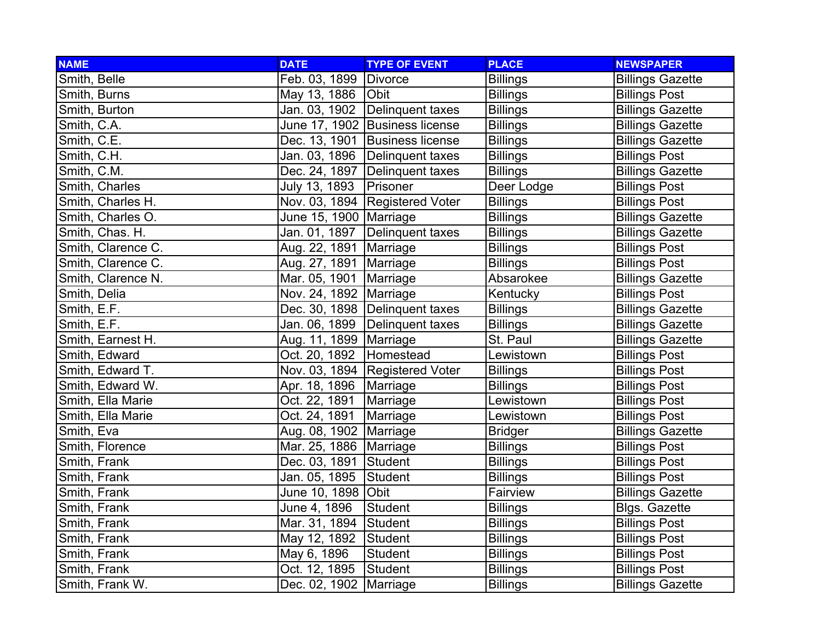| <b>NAME</b>        | <b>DATE</b>              | <b>TYPE OF EVENT</b>             | <b>PLACE</b>    | <b>NEWSPAPER</b>        |
|--------------------|--------------------------|----------------------------------|-----------------|-------------------------|
| Smith, Belle       | Feb. 03, 1899            | Divorce                          | <b>Billings</b> | <b>Billings Gazette</b> |
| Smith, Burns       | May 13, 1886 <b>Obit</b> |                                  | <b>Billings</b> | <b>Billings Post</b>    |
| Smith, Burton      |                          | Jan. 03, 1902 Delinquent taxes   | <b>Billings</b> | <b>Billings Gazette</b> |
| Smith, C.A.        |                          | June 17, 1902 Business license   | <b>Billings</b> | <b>Billings Gazette</b> |
| Smith, C.E.        |                          | Dec. 13, 1901 Business license   | <b>Billings</b> | <b>Billings Gazette</b> |
| Smith, C.H.        |                          | Jan. 03, 1896 Delinquent taxes   | <b>Billings</b> | <b>Billings Post</b>    |
| Smith, C.M.        |                          | Dec. 24, 1897 Delinquent taxes   | <b>Billings</b> | <b>Billings Gazette</b> |
| Smith, Charles     | July 13, 1893            | Prisoner                         | Deer Lodge      | <b>Billings Post</b>    |
| Smith, Charles H.  |                          | Nov. 03, 1894   Registered Voter | <b>Billings</b> | <b>Billings Post</b>    |
| Smith, Charles O.  | June 15, 1900   Marriage |                                  | <b>Billings</b> | <b>Billings Gazette</b> |
| Smith, Chas. H.    | Jan. 01, 1897            | Delinquent taxes                 | <b>Billings</b> | <b>Billings Gazette</b> |
| Smith, Clarence C. | Aug. 22, 1891   Marriage |                                  | <b>Billings</b> | <b>Billings Post</b>    |
| Smith, Clarence C. | Aug. 27, 1891   Marriage |                                  | <b>Billings</b> | <b>Billings Post</b>    |
| Smith, Clarence N. | Mar. 05, 1901   Marriage |                                  | Absarokee       | <b>Billings Gazette</b> |
| Smith, Delia       | Nov. 24, 1892 Marriage   |                                  | Kentucky        | <b>Billings Post</b>    |
| Smith, E.F.        |                          | Dec. 30, 1898   Delinquent taxes | <b>Billings</b> | <b>Billings Gazette</b> |
| Smith, E.F.        |                          | Jan. 06, 1899 Delinquent taxes   | <b>Billings</b> | <b>Billings Gazette</b> |
| Smith, Earnest H.  | Aug. 11, 1899   Marriage |                                  | St. Paul        | <b>Billings Gazette</b> |
| Smith, Edward      | Oct. 20, 1892            | Homestead                        | Lewistown       | <b>Billings Post</b>    |
| Smith, Edward T.   |                          | Nov. 03, 1894 Registered Voter   | <b>Billings</b> | <b>Billings Post</b>    |
| Smith, Edward W.   | Apr. 18, 1896            | Marriage                         | <b>Billings</b> | <b>Billings Post</b>    |
| Smith, Ella Marie  | Oct. 22, 1891            | Marriage                         | Lewistown       | <b>Billings Post</b>    |
| Smith, Ella Marie  | Oct. 24, 1891            | Marriage                         | Lewistown       | <b>Billings Post</b>    |
| Smith, Eva         | Aug. 08, 1902   Marriage |                                  | <b>Bridger</b>  | <b>Billings Gazette</b> |
| Smith, Florence    | Mar. 25, 1886   Marriage |                                  | <b>Billings</b> | <b>Billings Post</b>    |
| Smith, Frank       | Dec. 03, 1891            | Student                          | <b>Billings</b> | <b>Billings Post</b>    |
| Smith, Frank       | Jan. 05, 1895            | Student                          | <b>Billings</b> | <b>Billings Post</b>    |
| Smith, Frank       | June 10, 1898  Obit      |                                  | Fairview        | <b>Billings Gazette</b> |
| Smith, Frank       | June 4, 1896             | Student                          | <b>Billings</b> | <b>Blgs. Gazette</b>    |
| Smith, Frank       | Mar. 31, 1894            | Student                          | <b>Billings</b> | <b>Billings Post</b>    |
| Smith, Frank       | May 12, 1892             | Student                          | <b>Billings</b> | <b>Billings Post</b>    |
| Smith, Frank       | May 6, 1896              | <b>Student</b>                   | <b>Billings</b> | <b>Billings Post</b>    |
| Smith, Frank       | Oct. 12, 1895            | Student                          | <b>Billings</b> | <b>Billings Post</b>    |
| Smith, Frank W.    | Dec. 02, 1902   Marriage |                                  | <b>Billings</b> | <b>Billings Gazette</b> |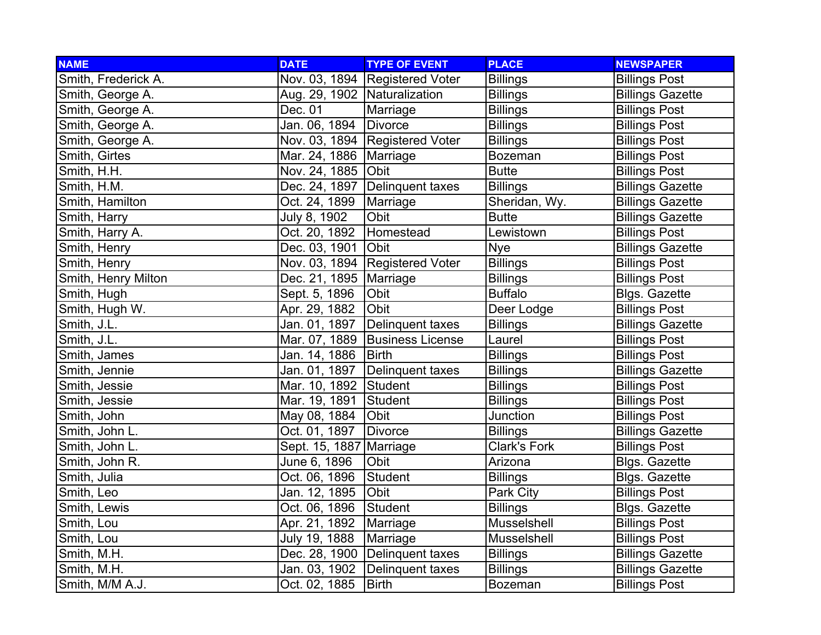| <b>NAME</b>         | <b>DATE</b>                    | <b>TYPE OF EVENT</b>             | <b>PLACE</b>        | <b>NEWSPAPER</b>        |
|---------------------|--------------------------------|----------------------------------|---------------------|-------------------------|
| Smith, Frederick A. |                                | Nov. 03, 1894 Registered Voter   | <b>Billings</b>     | <b>Billings Post</b>    |
| Smith, George A.    | Aug. 29, 1902   Naturalization |                                  | <b>Billings</b>     | <b>Billings Gazette</b> |
| Smith, George A.    | Dec. 01                        | Marriage                         | <b>Billings</b>     | <b>Billings Post</b>    |
| Smith, George A.    | Jan. 06, 1894                  | <b>Divorce</b>                   | <b>Billings</b>     | <b>Billings Post</b>    |
| Smith, George A.    |                                | Nov. 03, 1894 Registered Voter   | <b>Billings</b>     | <b>Billings Post</b>    |
| Smith, Girtes       | Mar. 24, 1886   Marriage       |                                  | <b>Bozeman</b>      | <b>Billings Post</b>    |
| Smith, H.H.         | Nov. 24, 1885 Obit             |                                  | <b>Butte</b>        | <b>Billings Post</b>    |
| Smith, H.M.         |                                | Dec. 24, 1897   Delinguent taxes | <b>Billings</b>     | <b>Billings Gazette</b> |
| Smith, Hamilton     | Oct. 24, 1899                  | Marriage                         | Sheridan, Wy.       | <b>Billings Gazette</b> |
| Smith, Harry        | July 8, 1902                   | Obit                             | <b>Butte</b>        | <b>Billings Gazette</b> |
| Smith, Harry A.     | Oct. 20, 1892                  | Homestead                        | Lewistown           | <b>Billings Post</b>    |
| Smith, Henry        | Dec. 03, 1901                  | Obit                             | <b>Nye</b>          | <b>Billings Gazette</b> |
| Smith, Henry        |                                | Nov. 03, 1894 Registered Voter   | <b>Billings</b>     | <b>Billings Post</b>    |
| Smith, Henry Milton | Dec. 21, 1895   Marriage       |                                  | <b>Billings</b>     | <b>Billings Post</b>    |
| Smith, Hugh         | Sept. 5, 1896                  | Obit                             | <b>Buffalo</b>      | Blgs. Gazette           |
| Smith, Hugh W.      | Apr. 29, 1882                  | Obit                             | Deer Lodge          | <b>Billings Post</b>    |
| Smith, J.L.         | Jan. 01, 1897                  | Delinquent taxes                 | <b>Billings</b>     | <b>Billings Gazette</b> |
| Smith, J.L.         | Mar. 07, 1889                  | <b>Business License</b>          | Laurel              | <b>Billings Post</b>    |
| Smith, James        | Jan. 14, 1886                  | <b>Birth</b>                     | <b>Billings</b>     | <b>Billings Post</b>    |
| Smith, Jennie       | Jan. 01, 1897                  | Delinquent taxes                 | <b>Billings</b>     | <b>Billings Gazette</b> |
| Smith, Jessie       | Mar. 10, 1892 Student          |                                  | <b>Billings</b>     | <b>Billings Post</b>    |
| Smith, Jessie       | Mar. 19, 1891                  | Student                          | <b>Billings</b>     | <b>Billings Post</b>    |
| Smith, John         | May 08, 1884                   | Obit                             | Junction            | <b>Billings Post</b>    |
| Smith, John L.      | Oct. 01, 1897                  | <b>Divorce</b>                   | <b>Billings</b>     | <b>Billings Gazette</b> |
| Smith, John L.      | Sept. 15, 1887 Marriage        |                                  | <b>Clark's Fork</b> | <b>Billings Post</b>    |
| Smith, John R.      | June 6, 1896                   | Obit                             | Arizona             | Blgs. Gazette           |
| Smith, Julia        | Oct. 06, 1896                  | Student                          | <b>Billings</b>     | Blgs. Gazette           |
| Smith, Leo          | Jan. 12, 1895                  | Obit                             | Park City           | <b>Billings Post</b>    |
| Smith, Lewis        | Oct. 06, 1896                  | <b>Student</b>                   | <b>Billings</b>     | Blgs. Gazette           |
| Smith, Lou          | Apr. 21, 1892                  | Marriage                         | Musselshell         | <b>Billings Post</b>    |
| Smith, Lou          | July 19, 1888                  | Marriage                         | Musselshell         | <b>Billings Post</b>    |
| Smith, M.H.         |                                | Dec. 28, 1900 Delinquent taxes   | <b>Billings</b>     | <b>Billings Gazette</b> |
| Smith, M.H.         | Jan. 03, 1902                  | Delinquent taxes                 | <b>Billings</b>     | <b>Billings Gazette</b> |
| Smith, M/M A.J.     | Oct. 02, 1885                  | <b>Birth</b>                     | <b>Bozeman</b>      | <b>Billings Post</b>    |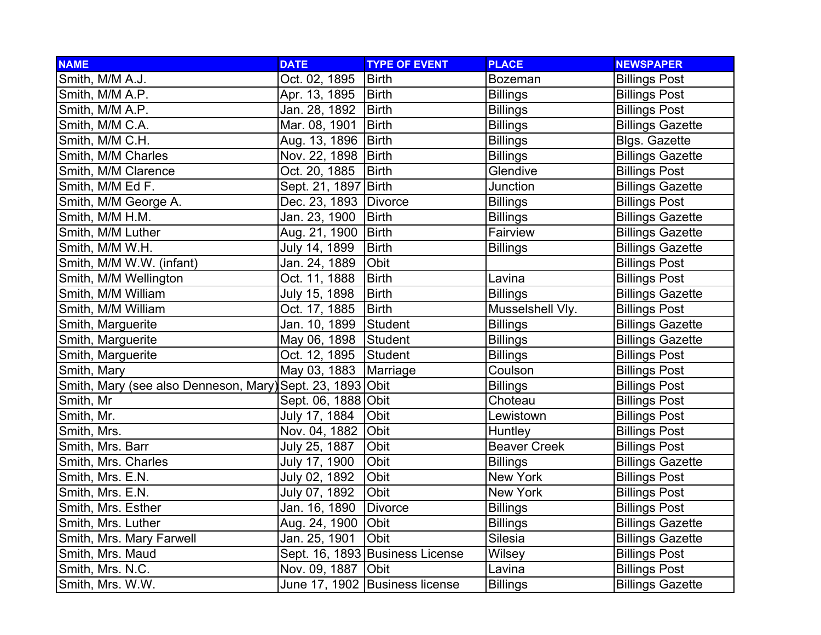| <b>NAME</b>                                               | <b>DATE</b>           | <b>TYPE OF EVENT</b>            | <b>PLACE</b>        | <b>NEWSPAPER</b>        |
|-----------------------------------------------------------|-----------------------|---------------------------------|---------------------|-------------------------|
| Smith, M/M A.J.                                           | Oct. 02, 1895         | <b>Birth</b>                    | <b>Bozeman</b>      | <b>Billings Post</b>    |
| Smith, M/M A.P.                                           | Apr. 13, 1895         | <b>Birth</b>                    | <b>Billings</b>     | <b>Billings Post</b>    |
| Smith, M/M A.P.                                           | Jan. 28, 1892         | <b>Birth</b>                    | <b>Billings</b>     | <b>Billings Post</b>    |
| Smith, M/M C.A.                                           | Mar. 08, 1901         | <b>Birth</b>                    | <b>Billings</b>     | <b>Billings Gazette</b> |
| Smith, M/M C.H.                                           | Aug. 13, 1896         | Birth                           | <b>Billings</b>     | <b>Blgs. Gazette</b>    |
| Smith, M/M Charles                                        | Nov. 22, 1898         | Birth                           | <b>Billings</b>     | <b>Billings Gazette</b> |
| Smith, M/M Clarence                                       | Oct. 20, 1885         | <b>Birth</b>                    | Glendive            | <b>Billings Post</b>    |
| Smith, M/M Ed F.                                          | Sept. 21, 1897 Birth  |                                 | Junction            | <b>Billings Gazette</b> |
| Smith, M/M George A.                                      | Dec. 23, 1893 Divorce |                                 | <b>Billings</b>     | <b>Billings Post</b>    |
| Smith, M/M H.M.                                           | Jan. 23, 1900         | <b>Birth</b>                    | <b>Billings</b>     | <b>Billings Gazette</b> |
| Smith, M/M Luther                                         | Aug. 21, 1900         | <b>Birth</b>                    | Fairview            | <b>Billings Gazette</b> |
| Smith, M/M W.H.                                           | July 14, 1899         | <b>Birth</b>                    | <b>Billings</b>     | <b>Billings Gazette</b> |
| Smith, M/M W.W. (infant)                                  | Jan. 24, 1889         | Obit                            |                     | <b>Billings Post</b>    |
| Smith, M/M Wellington                                     | Oct. 11, 1888         | <b>Birth</b>                    | Lavina              | <b>Billings Post</b>    |
| Smith, M/M William                                        | July 15, 1898         | <b>Birth</b>                    | <b>Billings</b>     | <b>Billings Gazette</b> |
| Smith, M/M William                                        | Oct. 17, 1885         | <b>Birth</b>                    | Musselshell Vly.    | <b>Billings Post</b>    |
| Smith, Marguerite                                         | Jan. 10, 1899         | Student                         | <b>Billings</b>     | <b>Billings Gazette</b> |
| Smith, Marguerite                                         | May 06, 1898          | Student                         | <b>Billings</b>     | <b>Billings Gazette</b> |
| Smith, Marguerite                                         | Oct. 12, 1895         | Student                         | <b>Billings</b>     | <b>Billings Post</b>    |
| Smith, Mary                                               | May 03, 1883          | Marriage                        | Coulson             | <b>Billings Post</b>    |
| Smith, Mary (see also Denneson, Mary) Sept. 23, 1893 Obit |                       |                                 | <b>Billings</b>     | <b>Billings Post</b>    |
| Smith, Mr                                                 | Sept. 06, 1888 Obit   |                                 | Choteau             | <b>Billings Post</b>    |
| Smith, Mr.                                                | July 17, 1884         | Obit                            | Lewistown           | <b>Billings Post</b>    |
| Smith, Mrs.                                               | Nov. 04, 1882         | Obit                            | Huntley             | <b>Billings Post</b>    |
| Smith, Mrs. Barr                                          | July 25, 1887         | Obit                            | <b>Beaver Creek</b> | <b>Billings Post</b>    |
| Smith, Mrs. Charles                                       | July 17, 1900         | Obit                            | <b>Billings</b>     | <b>Billings Gazette</b> |
| Smith, Mrs. E.N.                                          | July 02, 1892         | Obit                            | New York            | <b>Billings Post</b>    |
| Smith, Mrs. E.N.                                          | July 07, 1892         | Obit                            | New York            | <b>Billings Post</b>    |
| Smith, Mrs. Esther                                        | Jan. 16, 1890         | <b>Divorce</b>                  | <b>Billings</b>     | <b>Billings Post</b>    |
| Smith, Mrs. Luther                                        | Aug. 24, 1900         | Obit                            | <b>Billings</b>     | <b>Billings Gazette</b> |
| Smith, Mrs. Mary Farwell                                  | Jan. 25, 1901         | Obit                            | Silesia             | <b>Billings Gazette</b> |
| Smith, Mrs. Maud                                          |                       | Sept. 16, 1893 Business License | Wilsey              | <b>Billings Post</b>    |
| Smith, Mrs. N.C.                                          | Nov. 09, 1887         | Obit                            | Lavina              | <b>Billings Post</b>    |
| Smith, Mrs. W.W.                                          |                       | June 17, 1902 Business license  | <b>Billings</b>     | <b>Billings Gazette</b> |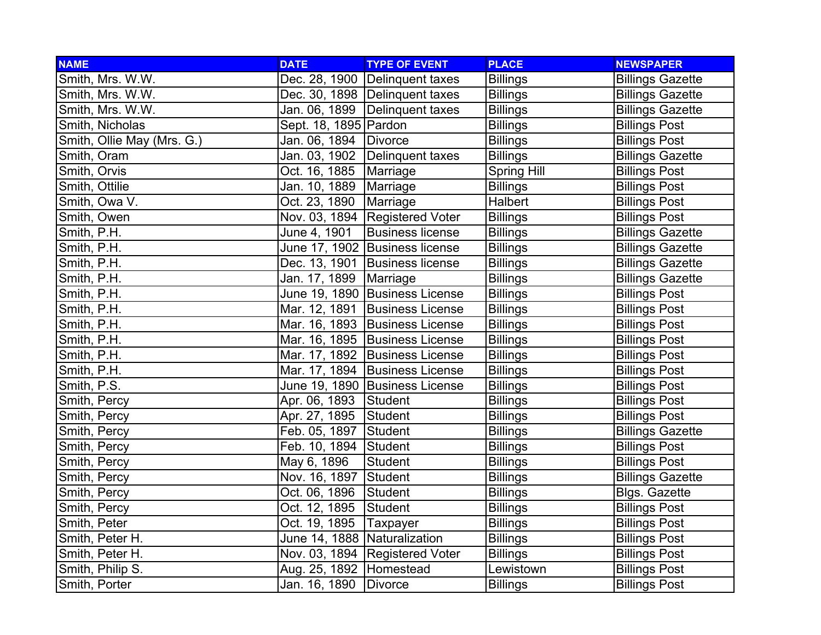| <b>NAME</b>                | <b>DATE</b>                  | <b>TYPE OF EVENT</b>             | <b>PLACE</b>       | <b>NEWSPAPER</b>        |
|----------------------------|------------------------------|----------------------------------|--------------------|-------------------------|
| Smith, Mrs. W.W.           |                              | Dec. 28, 1900 Delinquent taxes   | <b>Billings</b>    | <b>Billings Gazette</b> |
| Smith, Mrs. W.W.           |                              | Dec. 30, 1898 Delinquent taxes   | <b>Billings</b>    | <b>Billings Gazette</b> |
| Smith, Mrs. W.W.           |                              | Jan. 06, 1899 Delinquent taxes   | <b>Billings</b>    | <b>Billings Gazette</b> |
| Smith, Nicholas            | Sept. 18, 1895   Pardon      |                                  | <b>Billings</b>    | <b>Billings Post</b>    |
| Smith, Ollie May (Mrs. G.) | Jan. 06, 1894 Divorce        |                                  | <b>Billings</b>    | <b>Billings Post</b>    |
| Smith, Oram                |                              | Jan. 03, 1902 Delinquent taxes   | <b>Billings</b>    | <b>Billings Gazette</b> |
| Smith, Orvis               | Oct. 16, 1885                | Marriage                         | <b>Spring Hill</b> | <b>Billings Post</b>    |
| Smith, Ottilie             | Jan. 10, 1889                | Marriage                         | <b>Billings</b>    | <b>Billings Post</b>    |
| Smith, Owa V.              | Oct. 23, 1890                | Marriage                         | <b>Halbert</b>     | <b>Billings Post</b>    |
| Smith, Owen                |                              | Nov. 03, 1894 Registered Voter   | <b>Billings</b>    | <b>Billings Post</b>    |
| Smith, P.H.                | June 4, 1901                 | <b>Business license</b>          | <b>Billings</b>    | <b>Billings Gazette</b> |
| Smith, P.H.                |                              | June 17, 1902 Business license   | <b>Billings</b>    | <b>Billings Gazette</b> |
| Smith, P.H.                |                              | Dec. 13, 1901 Business license   | <b>Billings</b>    | <b>Billings Gazette</b> |
| Smith, P.H.                | Jan. 17, 1899   Marriage     |                                  | <b>Billings</b>    | <b>Billings Gazette</b> |
| Smith, P.H.                |                              | June 19, 1890 Business License   | <b>Billings</b>    | <b>Billings Post</b>    |
| Smith, P.H.                |                              | Mar. 12, 1891 Business License   | <b>Billings</b>    | <b>Billings Post</b>    |
| Smith, P.H.                |                              | Mar. 16, 1893 Business License   | <b>Billings</b>    | <b>Billings Post</b>    |
| Smith, P.H.                |                              | Mar. 16, 1895 Business License   | <b>Billings</b>    | <b>Billings Post</b>    |
| Smith, P.H.                |                              | Mar. 17, 1892 Business License   | <b>Billings</b>    | <b>Billings Post</b>    |
| Smith, P.H.                |                              | Mar. 17, 1894 Business License   | <b>Billings</b>    | <b>Billings Post</b>    |
| Smith, P.S.                |                              | June 19, 1890 Business License   | <b>Billings</b>    | <b>Billings Post</b>    |
| Smith, Percy               | Apr. 06, 1893                | Student                          | <b>Billings</b>    | <b>Billings Post</b>    |
| Smith, Percy               | Apr. 27, 1895                | Student                          | <b>Billings</b>    | <b>Billings Post</b>    |
| Smith, Percy               | Feb. 05, 1897                | <b>Student</b>                   | <b>Billings</b>    | <b>Billings Gazette</b> |
| Smith, Percy               | Feb. 10, 1894 Student        |                                  | <b>Billings</b>    | <b>Billings Post</b>    |
| Smith, Percy               | May 6, 1896                  | Student                          | <b>Billings</b>    | <b>Billings Post</b>    |
| Smith, Percy               | Nov. 16, 1897                | Student                          | <b>Billings</b>    | <b>Billings Gazette</b> |
| Smith, Percy               | Oct. 06, 1896                | Student                          | <b>Billings</b>    | <b>Blgs. Gazette</b>    |
| Smith, Percy               | Oct. 12, 1895                | Student                          | <b>Billings</b>    | <b>Billings Post</b>    |
| Smith, Peter               | Oct. 19, 1895                | Taxpayer                         | <b>Billings</b>    | <b>Billings Post</b>    |
| Smith, Peter H.            | June 14, 1888 Naturalization |                                  | <b>Billings</b>    | <b>Billings Post</b>    |
| Smith, Peter H.            |                              | Nov. 03, 1894   Registered Voter | <b>Billings</b>    | <b>Billings Post</b>    |
| Smith, Philip S.           | Aug. 25, 1892   Homestead    |                                  | Lewistown          | <b>Billings Post</b>    |
| Smith, Porter              | Jan. 16, 1890                | Divorce                          | <b>Billings</b>    | <b>Billings Post</b>    |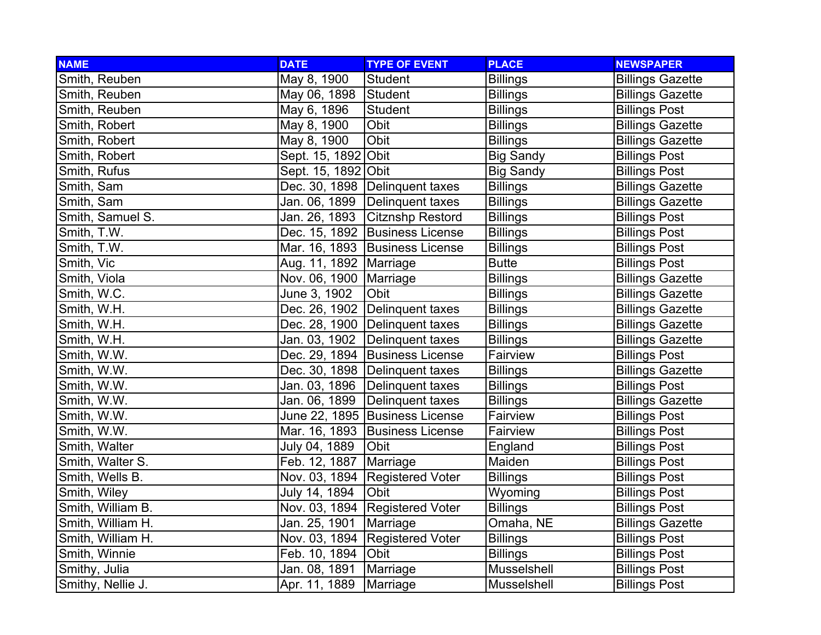| <b>NAME</b>       | <b>DATE</b>              | <b>TYPE OF EVENT</b>             | <b>PLACE</b>     | <b>NEWSPAPER</b>        |
|-------------------|--------------------------|----------------------------------|------------------|-------------------------|
| Smith, Reuben     | May 8, 1900              | Student                          | <b>Billings</b>  | <b>Billings Gazette</b> |
| Smith, Reuben     | May 06, 1898             | Student                          | <b>Billings</b>  | <b>Billings Gazette</b> |
| Smith, Reuben     | May 6, 1896              | Student                          | <b>Billings</b>  | <b>Billings Post</b>    |
| Smith, Robert     | May 8, 1900              | Obit                             | <b>Billings</b>  | <b>Billings Gazette</b> |
| Smith, Robert     | May 8, 1900              | Obit                             | <b>Billings</b>  | <b>Billings Gazette</b> |
| Smith, Robert     | Sept. 15, 1892 Obit      |                                  | <b>Big Sandy</b> | <b>Billings Post</b>    |
| Smith, Rufus      | Sept. 15, 1892 Obit      |                                  | <b>Big Sandy</b> | <b>Billings Post</b>    |
| Smith, Sam        |                          | Dec. 30, 1898   Delinquent taxes | <b>Billings</b>  | <b>Billings Gazette</b> |
| Smith, Sam        |                          | Jan. 06, 1899 Delinquent taxes   | <b>Billings</b>  | <b>Billings Gazette</b> |
| Smith, Samuel S.  |                          | Jan. 26, 1893 Citznshp Restord   | <b>Billings</b>  | <b>Billings Post</b>    |
| Smith, T.W.       |                          | Dec. 15, 1892 Business License   | <b>Billings</b>  | <b>Billings Post</b>    |
| Smith, T.W.       |                          | Mar. 16, 1893 Business License   | <b>Billings</b>  | <b>Billings Post</b>    |
| Smith, Vic        | Aug. 11, 1892   Marriage |                                  | <b>Butte</b>     | <b>Billings Post</b>    |
| Smith, Viola      | Nov. 06, 1900   Marriage |                                  | <b>Billings</b>  | <b>Billings Gazette</b> |
| Smith, W.C.       | June 3, 1902             | Obit                             | <b>Billings</b>  | <b>Billings Gazette</b> |
| Smith, W.H.       |                          | Dec. 26, 1902 Delinquent taxes   | <b>Billings</b>  | <b>Billings Gazette</b> |
| Smith, W.H.       |                          | Dec. 28, 1900   Delinguent taxes | <b>Billings</b>  | <b>Billings Gazette</b> |
| Smith, W.H.       |                          | Jan. 03, 1902 Delinquent taxes   | <b>Billings</b>  | <b>Billings Gazette</b> |
| Smith, W.W.       |                          | Dec. 29, 1894 Business License   | Fairview         | <b>Billings Post</b>    |
| Smith, W.W.       |                          | Dec. 30, 1898   Delinquent taxes | <b>Billings</b>  | <b>Billings Gazette</b> |
| Smith, W.W.       |                          | Jan. 03, 1896 Delinquent taxes   | <b>Billings</b>  | <b>Billings Post</b>    |
| Smith, W.W.       | Jan. 06, 1899            | Delinquent taxes                 | <b>Billings</b>  | <b>Billings Gazette</b> |
| Smith, W.W.       |                          | June 22, 1895 Business License   | Fairview         | <b>Billings Post</b>    |
| Smith, W.W.       |                          | Mar. 16, 1893   Business License | Fairview         | <b>Billings Post</b>    |
| Smith, Walter     | July 04, 1889            | <b>Obit</b>                      | England          | <b>Billings Post</b>    |
| Smith, Walter S.  | Feb. 12, 1887            | Marriage                         | Maiden           | <b>Billings Post</b>    |
| Smith, Wells B.   | Nov. 03, 1894            | <b>Registered Voter</b>          | <b>Billings</b>  | <b>Billings Post</b>    |
| Smith, Wiley      | July 14, 1894            | Obit                             | Wyoming          | <b>Billings Post</b>    |
| Smith, William B. |                          | Nov. 03, 1894 Registered Voter   | <b>Billings</b>  | <b>Billings Post</b>    |
| Smith, William H. | Jan. 25, 1901            | Marriage                         | Omaha, NE        | <b>Billings Gazette</b> |
| Smith, William H. |                          | Nov. 03, 1894 Registered Voter   | <b>Billings</b>  | <b>Billings Post</b>    |
| Smith, Winnie     | Feb. 10, 1894            | Obit                             | <b>Billings</b>  | <b>Billings Post</b>    |
| Smithy, Julia     | Jan. 08, 1891            | Marriage                         | Musselshell      | <b>Billings Post</b>    |
| Smithy, Nellie J. | Apr. 11, 1889            | Marriage                         | Musselshell      | <b>Billings Post</b>    |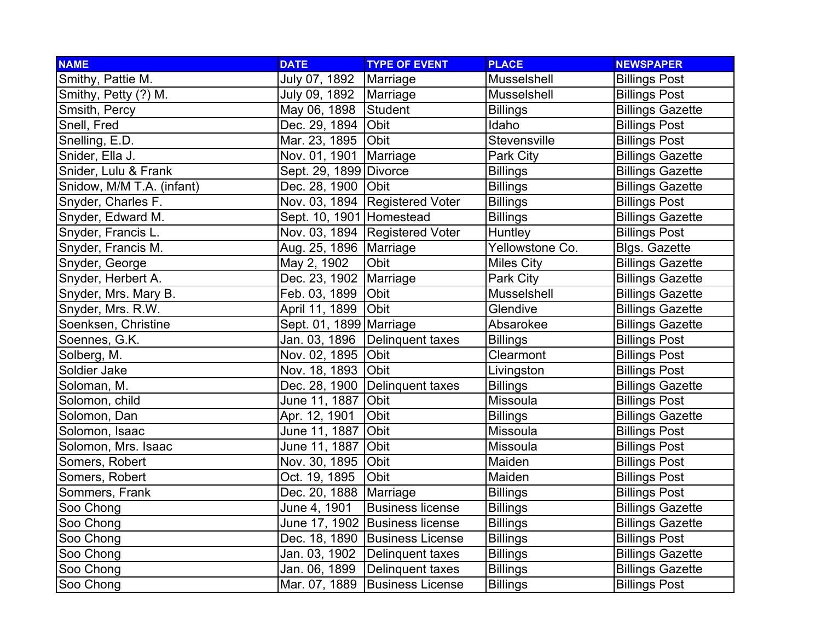| <b>NAME</b>               | <b>DATE</b>              | <b>TYPE OF EVENT</b>             | <b>PLACE</b>      | <b>NEWSPAPER</b>        |
|---------------------------|--------------------------|----------------------------------|-------------------|-------------------------|
| Smithy, Pattie M.         | July 07, 1892            | Marriage                         | Musselshell       | <b>Billings Post</b>    |
| Smithy, Petty (?) M.      | July 09, 1892   Marriage |                                  | Musselshell       | <b>Billings Post</b>    |
| Smsith, Percy             | May 06, 1898             | Student                          | <b>Billings</b>   | <b>Billings Gazette</b> |
| Snell, Fred               | Dec. 29, 1894            | Obit                             | Idaho             | <b>Billings Post</b>    |
| Snelling, E.D.            | Mar. 23, 1895 Obit       |                                  | Stevensville      | <b>Billings Post</b>    |
| Snider, Ella J.           | Nov. 01, 1901            | Marriage                         | Park City         | <b>Billings Gazette</b> |
| Snider, Lulu & Frank      | Sept. 29, 1899 Divorce   |                                  | <b>Billings</b>   | <b>Billings Gazette</b> |
| Snidow, M/M T.A. (infant) | Dec. 28, 1900 Obit       |                                  | <b>Billings</b>   | <b>Billings Gazette</b> |
| Snyder, Charles F.        |                          | Nov. 03, 1894   Registered Voter | <b>Billings</b>   | <b>Billings Post</b>    |
| Snyder, Edward M.         | Sept. 10, 1901 Homestead |                                  | <b>Billings</b>   | <b>Billings Gazette</b> |
| Snyder, Francis L.        |                          | Nov. 03, 1894 Registered Voter   | Huntley           | <b>Billings Post</b>    |
| Snyder, Francis M.        | Aug. 25, 1896   Marriage |                                  | Yellowstone Co.   | <b>Blgs. Gazette</b>    |
| Snyder, George            | May 2, 1902              | Obit                             | <b>Miles City</b> | <b>Billings Gazette</b> |
| Snyder, Herbert A.        | Dec. 23, 1902   Marriage |                                  | Park City         | <b>Billings Gazette</b> |
| Snyder, Mrs. Mary B.      | Feb. 03, 1899            | Obit                             | Musselshell       | <b>Billings Gazette</b> |
| Snyder, Mrs. R.W.         | April 11, 1899           | Obit                             | Glendive          | <b>Billings Gazette</b> |
| Soenksen, Christine       | Sept. 01, 1899 Marriage  |                                  | Absarokee         | <b>Billings Gazette</b> |
| Soennes, G.K.             | Jan. 03, 1896            | Delinquent taxes                 | <b>Billings</b>   | <b>Billings Post</b>    |
| Solberg, M.               | Nov. 02, 1895            | Obit                             | Clearmont         | <b>Billings Post</b>    |
| Soldier Jake              | Nov. 18, 1893            | Obit                             | Livingston        | <b>Billings Post</b>    |
| Soloman, M.               |                          | Dec. 28, 1900 Delinquent taxes   | <b>Billings</b>   | <b>Billings Gazette</b> |
| Solomon, child            | June 11, 1887            | Obit                             | Missoula          | <b>Billings Post</b>    |
| Solomon, Dan              | Apr. 12, 1901            | Obit                             | <b>Billings</b>   | <b>Billings Gazette</b> |
| Solomon, Isaac            | June 11, 1887            | Obit                             | Missoula          | <b>Billings Post</b>    |
| Solomon, Mrs. Isaac       | June 11, 1887            | Obit                             | Missoula          | <b>Billings Post</b>    |
| Somers, Robert            | Nov. 30, 1895            | Obit                             | Maiden            | <b>Billings Post</b>    |
| Somers, Robert            | Oct. 19, 1895            | Obit                             | Maiden            | <b>Billings Post</b>    |
| Sommers, Frank            | Dec. 20, 1888   Marriage |                                  | <b>Billings</b>   | <b>Billings Post</b>    |
| Soo Chong                 | June 4, 1901             | <b>Business license</b>          | <b>Billings</b>   | <b>Billings Gazette</b> |
| Soo Chong                 |                          | June 17, 1902 Business license   | <b>Billings</b>   | <b>Billings Gazette</b> |
| Soo Chong                 |                          | Dec. 18, 1890 Business License   | <b>Billings</b>   | <b>Billings Post</b>    |
| Soo Chong                 |                          | Jan. 03, 1902 Delinquent taxes   | <b>Billings</b>   | <b>Billings Gazette</b> |
| Soo Chong                 | Jan. 06, 1899            | Delinquent taxes                 | <b>Billings</b>   | <b>Billings Gazette</b> |
| Soo Chong                 |                          | Mar. 07, 1889 Business License   | <b>Billings</b>   | <b>Billings Post</b>    |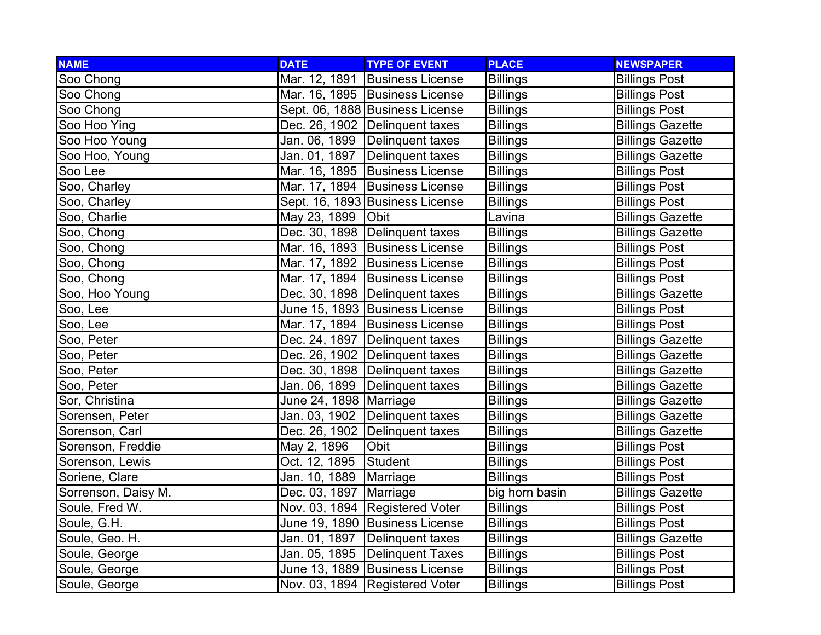| <b>NAME</b>         | <b>DATE</b>              | <b>TYPE OF EVENT</b>             | <b>PLACE</b>    | <b>NEWSPAPER</b>        |
|---------------------|--------------------------|----------------------------------|-----------------|-------------------------|
| Soo Chong           |                          | Mar. 12, 1891 Business License   | <b>Billings</b> | <b>Billings Post</b>    |
| Soo Chong           |                          | Mar. 16, 1895   Business License | <b>Billings</b> | <b>Billings Post</b>    |
| Soo Chong           |                          | Sept. 06, 1888 Business License  | <b>Billings</b> | <b>Billings Post</b>    |
| Soo Hoo Ying        |                          | Dec. 26, 1902 Delinguent taxes   | <b>Billings</b> | <b>Billings Gazette</b> |
| Soo Hoo Young       |                          | Jan. 06, 1899 Delinquent taxes   | <b>Billings</b> | <b>Billings Gazette</b> |
| Soo Hoo, Young      |                          | Jan. 01, 1897   Delinquent taxes | <b>Billings</b> | <b>Billings Gazette</b> |
| Soo Lee             |                          | Mar. 16, 1895 Business License   | <b>Billings</b> | <b>Billings Post</b>    |
| Soo, Charley        |                          | Mar. 17, 1894 Business License   | <b>Billings</b> | <b>Billings Post</b>    |
| Soo, Charley        |                          | Sept. 16, 1893 Business License  | <b>Billings</b> | <b>Billings Post</b>    |
| Soo, Charlie        | May 23, 1899             | <b>Obit</b>                      | Lavina          | <b>Billings Gazette</b> |
| Soo, Chong          |                          | Dec. 30, 1898   Delinquent taxes | <b>Billings</b> | <b>Billings Gazette</b> |
| Soo, Chong          |                          | Mar. 16, 1893 Business License   | <b>Billings</b> | <b>Billings Post</b>    |
| Soo, Chong          |                          | Mar. 17, 1892 Business License   | <b>Billings</b> | <b>Billings Post</b>    |
| Soo, Chong          |                          | Mar. 17, 1894 Business License   | <b>Billings</b> | <b>Billings Post</b>    |
| Soo, Hoo Young      |                          | Dec. 30, 1898   Delinquent taxes | <b>Billings</b> | <b>Billings Gazette</b> |
| Soo, Lee            |                          | June 15, 1893 Business License   | <b>Billings</b> | <b>Billings Post</b>    |
| Soo, Lee            |                          | Mar. 17, 1894 Business License   | <b>Billings</b> | <b>Billings Post</b>    |
| Soo, Peter          |                          | Dec. 24, 1897 Delinquent taxes   | <b>Billings</b> | <b>Billings Gazette</b> |
| Soo, Peter          |                          | Dec. 26, 1902 Delinquent taxes   | <b>Billings</b> | <b>Billings Gazette</b> |
| Soo, Peter          |                          | Dec. 30, 1898   Delinquent taxes | <b>Billings</b> | <b>Billings Gazette</b> |
| Soo, Peter          | Jan. 06, 1899            | Delinquent taxes                 | <b>Billings</b> | <b>Billings Gazette</b> |
| Sor, Christina      | June 24, 1898   Marriage |                                  | <b>Billings</b> | <b>Billings Gazette</b> |
| Sorensen, Peter     |                          | Jan. 03, 1902 Delinquent taxes   | <b>Billings</b> | <b>Billings Gazette</b> |
| Sorenson, Carl      |                          | Dec. 26, 1902 Delinquent taxes   | <b>Billings</b> | <b>Billings Gazette</b> |
| Sorenson, Freddie   | May 2, 1896              | Obit                             | <b>Billings</b> | <b>Billings Post</b>    |
| Sorenson, Lewis     | Oct. 12, 1895            | Student                          | <b>Billings</b> | <b>Billings Post</b>    |
| Soriene, Clare      | Jan. 10, 1889            | Marriage                         | <b>Billings</b> | <b>Billings Post</b>    |
| Sorrenson, Daisy M. | Dec. 03, 1897            | Marriage                         | big horn basin  | <b>Billings Gazette</b> |
| Soule, Fred W.      |                          | Nov. 03, 1894   Registered Voter | <b>Billings</b> | <b>Billings Post</b>    |
| Soule, G.H.         |                          | June 19, 1890 Business License   | <b>Billings</b> | <b>Billings Post</b>    |
| Soule, Geo. H.      |                          | Jan. 01, 1897 Delinquent taxes   | <b>Billings</b> | <b>Billings Gazette</b> |
| Soule, George       |                          | Jan. 05, 1895 Delinquent Taxes   | <b>Billings</b> | <b>Billings Post</b>    |
| Soule, George       |                          | June 13, 1889 Business License   | <b>Billings</b> | <b>Billings Post</b>    |
| Soule, George       |                          | Nov. 03, 1894   Registered Voter | <b>Billings</b> | <b>Billings Post</b>    |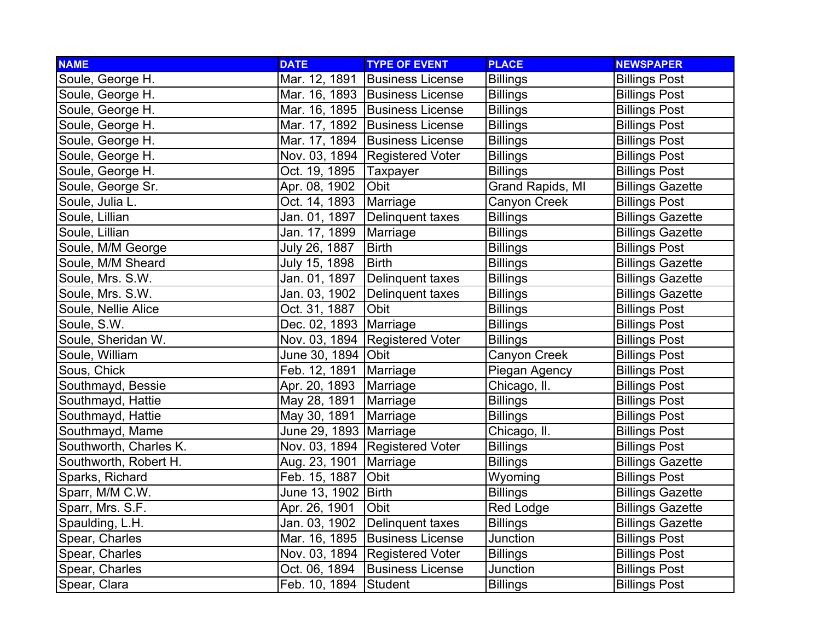| <b>NAME</b>            | <b>DATE</b>              | <b>TYPE OF EVENT</b>             | <b>PLACE</b>     | <b>NEWSPAPER</b>        |
|------------------------|--------------------------|----------------------------------|------------------|-------------------------|
| Soule, George H.       | Mar. 12, 1891            | <b>Business License</b>          | <b>Billings</b>  | <b>Billings Post</b>    |
| Soule, George H.       |                          | Mar. 16, 1893 Business License   | <b>Billings</b>  | <b>Billings Post</b>    |
| Soule, George H.       |                          | Mar. 16, 1895   Business License | <b>Billings</b>  | <b>Billings Post</b>    |
| Soule, George H.       |                          | Mar. 17, 1892 Business License   | <b>Billings</b>  | <b>Billings Post</b>    |
| Soule, George H.       |                          | Mar. 17, 1894 Business License   | <b>Billings</b>  | <b>Billings Post</b>    |
| Soule, George H.       |                          | Nov. 03, 1894   Registered Voter | <b>Billings</b>  | <b>Billings Post</b>    |
| Soule, George H.       | Oct. 19, 1895            | Taxpayer                         | <b>Billings</b>  | <b>Billings Post</b>    |
| Soule, George Sr.      | Apr. 08, 1902            | Obit                             | Grand Rapids, MI | <b>Billings Gazette</b> |
| Soule, Julia L.        | Oct. 14, 1893            | Marriage                         | Canyon Creek     | <b>Billings Post</b>    |
| Soule, Lillian         | Jan. 01, 1897            | Delinquent taxes                 | Billings         | <b>Billings Gazette</b> |
| Soule, Lillian         | Jan. 17, 1899            | Marriage                         | <b>Billings</b>  | <b>Billings Gazette</b> |
| Soule, M/M George      | July 26, 1887            | <b>Birth</b>                     | <b>Billings</b>  | <b>Billings Post</b>    |
| Soule, M/M Sheard      | July 15, 1898            | <b>Birth</b>                     | <b>Billings</b>  | <b>Billings Gazette</b> |
| Soule, Mrs. S.W.       | Jan. 01, 1897            | Delinquent taxes                 | <b>Billings</b>  | <b>Billings Gazette</b> |
| Soule, Mrs. S.W.       | Jan. 03, 1902            | Delinquent taxes                 | <b>Billings</b>  | <b>Billings Gazette</b> |
| Soule, Nellie Alice    | Oct. 31, 1887            | Obit                             | <b>Billings</b>  | <b>Billings Post</b>    |
| Soule, S.W.            | Dec. 02, 1893   Marriage |                                  | <b>Billings</b>  | <b>Billings Post</b>    |
| Soule, Sheridan W.     |                          | Nov. 03, 1894   Registered Voter | <b>Billings</b>  | <b>Billings Post</b>    |
| Soule, William         | June 30, 1894   Obit     |                                  | Canyon Creek     | <b>Billings Post</b>    |
| Sous, Chick            | Feb. 12, 1891            | Marriage                         | Piegan Agency    | <b>Billings Post</b>    |
| Southmayd, Bessie      | Apr. 20, 1893            | Marriage                         | Chicago, II.     | <b>Billings Post</b>    |
| Southmayd, Hattie      | May 28, 1891             | Marriage                         | <b>Billings</b>  | <b>Billings Post</b>    |
| Southmayd, Hattie      | May 30, 1891             | Marriage                         | <b>Billings</b>  | <b>Billings Post</b>    |
| Southmayd, Mame        | June 29, 1893 Marriage   |                                  | Chicago, II.     | <b>Billings Post</b>    |
| Southworth, Charles K. |                          | Nov. 03, 1894   Registered Voter | <b>Billings</b>  | <b>Billings Post</b>    |
| Southworth, Robert H.  | Aug. 23, 1901            | Marriage                         | <b>Billings</b>  | <b>Billings Gazette</b> |
| Sparks, Richard        | Feb. 15, 1887            | Obit                             | Wyoming          | <b>Billings Post</b>    |
| Sparr, M/M C.W.        | June 13, 1902 Birth      |                                  | <b>Billings</b>  | <b>Billings Gazette</b> |
| Sparr, Mrs. S.F.       | Apr. 26, 1901            | Obit                             | Red Lodge        | <b>Billings Gazette</b> |
| Spaulding, L.H.        | Jan. 03, 1902            | Delinquent taxes                 | <b>Billings</b>  | <b>Billings Gazette</b> |
| Spear, Charles         |                          | Mar. 16, 1895 Business License   | Junction         | <b>Billings Post</b>    |
| Spear, Charles         |                          | Nov. 03, 1894 Registered Voter   | <b>Billings</b>  | <b>Billings Post</b>    |
| Spear, Charles         | Oct. 06, 1894            | <b>Business License</b>          | Junction         | <b>Billings Post</b>    |
| Spear, Clara           | Feb. 10, 1894 Student    |                                  | <b>Billings</b>  | <b>Billings Post</b>    |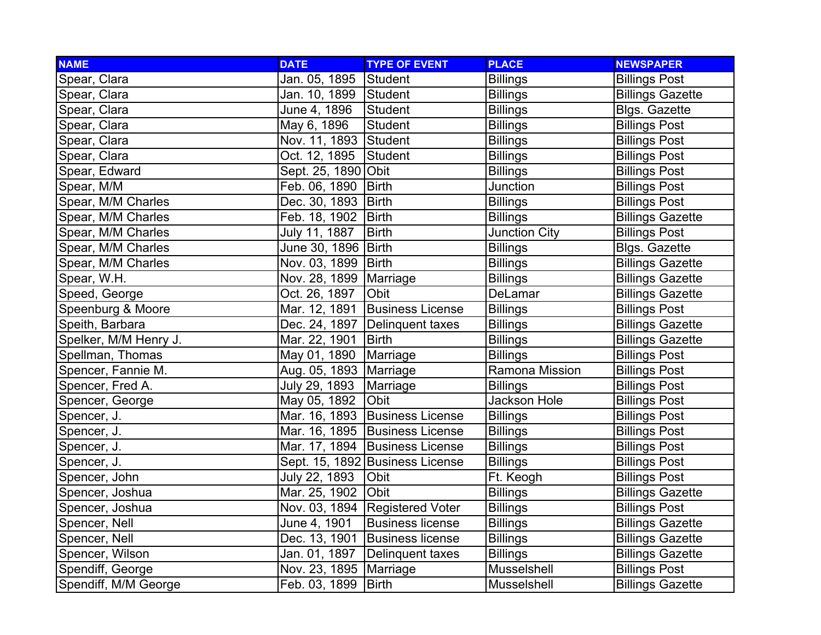| <b>NAME</b>           | <b>DATE</b>              | <b>TYPE OF EVENT</b>             | <b>PLACE</b>         | <b>NEWSPAPER</b>        |
|-----------------------|--------------------------|----------------------------------|----------------------|-------------------------|
| Spear, Clara          | Jan. 05, 1895            | Student                          | <b>Billings</b>      | <b>Billings Post</b>    |
| Spear, Clara          | Jan. 10, 1899 Student    |                                  | <b>Billings</b>      | <b>Billings Gazette</b> |
| Spear, Clara          | June 4, 1896             | Student                          | <b>Billings</b>      | <b>Blgs. Gazette</b>    |
| Spear, Clara          | May 6, 1896              | Student                          | <b>Billings</b>      | <b>Billings Post</b>    |
| Spear, Clara          | Nov. 11, 1893 Student    |                                  | <b>Billings</b>      | <b>Billings Post</b>    |
| Spear, Clara          | Oct. 12, 1895            | Student                          | <b>Billings</b>      | <b>Billings Post</b>    |
| Spear, Edward         | Sept. 25, 1890 Obit      |                                  | <b>Billings</b>      | <b>Billings Post</b>    |
| Spear, M/M            | Feb. 06, 1890            | Birth                            | Junction             | <b>Billings Post</b>    |
| Spear, M/M Charles    | Dec. 30, 1893   Birth    |                                  | <b>Billings</b>      | <b>Billings Post</b>    |
| Spear, M/M Charles    | Feb. 18, 1902            | <b>Birth</b>                     | <b>Billings</b>      | <b>Billings Gazette</b> |
| Spear, M/M Charles    | July 11, 1887            | <b>Birth</b>                     | <b>Junction City</b> | <b>Billings Post</b>    |
| Spear, M/M Charles    | June 30, 1896   Birth    |                                  | <b>Billings</b>      | <b>Blgs. Gazette</b>    |
| Spear, M/M Charles    | Nov. 03, 1899   Birth    |                                  | <b>Billings</b>      | <b>Billings Gazette</b> |
| Spear, W.H.           | Nov. 28, 1899   Marriage |                                  | <b>Billings</b>      | <b>Billings Gazette</b> |
| Speed, George         | Oct. 26, 1897            | Obit                             | DeLamar              | <b>Billings Gazette</b> |
| Speenburg & Moore     | Mar. 12, 1891            | <b>Business License</b>          | <b>Billings</b>      | <b>Billings Post</b>    |
| Speith, Barbara       |                          | Dec. 24, 1897   Delinquent taxes | <b>Billings</b>      | <b>Billings Gazette</b> |
| Spelker, M/M Henry J. | Mar. 22, 1901            | <b>Birth</b>                     | <b>Billings</b>      | <b>Billings Gazette</b> |
| Spellman, Thomas      | May 01, 1890             | Marriage                         | <b>Billings</b>      | <b>Billings Post</b>    |
| Spencer, Fannie M.    | Aug. 05, 1893   Marriage |                                  | Ramona Mission       | <b>Billings Post</b>    |
| Spencer, Fred A.      | July 29, 1893            | Marriage                         | <b>Billings</b>      | <b>Billings Post</b>    |
| Spencer, George       | May 05, 1892             | Obit                             | Jackson Hole         | <b>Billings Post</b>    |
| Spencer, J.           |                          | Mar. 16, 1893 Business License   | <b>Billings</b>      | <b>Billings Post</b>    |
| Spencer, J.           |                          | Mar. 16, 1895 Business License   | <b>Billings</b>      | <b>Billings Post</b>    |
| Spencer, J.           |                          | Mar. 17, 1894 Business License   | <b>Billings</b>      | <b>Billings Post</b>    |
| Spencer, J.           |                          | Sept. 15, 1892 Business License  | <b>Billings</b>      | <b>Billings Post</b>    |
| Spencer, John         | July 22, 1893            | Obit                             | Ft. Keogh            | <b>Billings Post</b>    |
| Spencer, Joshua       | Mar. 25, 1902            | <b>Obit</b>                      | <b>Billings</b>      | <b>Billings Gazette</b> |
| Spencer, Joshua       |                          | Nov. 03, 1894 Registered Voter   | <b>Billings</b>      | <b>Billings Post</b>    |
| Spencer, Nell         | June 4, 1901             | <b>Business license</b>          | <b>Billings</b>      | <b>Billings Gazette</b> |
| Spencer, Nell         | Dec. 13, 1901            | <b>Business license</b>          | <b>Billings</b>      | <b>Billings Gazette</b> |
| Spencer, Wilson       | Jan. 01, 1897            | Delinquent taxes                 | <b>Billings</b>      | <b>Billings Gazette</b> |
| Spendiff, George      | Nov. 23, 1895   Marriage |                                  | Musselshell          | <b>Billings Post</b>    |
| Spendiff, M/M George  | Feb. 03, 1899   Birth    |                                  | Musselshell          | <b>Billings Gazette</b> |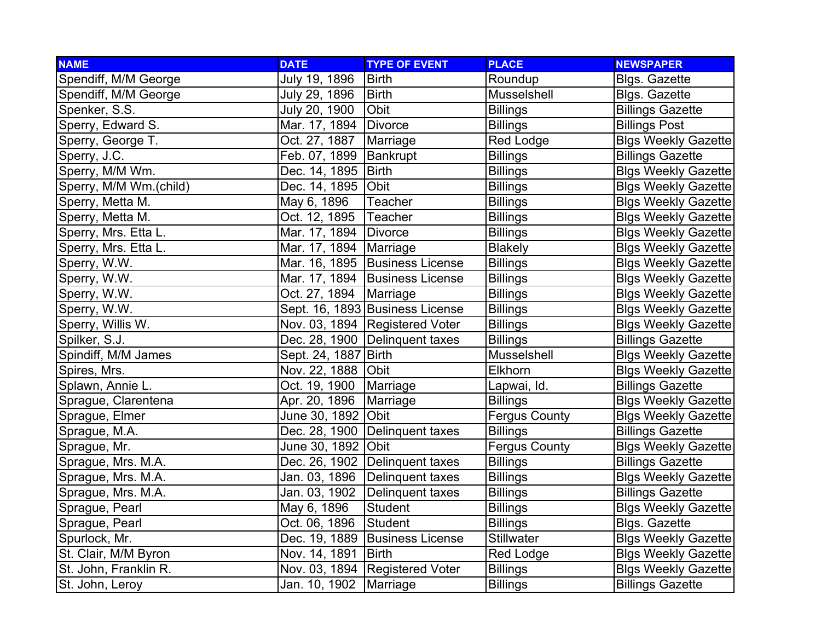| <b>NAME</b>            | <b>DATE</b>              | <b>TYPE OF EVENT</b>            | <b>PLACE</b>         | <b>NEWSPAPER</b>            |
|------------------------|--------------------------|---------------------------------|----------------------|-----------------------------|
| Spendiff, M/M George   | July 19, 1896            | <b>Birth</b>                    | Roundup              | <b>Blgs. Gazette</b>        |
| Spendiff, M/M George   | July 29, 1896            | <b>Birth</b>                    | Musselshell          | <b>Blgs. Gazette</b>        |
| Spenker, S.S.          | July 20, 1900            | <b>Obit</b>                     | <b>Billings</b>      | <b>Billings Gazette</b>     |
| Sperry, Edward S.      | Mar. 17, 1894   Divorce  |                                 | <b>Billings</b>      | <b>Billings Post</b>        |
| Sperry, George T.      | Oct. 27, 1887            | Marriage                        | Red Lodge            | <b>Blgs Weekly Gazette</b>  |
| Sperry, J.C.           | Feb. 07, 1899   Bankrupt |                                 | <b>Billings</b>      | <b>Billings Gazette</b>     |
| Sperry, M/M Wm.        | Dec. 14, 1895   Birth    |                                 | <b>Billings</b>      | <b>Blgs Weekly Gazette</b>  |
| Sperry, M/M Wm.(child) | Dec. 14, 1895 Obit       |                                 | <b>Billings</b>      | <b>Blgs Weekly Gazette</b>  |
| Sperry, Metta M.       | May 6, 1896              | Teacher                         | <b>Billings</b>      | <b>Blgs Weekly Gazette</b>  |
| Sperry, Metta M.       | Oct. 12, 1895            | Teacher                         | <b>Billings</b>      | <b>Blgs Weekly Gazette</b>  |
| Sperry, Mrs. Etta L.   | Mar. 17, 1894   Divorce  |                                 | <b>Billings</b>      | <b>Blgs Weekly Gazette</b>  |
| Sperry, Mrs. Etta L.   | Mar. 17, 1894   Marriage |                                 | <b>Blakely</b>       | <b>Blgs Weekly Gazette</b>  |
| Sperry, W.W.           |                          | Mar. 16, 1895 Business License  | <b>Billings</b>      | <b>Blgs Weekly Gazette</b>  |
| Sperry, W.W.           |                          | Mar. 17, 1894 Business License  | <b>Billings</b>      | <b>Blgs Weekly Gazette</b>  |
| Sperry, W.W.           | Oct. 27, 1894   Marriage |                                 | <b>Billings</b>      | <b>Blgs Weekly Gazette</b>  |
| Sperry, W.W.           |                          | Sept. 16, 1893 Business License | <b>Billings</b>      | <b>Blgs Weekly Gazette</b>  |
| Sperry, Willis W.      |                          | Nov. 03, 1894 Registered Voter  | <b>Billings</b>      | <b>Blgs Weekly Gazette</b>  |
| Spilker, S.J.          |                          | Dec. 28, 1900 Delinquent taxes  | <b>Billings</b>      | <b>Billings Gazette</b>     |
| Spindiff, M/M James    | Sept. 24, 1887 Birth     |                                 | Musselshell          | <b>Blgs Weekly Gazette</b>  |
| Spires, Mrs.           | Nov. 22, 1888 Obit       |                                 | Elkhorn              | <b>Blgs Weekly Gazette</b>  |
| Splawn, Annie L.       | Oct. 19, 1900            | Marriage                        | Lapwai, Id.          | <b>Billings Gazette</b>     |
| Sprague, Clarentena    | Apr. 20, 1896            | Marriage                        | <b>Billings</b>      | <b>Blgs Weekly Gazette</b>  |
| Sprague, Elmer         | June 30, 1892 Obit       |                                 | <b>Fergus County</b> | <b>Blgs Weekly Gazette</b>  |
| Sprague, M.A.          |                          | Dec. 28, 1900 Delinquent taxes  | <b>Billings</b>      | <b>Billings Gazette</b>     |
| Sprague, Mr.           | June 30, 1892 Obit       |                                 | <b>Fergus County</b> | <b>Blgs Weekly Gazette</b>  |
| Sprague, Mrs. M.A.     |                          | Dec. 26, 1902 Delinquent taxes  | <b>Billings</b>      | <b>Billings Gazette</b>     |
| Sprague, Mrs. M.A.     |                          | Jan. 03, 1896 Delinquent taxes  | <b>Billings</b>      | <b>Blgs Weekly Gazette</b>  |
| Sprague, Mrs. M.A.     |                          | Jan. 03, 1902 Delinquent taxes  | <b>Billings</b>      | <b>Billings Gazette</b>     |
| Sprague, Pearl         | May 6, 1896              | Student                         | <b>Billings</b>      | <b>Blgs Weekly Gazette</b>  |
| Sprague, Pearl         | Oct. 06, 1896            | Student                         | <b>Billings</b>      | <b>Blgs. Gazette</b>        |
| Spurlock, Mr.          |                          | Dec. 19, 1889 Business License  | <b>Stillwater</b>    | <b>Blgs Weekly Gazette</b>  |
| St. Clair, M/M Byron   | Nov. 14, 1891            | <b>Birth</b>                    | Red Lodge            | <b>Blgs Weekly Gazettel</b> |
| St. John, Franklin R.  |                          | Nov. 03, 1894 Registered Voter  | <b>Billings</b>      | <b>Blgs Weekly Gazette</b>  |
| St. John, Leroy        | Jan. 10, 1902   Marriage |                                 | <b>Billings</b>      | <b>Billings Gazette</b>     |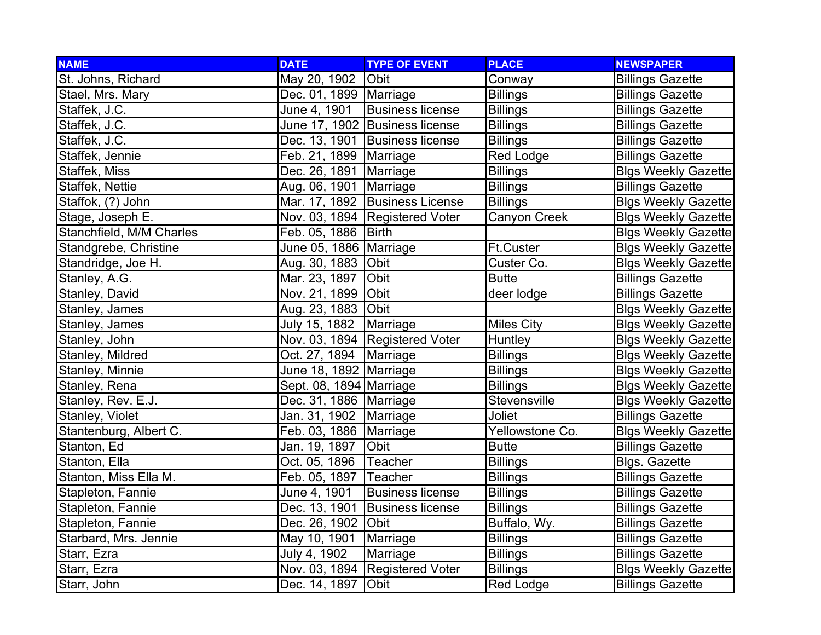| <b>NAME</b>              | <b>DATE</b>              | <b>TYPE OF EVENT</b>             | <b>PLACE</b>        | <b>NEWSPAPER</b>           |
|--------------------------|--------------------------|----------------------------------|---------------------|----------------------------|
| St. Johns, Richard       | May 20, 1902             | Obit                             | Conway              | <b>Billings Gazette</b>    |
| Stael, Mrs. Mary         | Dec. 01, 1899   Marriage |                                  | <b>Billings</b>     | <b>Billings Gazette</b>    |
| Staffek, J.C.            | June 4, 1901             | <b>Business license</b>          | <b>Billings</b>     | <b>Billings Gazette</b>    |
| Staffek, J.C.            |                          | June 17, 1902 Business license   | <b>Billings</b>     | <b>Billings Gazette</b>    |
| Staffek, J.C.            |                          | Dec. 13, 1901 Business license   | <b>Billings</b>     | <b>Billings Gazette</b>    |
| Staffek, Jennie          | Feb. 21, 1899   Marriage |                                  | <b>Red Lodge</b>    | <b>Billings Gazette</b>    |
| Staffek, Miss            | Dec. 26, 1891            | Marriage                         | <b>Billings</b>     | <b>Blgs Weekly Gazette</b> |
| Staffek, Nettie          | Aug. 06, 1901            | Marriage                         | <b>Billings</b>     | <b>Billings Gazette</b>    |
| Staffok, (?) John        |                          | Mar. 17, 1892 Business License   | <b>Billings</b>     | <b>Blgs Weekly Gazette</b> |
| Stage, Joseph E.         |                          | Nov. 03, 1894   Registered Voter | Canyon Creek        | <b>Blgs Weekly Gazette</b> |
| Stanchfield, M/M Charles | Feb. 05, 1886            | Birth                            |                     | <b>Blgs Weekly Gazette</b> |
| Standgrebe, Christine    | June 05, 1886   Marriage |                                  | Ft.Custer           | <b>Blgs Weekly Gazette</b> |
| Standridge, Joe H.       | Aug. 30, 1883 Obit       |                                  | Custer Co.          | <b>Blgs Weekly Gazette</b> |
| Stanley, A.G.            | Mar. 23, 1897            | Obit                             | <b>Butte</b>        | <b>Billings Gazette</b>    |
| Stanley, David           | Nov. 21, 1899 Obit       |                                  | deer lodge          | <b>Billings Gazette</b>    |
| Stanley, James           | Aug. 23, 1883 Obit       |                                  |                     | <b>Blgs Weekly Gazette</b> |
| Stanley, James           | July 15, 1882            | Marriage                         | <b>Miles City</b>   | <b>Blgs Weekly Gazette</b> |
| Stanley, John            |                          | Nov. 03, 1894 Registered Voter   | Huntley             | <b>Blgs Weekly Gazette</b> |
| Stanley, Mildred         | Oct. 27, 1894            | Marriage                         | <b>Billings</b>     | <b>Blgs Weekly Gazette</b> |
| Stanley, Minnie          | June 18, 1892   Marriage |                                  | <b>Billings</b>     | <b>Blgs Weekly Gazette</b> |
| Stanley, Rena            | Sept. 08, 1894 Marriage  |                                  | <b>Billings</b>     | <b>Blgs Weekly Gazette</b> |
| Stanley, Rev. E.J.       | Dec. 31, 1886   Marriage |                                  | <b>Stevensville</b> | <b>Blgs Weekly Gazette</b> |
| Stanley, Violet          | Jan. 31, 1902            | Marriage                         | Joliet              | <b>Billings Gazette</b>    |
| Stantenburg, Albert C.   | Feb. 03, 1886            | Marriage                         | Yellowstone Co.     | <b>Blgs Weekly Gazette</b> |
| Stanton, Ed              | Jan. 19, 1897            | Obit                             | <b>Butte</b>        | <b>Billings Gazette</b>    |
| Stanton, Ella            | Oct. 05, 1896            | <b>Teacher</b>                   | <b>Billings</b>     | Blgs. Gazette              |
| Stanton, Miss Ella M.    | Feb. 05, 1897            | <b>Teacher</b>                   | <b>Billings</b>     | <b>Billings Gazette</b>    |
| Stapleton, Fannie        | June 4, 1901             | <b>Business license</b>          | Billings            | <b>Billings Gazette</b>    |
| Stapleton, Fannie        | Dec. 13, 1901            | <b>Business license</b>          | <b>Billings</b>     | <b>Billings Gazette</b>    |
| Stapleton, Fannie        | Dec. 26, 1902            | <b>Obit</b>                      | Buffalo, Wy.        | <b>Billings Gazette</b>    |
| Starbard, Mrs. Jennie    | May 10, 1901             | Marriage                         | <b>Billings</b>     | <b>Billings Gazette</b>    |
| Starr, Ezra              | July 4, 1902             | Marriage                         | <b>Billings</b>     | <b>Billings Gazette</b>    |
| Starr, Ezra              |                          | Nov. 03, 1894   Registered Voter | <b>Billings</b>     | <b>Blgs Weekly Gazette</b> |
| Starr, John              | Dec. 14, 1897            | Obit                             | <b>Red Lodge</b>    | <b>Billings Gazette</b>    |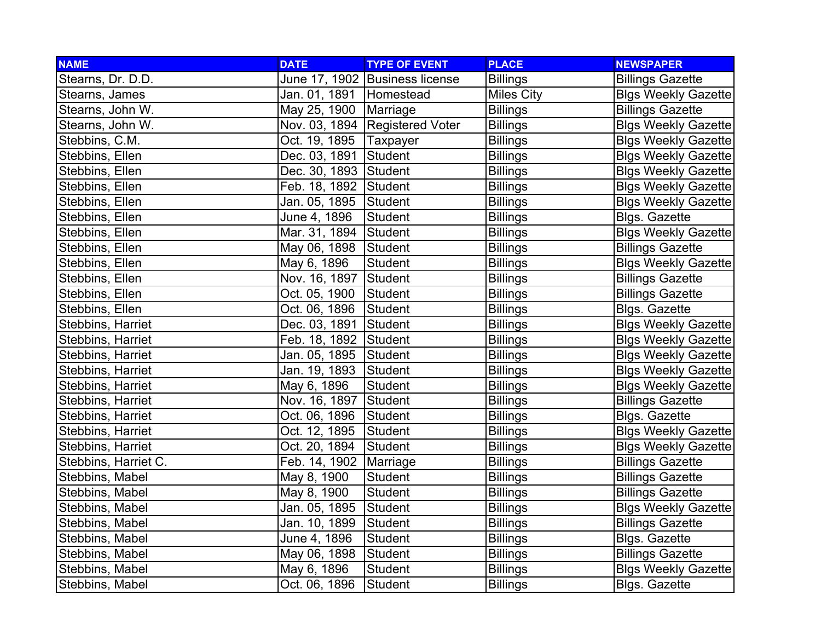| <b>NAME</b>          | <b>DATE</b>               | <b>TYPE OF EVENT</b>           | <b>PLACE</b>      | <b>NEWSPAPER</b>           |
|----------------------|---------------------------|--------------------------------|-------------------|----------------------------|
| Stearns, Dr. D.D.    |                           | June 17, 1902 Business license | <b>Billings</b>   | <b>Billings Gazette</b>    |
| Stearns, James       | Jan. 01, 1891   Homestead |                                | <b>Miles City</b> | <b>Blgs Weekly Gazette</b> |
| Stearns, John W.     | May 25, 1900              | Marriage                       | <b>Billings</b>   | <b>Billings Gazette</b>    |
| Stearns, John W.     |                           | Nov. 03, 1894 Registered Voter | <b>Billings</b>   | <b>Blgs Weekly Gazette</b> |
| Stebbins, C.M.       | Oct. 19, 1895             | Taxpayer                       | <b>Billings</b>   | <b>Blgs Weekly Gazette</b> |
| Stebbins, Ellen      | Dec. 03, 1891             | Student                        | <b>Billings</b>   | <b>Blgs Weekly Gazette</b> |
| Stebbins, Ellen      | Dec. 30, 1893 Student     |                                | <b>Billings</b>   | <b>Blgs Weekly Gazette</b> |
| Stebbins, Ellen      | Feb. 18, 1892 Student     |                                | <b>Billings</b>   | <b>Blgs Weekly Gazette</b> |
| Stebbins, Ellen      | Jan. 05, 1895             | Student                        | <b>Billings</b>   | <b>Blgs Weekly Gazette</b> |
| Stebbins, Ellen      | June 4, 1896              | <b>Student</b>                 | <b>Billings</b>   | <b>Blgs. Gazette</b>       |
| Stebbins, Ellen      | Mar. 31, 1894             | Student                        | <b>Billings</b>   | <b>Blgs Weekly Gazette</b> |
| Stebbins, Ellen      | May 06, 1898              | Student                        | <b>Billings</b>   | <b>Billings Gazette</b>    |
| Stebbins, Ellen      | May 6, 1896               | Student                        | <b>Billings</b>   | <b>Blgs Weekly Gazette</b> |
| Stebbins, Ellen      | Nov. 16, 1897             | Student                        | <b>Billings</b>   | <b>Billings Gazette</b>    |
| Stebbins, Ellen      | Oct. 05, 1900             | Student                        | <b>Billings</b>   | <b>Billings Gazette</b>    |
| Stebbins, Ellen      | Oct. 06, 1896             | Student                        | <b>Billings</b>   | <b>Blgs. Gazette</b>       |
| Stebbins, Harriet    | Dec. 03, 1891             | Student                        | <b>Billings</b>   | <b>Blgs Weekly Gazette</b> |
| Stebbins, Harriet    | Feb. 18, 1892 Student     |                                | <b>Billings</b>   | <b>Blgs Weekly Gazette</b> |
| Stebbins, Harriet    | Jan. 05, 1895             | Student                        | <b>Billings</b>   | <b>Blgs Weekly Gazette</b> |
| Stebbins, Harriet    | Jan. 19, 1893             | Student                        | <b>Billings</b>   | <b>Blgs Weekly Gazette</b> |
| Stebbins, Harriet    | May 6, 1896               | <b>Student</b>                 | <b>Billings</b>   | <b>Blgs Weekly Gazette</b> |
| Stebbins, Harriet    | Nov. 16, 1897             | Student                        | <b>Billings</b>   | <b>Billings Gazette</b>    |
| Stebbins, Harriet    | Oct. 06, 1896             | Student                        | <b>Billings</b>   | <b>Blgs. Gazette</b>       |
| Stebbins, Harriet    | Oct. 12, 1895             | <b>Student</b>                 | <b>Billings</b>   | <b>Blgs Weekly Gazette</b> |
| Stebbins, Harriet    | Oct. 20, 1894             | Student                        | <b>Billings</b>   | <b>Blgs Weekly Gazette</b> |
| Stebbins, Harriet C. | Feb. 14, 1902             | Marriage                       | <b>Billings</b>   | <b>Billings Gazette</b>    |
| Stebbins, Mabel      | May 8, 1900               | <b>Student</b>                 | <b>Billings</b>   | <b>Billings Gazette</b>    |
| Stebbins, Mabel      | May 8, 1900               | <b>Student</b>                 | Billings          | <b>Billings Gazette</b>    |
| Stebbins, Mabel      | Jan. 05, 1895             | Student                        | <b>Billings</b>   | <b>Blgs Weekly Gazette</b> |
| Stebbins, Mabel      | Jan. 10, 1899             | Student                        | <b>Billings</b>   | <b>Billings Gazette</b>    |
| Stebbins, Mabel      | June 4, 1896              | Student                        | <b>Billings</b>   | Blgs. Gazette              |
| Stebbins, Mabel      | May 06, 1898              | Student                        | <b>Billings</b>   | <b>Billings Gazette</b>    |
| Stebbins, Mabel      | May 6, 1896               | <b>Student</b>                 | <b>Billings</b>   | <b>Blgs Weekly Gazette</b> |
| Stebbins, Mabel      | Oct. 06, 1896             | Student                        | <b>Billings</b>   | <b>Blgs. Gazette</b>       |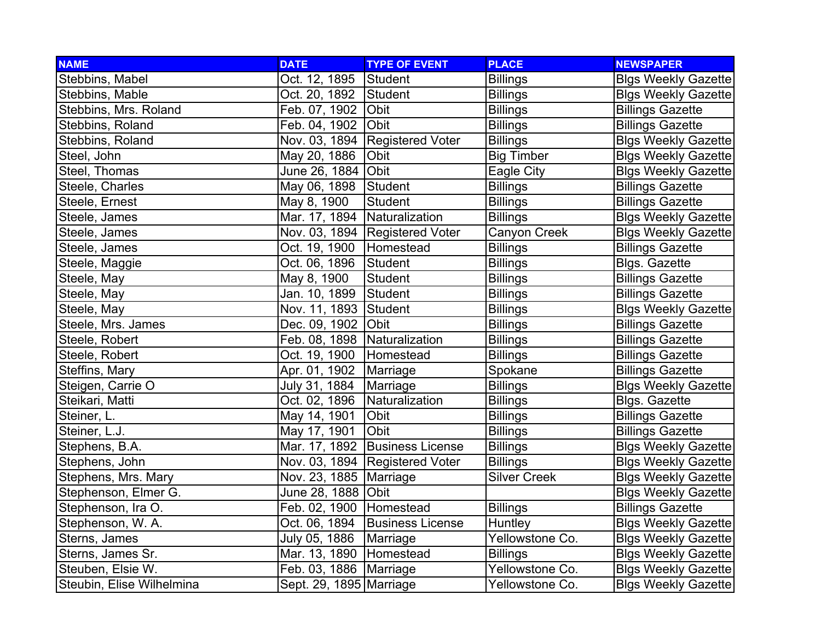| <b>NAME</b>               | <b>DATE</b>                    | <b>TYPE OF EVENT</b>             | <b>PLACE</b>        | <b>NEWSPAPER</b>           |
|---------------------------|--------------------------------|----------------------------------|---------------------|----------------------------|
| Stebbins, Mabel           | Oct. 12, 1895                  | Student                          | <b>Billings</b>     | <b>Blgs Weekly Gazette</b> |
| Stebbins, Mable           | Oct. 20, 1892                  | Student                          | <b>Billings</b>     | <b>Blgs Weekly Gazette</b> |
| Stebbins, Mrs. Roland     | Feb. 07, 1902 Obit             |                                  | <b>Billings</b>     | <b>Billings Gazette</b>    |
| Stebbins, Roland          | Feb. 04, 1902 Obit             |                                  | <b>Billings</b>     | <b>Billings Gazette</b>    |
| Stebbins, Roland          |                                | Nov. 03, 1894 Registered Voter   | <b>Billings</b>     | <b>Blgs Weekly Gazette</b> |
| Steel, John               | May 20, 1886                   | Obit                             | <b>Big Timber</b>   | <b>Blgs Weekly Gazette</b> |
| Steel, Thomas             | June 26, 1884 Obit             |                                  | Eagle City          | <b>Blgs Weekly Gazette</b> |
| Steele, Charles           | May 06, 1898                   | Student                          | <b>Billings</b>     | <b>Billings Gazette</b>    |
| Steele, Ernest            | May 8, 1900                    | <b>Student</b>                   | <b>Billings</b>     | <b>Billings Gazette</b>    |
| Steele, James             | Mar. 17, 1894                  | Naturalization                   | <b>Billings</b>     | Blgs Weekly Gazette        |
| Steele, James             |                                | Nov. 03, 1894 Registered Voter   | Canyon Creek        | <b>Blgs Weekly Gazette</b> |
| Steele, James             | Oct. 19, 1900                  | Homestead                        | <b>Billings</b>     | <b>Billings Gazette</b>    |
| Steele, Maggie            | Oct. 06, 1896                  | Student                          | <b>Billings</b>     | <b>Blgs. Gazette</b>       |
| Steele, May               | May 8, 1900                    | <b>Student</b>                   | <b>Billings</b>     | <b>Billings Gazette</b>    |
| Steele, May               | Jan. 10, 1899                  | Student                          | <b>Billings</b>     | <b>Billings Gazette</b>    |
| Steele, May               | Nov. 11, 1893 Student          |                                  | <b>Billings</b>     | <b>Blgs Weekly Gazette</b> |
| Steele, Mrs. James        | Dec. 09, 1902 Obit             |                                  | <b>Billings</b>     | <b>Billings Gazette</b>    |
| Steele, Robert            | Feb. 08, 1898   Naturalization |                                  | <b>Billings</b>     | <b>Billings Gazette</b>    |
| Steele, Robert            | Oct. 19, 1900                  | Homestead                        | <b>Billings</b>     | <b>Billings Gazette</b>    |
| Steffins, Mary            | Apr. 01, 1902                  | Marriage                         | Spokane             | <b>Billings Gazette</b>    |
| Steigen, Carrie O         | July 31, 1884                  | Marriage                         | <b>Billings</b>     | <b>Blgs Weekly Gazette</b> |
| Steikari, Matti           | Oct. 02, 1896                  | Naturalization                   | <b>Billings</b>     | <b>Blgs. Gazette</b>       |
| Steiner, L.               | May 14, 1901                   | Obit                             | <b>Billings</b>     | <b>Billings Gazette</b>    |
| Steiner, L.J.             | May 17, 1901                   | Obit                             | <b>Billings</b>     | <b>Billings Gazette</b>    |
| Stephens, B.A.            |                                | Mar. 17, 1892   Business License | <b>Billings</b>     | <b>Blgs Weekly Gazette</b> |
| Stephens, John            |                                | Nov. 03, 1894   Registered Voter | <b>Billings</b>     | <b>Blgs Weekly Gazette</b> |
| Stephens, Mrs. Mary       | Nov. 23, 1885   Marriage       |                                  | <b>Silver Creek</b> | <b>Blgs Weekly Gazette</b> |
| Stephenson, Elmer G.      | June 28, 1888   Obit           |                                  |                     | <b>Blgs Weekly Gazette</b> |
| Stephenson, Ira O.        | Feb. 02, 1900   Homestead      |                                  | <b>Billings</b>     | <b>Billings Gazette</b>    |
| Stephenson, W. A.         | Oct. 06, 1894                  | <b>Business License</b>          | Huntley             | <b>Blgs Weekly Gazette</b> |
| Sterns, James             | July 05, 1886                  | Marriage                         | Yellowstone Co.     | <b>Blgs Weekly Gazette</b> |
| Sterns, James Sr.         | Mar. 13, 1890   Homestead      |                                  | <b>Billings</b>     | <b>Blgs Weekly Gazette</b> |
| Steuben, Elsie W.         | Feb. 03, 1886                  | Marriage                         | Yellowstone Co.     | <b>Blgs Weekly Gazette</b> |
| Steubin, Elise Wilhelmina | Sept. 29, 1895   Marriage      |                                  | Yellowstone Co.     | <b>Blgs Weekly Gazette</b> |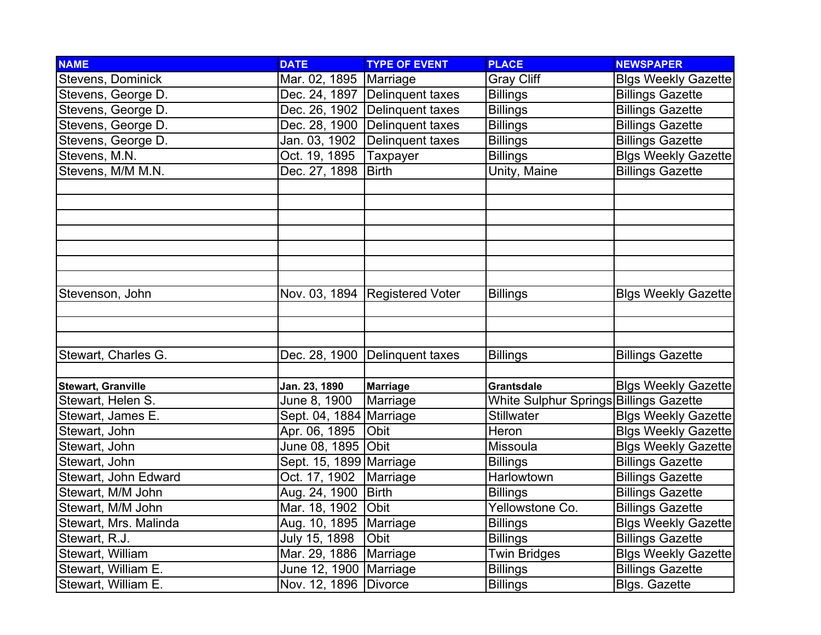| <b>NAME</b>               | <b>DATE</b>              | <b>TYPE OF EVENT</b>             | <b>PLACE</b>                           | <b>NEWSPAPER</b>           |
|---------------------------|--------------------------|----------------------------------|----------------------------------------|----------------------------|
| Stevens, Dominick         | Mar. 02, 1895            | Marriage                         | <b>Gray Cliff</b>                      | <b>Blgs Weekly Gazette</b> |
| Stevens, George D.        |                          | Dec. 24, 1897 Delinquent taxes   | <b>Billings</b>                        | <b>Billings Gazette</b>    |
| Stevens, George D.        |                          | Dec. 26, 1902 Delinguent taxes   | <b>Billings</b>                        | <b>Billings Gazette</b>    |
| Stevens, George D.        |                          | Dec. 28, 1900 Delinquent taxes   | <b>Billings</b>                        | <b>Billings Gazette</b>    |
| Stevens, George D.        | Jan. 03, 1902            | Delinquent taxes                 | <b>Billings</b>                        | <b>Billings Gazette</b>    |
| Stevens, M.N.             | Oct. 19, 1895            | Taxpayer                         | <b>Billings</b>                        | <b>Blgs Weekly Gazette</b> |
| Stevens, M/M M.N.         | Dec. 27, 1898   Birth    |                                  | Unity, Maine                           | <b>Billings Gazette</b>    |
|                           |                          |                                  |                                        |                            |
|                           |                          |                                  |                                        |                            |
|                           |                          |                                  |                                        |                            |
|                           |                          |                                  |                                        |                            |
|                           |                          |                                  |                                        |                            |
|                           |                          |                                  |                                        |                            |
|                           |                          |                                  |                                        |                            |
| Stevenson, John           |                          | Nov. 03, 1894   Registered Voter | <b>Billings</b>                        | <b>Blgs Weekly Gazette</b> |
|                           |                          |                                  |                                        |                            |
|                           |                          |                                  |                                        |                            |
|                           |                          |                                  |                                        |                            |
| Stewart, Charles G.       |                          | Dec. 28, 1900 Delinquent taxes   | <b>Billings</b>                        | <b>Billings Gazette</b>    |
|                           |                          |                                  |                                        |                            |
| <b>Stewart, Granville</b> | Jan. 23, 1890            | <b>Marriage</b>                  | Grantsdale                             | <b>Blgs Weekly Gazette</b> |
| Stewart, Helen S.         | June 8, 1900             | Marriage                         | White Sulphur Springs Billings Gazette |                            |
| Stewart, James E.         | Sept. 04, 1884 Marriage  |                                  | <b>Stillwater</b>                      | <b>Blgs Weekly Gazette</b> |
| Stewart, John             | Apr. 06, 1895            | Obit                             | Heron                                  | <b>Blgs Weekly Gazette</b> |
| Stewart, John             | June 08, 1895 Obit       |                                  | Missoula                               | <b>Blgs Weekly Gazette</b> |
| Stewart, John             | Sept. 15, 1899 Marriage  |                                  | <b>Billings</b>                        | <b>Billings Gazette</b>    |
| Stewart, John Edward      | Oct. 17, 1902            | Marriage                         | Harlowtown                             | <b>Billings Gazette</b>    |
| Stewart, M/M John         | Aug. 24, 1900            | Birth                            | <b>Billings</b>                        | <b>Billings Gazette</b>    |
| Stewart, M/M John         | Mar. 18, 1902            | Obit                             | Yellowstone Co.                        | <b>Billings Gazette</b>    |
| Stewart, Mrs. Malinda     | Aug. 10, 1895   Marriage |                                  | <b>Billings</b>                        | <b>Blgs Weekly Gazette</b> |
| Stewart, R.J.             | July 15, 1898            | Obit                             | <b>Billings</b>                        | <b>Billings Gazette</b>    |
| Stewart, William          | Mar. 29, 1886 Marriage   |                                  | <b>Twin Bridges</b>                    | <b>Blgs Weekly Gazette</b> |
| Stewart, William E.       | June 12, 1900 Marriage   |                                  | <b>Billings</b>                        | <b>Billings Gazette</b>    |
| Stewart, William E.       | Nov. 12, 1896 Divorce    |                                  | <b>Billings</b>                        | Blgs. Gazette              |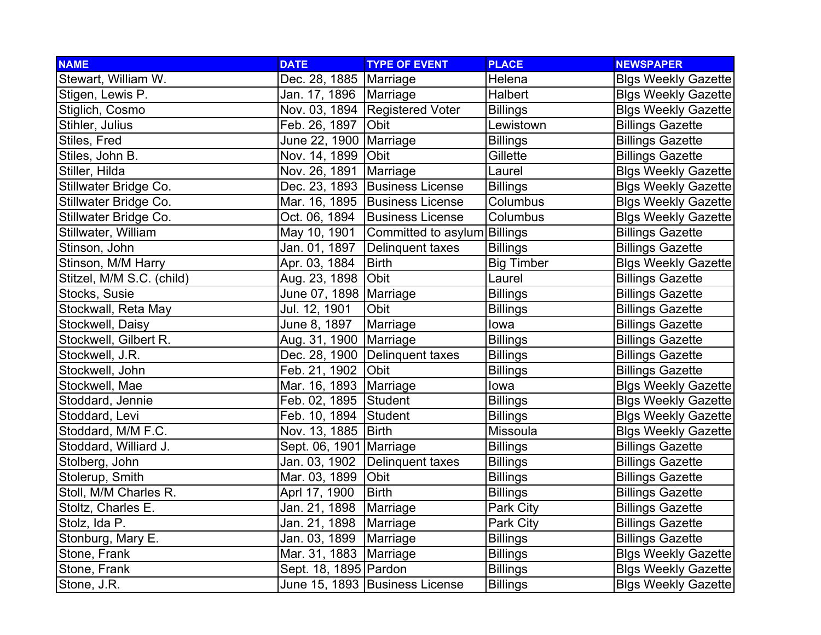| <b>NAME</b>               | <b>DATE</b>              | <b>TYPE OF EVENT</b>           | <b>PLACE</b>      | <b>NEWSPAPER</b>           |
|---------------------------|--------------------------|--------------------------------|-------------------|----------------------------|
| Stewart, William W.       | Dec. 28, 1885   Marriage |                                | Helena            | <b>Blgs Weekly Gazette</b> |
| Stigen, Lewis P.          | Jan. 17, 1896   Marriage |                                | Halbert           | <b>Blgs Weekly Gazette</b> |
| Stiglich, Cosmo           |                          | Nov. 03, 1894 Registered Voter | <b>Billings</b>   | <b>Blgs Weekly Gazette</b> |
| Stihler, Julius           | Feb. 26, 1897            | <b>Obit</b>                    | Lewistown         | <b>Billings Gazette</b>    |
| Stiles, Fred              | June 22, 1900   Marriage |                                | <b>Billings</b>   | <b>Billings Gazette</b>    |
| Stiles, John B.           | Nov. 14, 1899 Obit       |                                | Gillette          | <b>Billings Gazette</b>    |
| Stiller, Hilda            | Nov. 26, 1891            | Marriage                       | Laurel            | <b>Blgs Weekly Gazette</b> |
| Stillwater Bridge Co.     |                          | Dec. 23, 1893 Business License | <b>Billings</b>   | <b>Blgs Weekly Gazette</b> |
| Stillwater Bridge Co.     |                          | Mar. 16, 1895 Business License | Columbus          | <b>Blgs Weekly Gazette</b> |
| Stillwater Bridge Co.     | Oct. 06, 1894            | <b>Business License</b>        | Columbus          | <b>Blgs Weekly Gazette</b> |
| Stillwater, William       | May 10, 1901             | Committed to asylum Billings   |                   | <b>Billings Gazette</b>    |
| Stinson, John             | Jan. 01, 1897            | Delinquent taxes               | <b>Billings</b>   | <b>Billings Gazette</b>    |
| Stinson, M/M Harry        | Apr. 03, 1884            | <b>Birth</b>                   | <b>Big Timber</b> | <b>Blgs Weekly Gazette</b> |
| Stitzel, M/M S.C. (child) | Aug. 23, 1898            | <b>Obit</b>                    | Laurel            | <b>Billings Gazette</b>    |
| Stocks, Susie             | June 07, 1898   Marriage |                                | <b>Billings</b>   | <b>Billings Gazette</b>    |
| Stockwall, Reta May       | Jul. 12, 1901            | Obit                           | <b>Billings</b>   | <b>Billings Gazette</b>    |
| Stockwell, Daisy          | June 8, 1897             | Marriage                       | lowa              | <b>Billings Gazette</b>    |
| Stockwell, Gilbert R.     | Aug. 31, 1900            | Marriage                       | <b>Billings</b>   | <b>Billings Gazette</b>    |
| Stockwell, J.R.           | Dec. 28, 1900            | Delinquent taxes               | <b>Billings</b>   | <b>Billings Gazette</b>    |
| Stockwell, John           | Feb. 21, 1902            | Obit                           | <b>Billings</b>   | <b>Billings Gazette</b>    |
| Stockwell, Mae            | Mar. 16, 1893   Marriage |                                | lowa              | <b>Blgs Weekly Gazette</b> |
| Stoddard, Jennie          | Feb. 02, 1895 Student    |                                | <b>Billings</b>   | <b>Blgs Weekly Gazette</b> |
| Stoddard, Levi            | Feb. 10, 1894 Student    |                                | <b>Billings</b>   | <b>Blgs Weekly Gazette</b> |
| Stoddard, M/M F.C.        | Nov. 13, 1885            | Birth                          | Missoula          | <b>Blgs Weekly Gazette</b> |
| Stoddard, Williard J.     | Sept. 06, 1901 Marriage  |                                | <b>Billings</b>   | <b>Billings Gazette</b>    |
| Stolberg, John            | Jan. 03, 1902            | Delinquent taxes               | <b>Billings</b>   | <b>Billings Gazette</b>    |
| Stolerup, Smith           | Mar. 03, 1899            | Obit                           | <b>Billings</b>   | <b>Billings Gazette</b>    |
| Stoll, M/M Charles R.     | Aprl 17, 1900            | <b>Birth</b>                   | <b>Billings</b>   | <b>Billings Gazette</b>    |
| Stoltz, Charles E.        | Jan. 21, 1898            | Marriage                       | Park City         | <b>Billings Gazette</b>    |
| Stolz, Ida P.             | Jan. 21, 1898            | Marriage                       | Park City         | <b>Billings Gazette</b>    |
| Stonburg, Mary E.         | Jan. 03, 1899            | Marriage                       | <b>Billings</b>   | <b>Billings Gazette</b>    |
| Stone, Frank              | Mar. 31, 1883   Marriage |                                | <b>Billings</b>   | <b>Blgs Weekly Gazette</b> |
| Stone, Frank              | Sept. 18, 1895 Pardon    |                                | <b>Billings</b>   | <b>Blgs Weekly Gazette</b> |
| Stone, J.R.               |                          | June 15, 1893 Business License | <b>Billings</b>   | <b>Blgs Weekly Gazette</b> |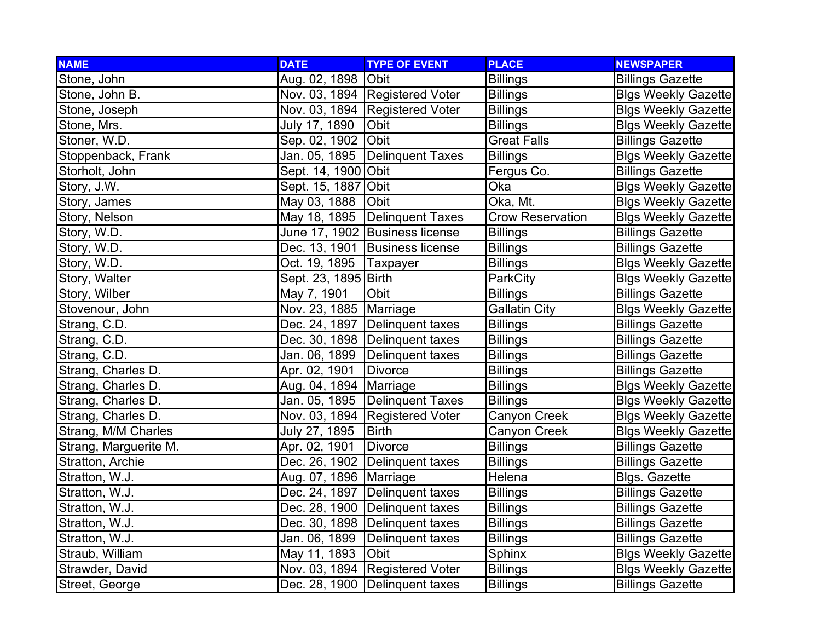| <b>NAME</b>           | <b>DATE</b>              | <b>TYPE OF EVENT</b>             | <b>PLACE</b>            | <b>NEWSPAPER</b>           |
|-----------------------|--------------------------|----------------------------------|-------------------------|----------------------------|
| Stone, John           | Aug. 02, 1898 Obit       |                                  | <b>Billings</b>         | <b>Billings Gazette</b>    |
| Stone, John B.        |                          | Nov. 03, 1894 Registered Voter   | <b>Billings</b>         | <b>Blgs Weekly Gazette</b> |
| Stone, Joseph         |                          | Nov. 03, 1894 Registered Voter   | <b>Billings</b>         | <b>Blgs Weekly Gazette</b> |
| Stone, Mrs.           | July 17, 1890            | <b>Obit</b>                      | <b>Billings</b>         | <b>Blgs Weekly Gazette</b> |
| Stoner, W.D.          | Sep. 02, 1902            | <b>Obit</b>                      | <b>Great Falls</b>      | <b>Billings Gazette</b>    |
| Stoppenback, Frank    |                          | Jan. 05, 1895 Delinquent Taxes   | <b>Billings</b>         | <b>Blgs Weekly Gazette</b> |
| Storholt, John        | Sept. 14, 1900 Obit      |                                  | Fergus Co.              | <b>Billings Gazette</b>    |
| Story, J.W.           | Sept. 15, 1887 Obit      |                                  | Oka                     | <b>Blgs Weekly Gazette</b> |
| Story, James          | May 03, 1888             | Obit                             | Oka, Mt.                | <b>Blgs Weekly Gazette</b> |
| Story, Nelson         |                          | May 18, 1895   Delinquent Taxes  | <b>Crow Reservation</b> | <b>Blgs Weekly Gazette</b> |
| Story, W.D.           |                          | June 17, 1902 Business license   | <b>Billings</b>         | <b>Billings Gazette</b>    |
| Story, W.D.           |                          | Dec. 13, 1901   Business license | <b>Billings</b>         | <b>Billings Gazette</b>    |
| Story, W.D.           | Oct. 19, 1895   Taxpayer |                                  | <b>Billings</b>         | <b>Blgs Weekly Gazette</b> |
| Story, Walter         | Sept. 23, 1895 Birth     |                                  | ParkCity                | <b>Blgs Weekly Gazette</b> |
| Story, Wilber         | May 7, 1901              | Obit                             | <b>Billings</b>         | <b>Billings Gazette</b>    |
| Stovenour, John       | Nov. 23, 1885   Marriage |                                  | <b>Gallatin City</b>    | <b>Blgs Weekly Gazette</b> |
| Strang, C.D.          |                          | Dec. 24, 1897   Delinquent taxes | <b>Billings</b>         | <b>Billings Gazette</b>    |
| Strang, C.D.          |                          | Dec. 30, 1898   Delinquent taxes | <b>Billings</b>         | <b>Billings Gazette</b>    |
| Strang, C.D.          | Jan. 06, 1899            | Delinquent taxes                 | <b>Billings</b>         | <b>Billings Gazette</b>    |
| Strang, Charles D.    | Apr. 02, 1901            | <b>Divorce</b>                   | <b>Billings</b>         | <b>Billings Gazette</b>    |
| Strang, Charles D.    | Aug. 04, 1894   Marriage |                                  | <b>Billings</b>         | <b>Blgs Weekly Gazette</b> |
| Strang, Charles D.    |                          | Jan. 05, 1895 Delinquent Taxes   | <b>Billings</b>         | <b>Blgs Weekly Gazette</b> |
| Strang, Charles D.    |                          | Nov. 03, 1894 Registered Voter   | Canyon Creek            | <b>Blgs Weekly Gazette</b> |
| Strang, M/M Charles   | July 27, 1895            | <b>Birth</b>                     | Canyon Creek            | <b>Blgs Weekly Gazette</b> |
| Strang, Marguerite M. | Apr. 02, 1901            | <b>Divorce</b>                   | <b>Billings</b>         | <b>Billings Gazette</b>    |
| Stratton, Archie      |                          | Dec. 26, 1902   Delinquent taxes | <b>Billings</b>         | <b>Billings Gazette</b>    |
| Stratton, W.J.        | Aug. 07, 1896   Marriage |                                  | Helena                  | Blgs. Gazette              |
| Stratton, W.J.        |                          | Dec. 24, 1897   Delinquent taxes | <b>Billings</b>         | <b>Billings Gazette</b>    |
| Stratton, W.J.        |                          | Dec. 28, 1900   Delinquent taxes | <b>Billings</b>         | <b>Billings Gazette</b>    |
| Stratton, W.J.        |                          | Dec. 30, 1898   Delinquent taxes | <b>Billings</b>         | <b>Billings Gazette</b>    |
| Stratton, W.J.        |                          | Jan. 06, 1899   Delinquent taxes | <b>Billings</b>         | <b>Billings Gazette</b>    |
| Straub, William       | May 11, 1893             | <b>Obit</b>                      | Sphinx                  | <b>Blgs Weekly Gazette</b> |
| Strawder, David       |                          | Nov. 03, 1894 Registered Voter   | <b>Billings</b>         | <b>Blgs Weekly Gazette</b> |
| Street, George        |                          | Dec. 28, 1900 Delinquent taxes   | <b>Billings</b>         | <b>Billings Gazette</b>    |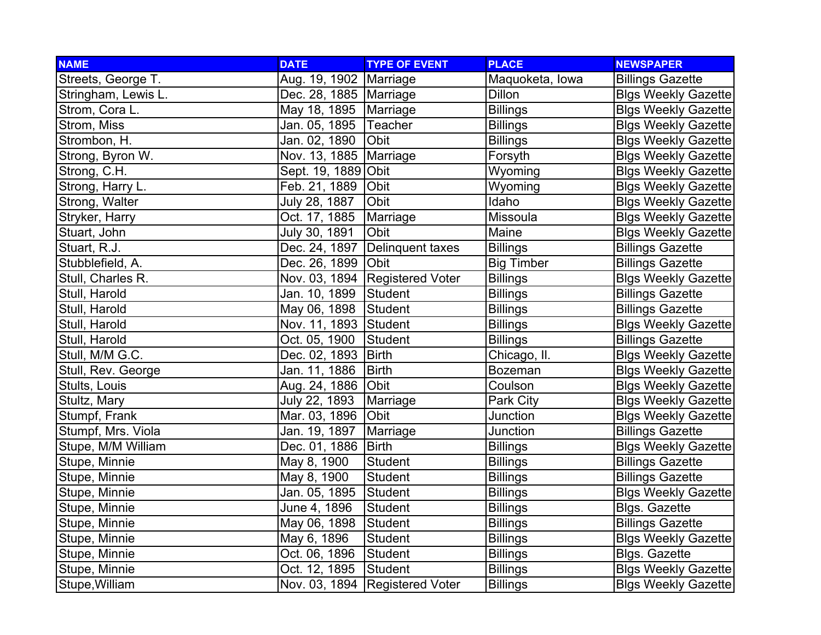| <b>NAME</b>         | <b>DATE</b>              | <b>TYPE OF EVENT</b>           | <b>PLACE</b>      | <b>NEWSPAPER</b>           |
|---------------------|--------------------------|--------------------------------|-------------------|----------------------------|
| Streets, George T.  | Aug. 19, 1902   Marriage |                                | Maquoketa, Iowa   | <b>Billings Gazette</b>    |
| Stringham, Lewis L. | Dec. 28, 1885   Marriage |                                | <b>Dillon</b>     | <b>Blgs Weekly Gazette</b> |
| Strom, Cora L.      | May 18, 1895   Marriage  |                                | <b>Billings</b>   | <b>Blgs Weekly Gazette</b> |
| Strom, Miss         | Jan. 05, 1895 Teacher    |                                | <b>Billings</b>   | <b>Blgs Weekly Gazette</b> |
| Strombon, H.        | Jan. 02, 1890            | Obit                           | <b>Billings</b>   | <b>Blgs Weekly Gazette</b> |
| Strong, Byron W.    | Nov. 13, 1885   Marriage |                                | Forsyth           | <b>Blgs Weekly Gazette</b> |
| Strong, C.H.        | Sept. 19, 1889 Obit      |                                | Wyoming           | <b>Blgs Weekly Gazette</b> |
| Strong, Harry L.    | Feb. 21, 1889            | Obit                           | Wyoming           | <b>Blgs Weekly Gazette</b> |
| Strong, Walter      | July 28, 1887            | Obit                           | Idaho             | <b>Blgs Weekly Gazette</b> |
| Stryker, Harry      | Oct. 17, 1885            | Marriage                       | Missoula          | <b>Blgs Weekly Gazette</b> |
| Stuart, John        | July 30, 1891            | Obit                           | Maine             | <b>Blgs Weekly Gazette</b> |
| Stuart, R.J.        | Dec. 24, 1897            | Delinquent taxes               | <b>Billings</b>   | <b>Billings Gazette</b>    |
| Stubblefield, A.    | Dec. 26, 1899 Obit       |                                | <b>Big Timber</b> | <b>Billings Gazette</b>    |
| Stull, Charles R.   |                          | Nov. 03, 1894 Registered Voter | <b>Billings</b>   | <b>Blgs Weekly Gazette</b> |
| Stull, Harold       | Jan. 10, 1899            | Student                        | <b>Billings</b>   | <b>Billings Gazette</b>    |
| Stull, Harold       | May 06, 1898 Student     |                                | <b>Billings</b>   | <b>Billings Gazette</b>    |
| Stull, Harold       | Nov. 11, 1893 Student    |                                | <b>Billings</b>   | <b>Blgs Weekly Gazette</b> |
| Stull, Harold       | Oct. 05, 1900            | Student                        | <b>Billings</b>   | <b>Billings Gazette</b>    |
| Stull, M/M G.C.     | Dec. 02, 1893            | Birth                          | Chicago, II.      | <b>Blgs Weekly Gazette</b> |
| Stull, Rev. George  | Jan. 11, 1886            | <b>Birth</b>                   | <b>Bozeman</b>    | <b>Blgs Weekly Gazette</b> |
| Stults, Louis       | Aug. 24, 1886 Obit       |                                | Coulson           | <b>Blgs Weekly Gazette</b> |
| Stultz, Mary        | July 22, 1893            | Marriage                       | Park City         | <b>Blgs Weekly Gazette</b> |
| Stumpf, Frank       | Mar. 03, 1896            | Obit                           | Junction          | <b>Blgs Weekly Gazette</b> |
| Stumpf, Mrs. Viola  | Jan. 19, 1897            | Marriage                       | Junction          | <b>Billings Gazette</b>    |
| Stupe, M/M William  | Dec. 01, 1886   Birth    |                                | <b>Billings</b>   | <b>Blgs Weekly Gazette</b> |
| Stupe, Minnie       | May 8, 1900              | Student                        | <b>Billings</b>   | <b>Billings Gazette</b>    |
| Stupe, Minnie       | May 8, 1900              | Student                        | <b>Billings</b>   | <b>Billings Gazette</b>    |
| Stupe, Minnie       | Jan. 05, 1895            | Student                        | <b>Billings</b>   | <b>Blgs Weekly Gazette</b> |
| Stupe, Minnie       | June 4, 1896             | Student                        | <b>Billings</b>   | <b>Blgs. Gazette</b>       |
| Stupe, Minnie       | May 06, 1898             | Student                        | <b>Billings</b>   | <b>Billings Gazette</b>    |
| Stupe, Minnie       | May 6, 1896              | Student                        | <b>Billings</b>   | <b>Blgs Weekly Gazette</b> |
| Stupe, Minnie       | Oct. 06, 1896            | Student                        | <b>Billings</b>   | Blgs. Gazette              |
| Stupe, Minnie       | Oct. 12, 1895            | Student                        | <b>Billings</b>   | <b>Blgs Weekly Gazette</b> |
| Stupe, William      |                          | Nov. 03, 1894 Registered Voter | <b>Billings</b>   | <b>Blgs Weekly Gazette</b> |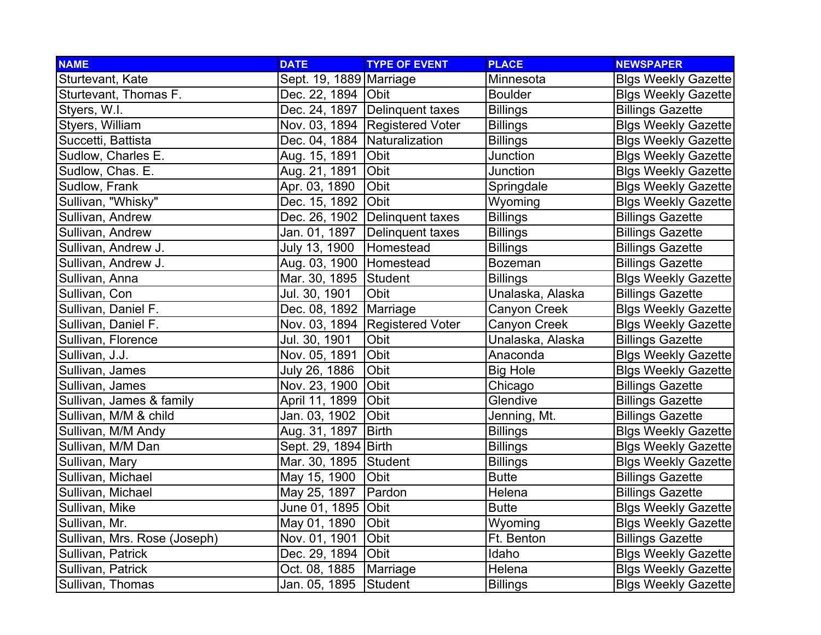| <b>NAME</b>                  | <b>DATE</b>                  | <b>TYPE OF EVENT</b>             | <b>PLACE</b>     | <b>NEWSPAPER</b>           |
|------------------------------|------------------------------|----------------------------------|------------------|----------------------------|
| Sturtevant, Kate             | Sept. 19, 1889 Marriage      |                                  | Minnesota        | <b>Blgs Weekly Gazette</b> |
| Sturtevant, Thomas F.        | Dec. 22, 1894   Obit         |                                  | <b>Boulder</b>   | <b>Blgs Weekly Gazette</b> |
| Styers, W.I.                 |                              | Dec. 24, 1897 Delinquent taxes   | <b>Billings</b>  | <b>Billings Gazette</b>    |
| Styers, William              |                              | Nov. 03, 1894   Registered Voter | <b>Billings</b>  | <b>Blgs Weekly Gazette</b> |
| Succetti, Battista           | Dec. 04, 1884 Naturalization |                                  | <b>Billings</b>  | <b>Blgs Weekly Gazette</b> |
| Sudlow, Charles E.           | Aug. 15, 1891                | Obit                             | Junction         | <b>Blgs Weekly Gazette</b> |
| Sudlow, Chas. E.             | Aug. 21, 1891                | Obit                             | Junction         | <b>Blgs Weekly Gazette</b> |
| Sudlow, Frank                | Apr. 03, 1890                | Obit                             | Springdale       | <b>Blgs Weekly Gazette</b> |
| Sullivan, "Whisky"           | Dec. 15, 1892                | Obit                             | Wyoming          | <b>Blgs Weekly Gazette</b> |
| Sullivan, Andrew             | Dec. 26, 1902                | Delinquent taxes                 | <b>Billings</b>  | <b>Billings Gazette</b>    |
| Sullivan, Andrew             | Jan. 01, 1897                | Delinquent taxes                 | <b>Billings</b>  | <b>Billings Gazette</b>    |
| Sullivan, Andrew J.          | July 13, 1900                | Homestead                        | <b>Billings</b>  | <b>Billings Gazette</b>    |
| Sullivan, Andrew J.          | Aug. 03, 1900 Homestead      |                                  | <b>Bozeman</b>   | <b>Billings Gazette</b>    |
| Sullivan, Anna               | Mar. 30, 1895 Student        |                                  | <b>Billings</b>  | <b>Blgs Weekly Gazette</b> |
| Sullivan, Con                | Jul. 30, 1901                | Obit                             | Unalaska, Alaska | <b>Billings Gazette</b>    |
| Sullivan, Daniel F.          | Dec. 08, 1892   Marriage     |                                  | Canyon Creek     | <b>Blgs Weekly Gazette</b> |
| Sullivan, Daniel F.          |                              | Nov. 03, 1894   Registered Voter | Canyon Creek     | <b>Blgs Weekly Gazette</b> |
| Sullivan, Florence           | Jul. 30, 1901                | Obit                             | Unalaska, Alaska | <b>Billings Gazette</b>    |
| Sullivan, J.J.               | Nov. 05, 1891                | Obit                             | Anaconda         | <b>Blgs Weekly Gazette</b> |
| Sullivan, James              | July 26, 1886                | Obit                             | <b>Big Hole</b>  | <b>Blgs Weekly Gazette</b> |
| Sullivan, James              | Nov. 23, 1900                | Obit                             | Chicago          | <b>Billings Gazette</b>    |
| Sullivan, James & family     | April 11, 1899               | Obit                             | Glendive         | <b>Billings Gazette</b>    |
| Sullivan, M/M & child        | Jan. 03, 1902                | Obit                             | Jenning, Mt.     | <b>Billings Gazette</b>    |
| Sullivan, M/M Andy           | Aug. 31, 1897                | <b>Birth</b>                     | <b>Billings</b>  | <b>Blgs Weekly Gazette</b> |
| Sullivan, M/M Dan            | Sept. 29, 1894 Birth         |                                  | <b>Billings</b>  | <b>Blgs Weekly Gazette</b> |
| Sullivan, Mary               | Mar. 30, 1895 Student        |                                  | <b>Billings</b>  | <b>Blgs Weekly Gazette</b> |
| Sullivan, Michael            | May 15, 1900                 | Obit                             | <b>Butte</b>     | <b>Billings Gazette</b>    |
| Sullivan, Michael            | May 25, 1897                 | Pardon                           | Helena           | <b>Billings Gazette</b>    |
| Sullivan, Mike               | June 01, 1895 Obit           |                                  | <b>Butte</b>     | <b>Blgs Weekly Gazette</b> |
| Sullivan, Mr.                | May 01, 1890                 | Obit                             | Wyoming          | <b>Blgs Weekly Gazette</b> |
| Sullivan, Mrs. Rose (Joseph) | Nov. 01, 1901                | Obit                             | Ft. Benton       | <b>Billings Gazette</b>    |
| Sullivan, Patrick            | Dec. 29, 1894 Obit           |                                  | Idaho            | <b>Blgs Weekly Gazette</b> |
| Sullivan, Patrick            | Oct. 08, 1885                | Marriage                         | Helena           | <b>Blgs Weekly Gazette</b> |
| Sullivan, Thomas             | Jan. 05, 1895                | Student                          | <b>Billings</b>  | <b>Blgs Weekly Gazette</b> |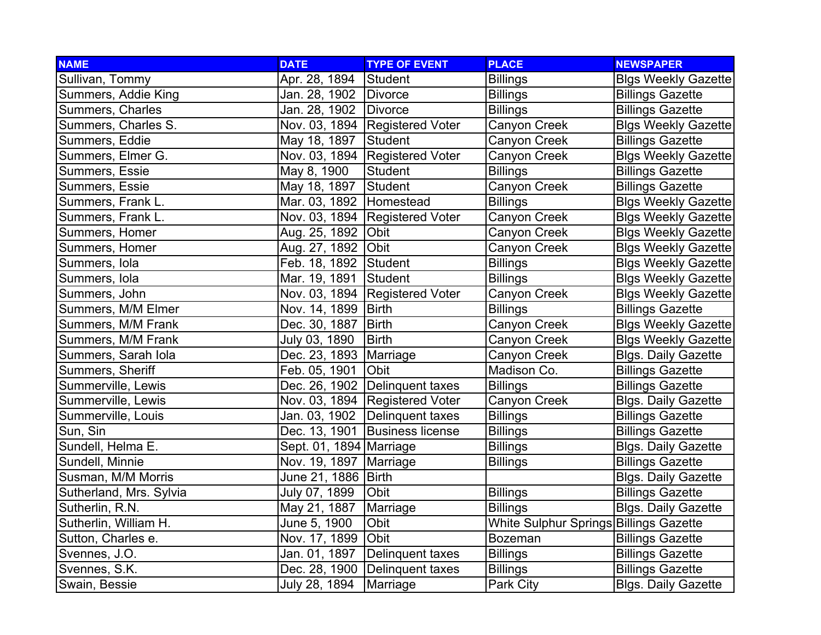| <b>NAME</b>             | <b>DATE</b>              | <b>TYPE OF EVENT</b>             | <b>PLACE</b>                           | <b>NEWSPAPER</b>           |
|-------------------------|--------------------------|----------------------------------|----------------------------------------|----------------------------|
| Sullivan, Tommy         | Apr. 28, 1894            | Student                          | <b>Billings</b>                        | <b>Blgs Weekly Gazette</b> |
| Summers, Addie King     | Jan. 28, 1902 Divorce    |                                  | <b>Billings</b>                        | <b>Billings Gazette</b>    |
| Summers, Charles        | Jan. 28, 1902 Divorce    |                                  | <b>Billings</b>                        | <b>Billings Gazette</b>    |
| Summers, Charles S.     |                          | Nov. 03, 1894 Registered Voter   | Canyon Creek                           | <b>Blgs Weekly Gazette</b> |
| Summers, Eddie          | May 18, 1897             | Student                          | Canyon Creek                           | <b>Billings Gazette</b>    |
| Summers, Elmer G.       |                          | Nov. 03, 1894 Registered Voter   | Canyon Creek                           | <b>Blgs Weekly Gazette</b> |
| Summers, Essie          | May 8, 1900              | Student                          | <b>Billings</b>                        | <b>Billings Gazette</b>    |
| Summers, Essie          | May 18, 1897             | <b>Student</b>                   | Canyon Creek                           | <b>Billings Gazette</b>    |
| Summers, Frank L.       | Mar. 03, 1892            | Homestead                        | <b>Billings</b>                        | <b>Blgs Weekly Gazette</b> |
| Summers, Frank L.       |                          | Nov. 03, 1894   Registered Voter | Canyon Creek                           | <b>Blgs Weekly Gazette</b> |
| Summers, Homer          | Aug. 25, 1892            | Obit                             | Canyon Creek                           | <b>Blgs Weekly Gazette</b> |
| Summers, Homer          | Aug. 27, 1892 Obit       |                                  | Canyon Creek                           | <b>Blgs Weekly Gazette</b> |
| Summers, Iola           | Feb. 18, 1892 Student    |                                  | <b>Billings</b>                        | <b>Blgs Weekly Gazette</b> |
| Summers, Iola           | Mar. 19, 1891            | Student                          | <b>Billings</b>                        | <b>Blgs Weekly Gazette</b> |
| Summers, John           |                          | Nov. 03, 1894 Registered Voter   | Canyon Creek                           | <b>Blgs Weekly Gazette</b> |
| Summers, M/M Elmer      | Nov. 14, 1899   Birth    |                                  | <b>Billings</b>                        | <b>Billings Gazette</b>    |
| Summers, M/M Frank      | Dec. 30, 1887            | <b>Birth</b>                     | Canyon Creek                           | <b>Blgs Weekly Gazette</b> |
| Summers, M/M Frank      | July 03, 1890            | <b>Birth</b>                     | Canyon Creek                           | <b>Blgs Weekly Gazette</b> |
| Summers, Sarah Iola     | Dec. 23, 1893            | Marriage                         | Canyon Creek                           | <b>Blgs. Daily Gazette</b> |
| Summers, Sheriff        | Feb. 05, 1901            | Obit                             | Madison Co.                            | <b>Billings Gazette</b>    |
| Summerville, Lewis      |                          | Dec. 26, 1902 Delinquent taxes   | <b>Billings</b>                        | <b>Billings Gazette</b>    |
| Summerville, Lewis      |                          | Nov. 03, 1894   Registered Voter | Canyon Creek                           | <b>Blgs. Daily Gazette</b> |
| Summerville, Louis      | Jan. 03, 1902            | Delinquent taxes                 | <b>Billings</b>                        | <b>Billings Gazette</b>    |
| Sun, Sin                | Dec. 13, 1901            | <b>Business license</b>          | <b>Billings</b>                        | <b>Billings Gazette</b>    |
| Sundell, Helma E.       | Sept. 01, 1894 Marriage  |                                  | <b>Billings</b>                        | <b>Blgs. Daily Gazette</b> |
| Sundell, Minnie         | Nov. 19, 1897   Marriage |                                  | <b>Billings</b>                        | <b>Billings Gazette</b>    |
| Susman, M/M Morris      | June 21, 1886   Birth    |                                  |                                        | <b>Blgs. Daily Gazette</b> |
| Sutherland, Mrs. Sylvia | July 07, 1899            | <b>Obit</b>                      | <b>Billings</b>                        | <b>Billings Gazette</b>    |
| Sutherlin, R.N.         | May 21, 1887             | Marriage                         | <b>Billings</b>                        | <b>Blgs. Daily Gazette</b> |
| Sutherlin, William H.   | June 5, 1900             | Obit                             | White Sulphur Springs Billings Gazette |                            |
| Sutton, Charles e.      | Nov. 17, 1899            | Obit                             | <b>Bozeman</b>                         | <b>Billings Gazette</b>    |
| Svennes, J.O.           | Jan. 01, 1897            | Delinquent taxes                 | <b>Billings</b>                        | <b>Billings Gazette</b>    |
| Svennes, S.K.           |                          | Dec. 28, 1900   Delinquent taxes | <b>Billings</b>                        | <b>Billings Gazette</b>    |
| Swain, Bessie           | July 28, 1894            | Marriage                         | Park City                              | <b>Blgs. Daily Gazette</b> |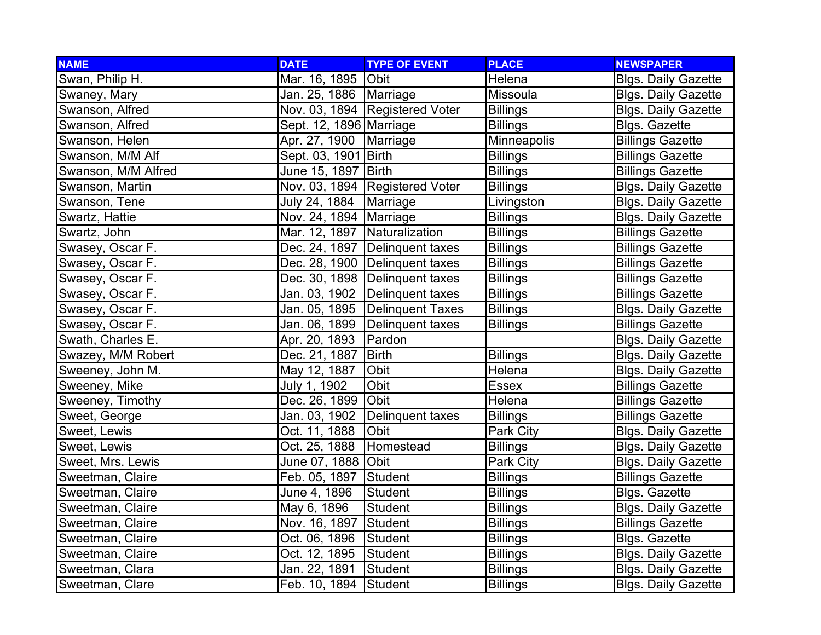| <b>NAME</b>         | <b>DATE</b>                  | <b>TYPE OF EVENT</b>             | <b>PLACE</b>    | <b>NEWSPAPER</b>           |
|---------------------|------------------------------|----------------------------------|-----------------|----------------------------|
| Swan, Philip H.     | Mar. 16, 1895                | <b>Obit</b>                      | Helena          | <b>Blgs. Daily Gazette</b> |
| Swaney, Mary        | Jan. 25, 1886   Marriage     |                                  | Missoula        | <b>Blgs. Daily Gazette</b> |
| Swanson, Alfred     |                              | Nov. 03, 1894 Registered Voter   | <b>Billings</b> | <b>Blgs. Daily Gazette</b> |
| Swanson, Alfred     | Sept. 12, 1896 Marriage      |                                  | <b>Billings</b> | <b>Blgs. Gazette</b>       |
| Swanson, Helen      | Apr. 27, 1900                | Marriage                         | Minneapolis     | <b>Billings Gazette</b>    |
| Swanson, M/M Alf    | Sept. 03, 1901 Birth         |                                  | <b>Billings</b> | <b>Billings Gazette</b>    |
| Swanson, M/M Alfred | June 15, 1897 Birth          |                                  | <b>Billings</b> | <b>Billings Gazette</b>    |
| Swanson, Martin     |                              | Nov. 03, 1894 Registered Voter   | <b>Billings</b> | <b>Blgs. Daily Gazette</b> |
| Swanson, Tene       | July 24, 1884                | Marriage                         | Livingston      | <b>Blgs. Daily Gazette</b> |
| Swartz, Hattie      | Nov. 24, 1894   Marriage     |                                  | <b>Billings</b> | <b>Blgs. Daily Gazette</b> |
| Swartz, John        | Mar. 12, 1897 Naturalization |                                  | <b>Billings</b> | <b>Billings Gazette</b>    |
| Swasey, Oscar F.    |                              | Dec. 24, 1897   Delinquent taxes | <b>Billings</b> | <b>Billings Gazette</b>    |
| Swasey, Oscar F.    |                              | Dec. 28, 1900 Delinguent taxes   | <b>Billings</b> | <b>Billings Gazette</b>    |
| Swasey, Oscar F.    |                              | Dec. 30, 1898   Delinquent taxes | <b>Billings</b> | <b>Billings Gazette</b>    |
| Swasey, Oscar F.    |                              | Jan. 03, 1902 Delinguent taxes   | <b>Billings</b> | <b>Billings Gazette</b>    |
| Swasey, Oscar F.    |                              | Jan. 05, 1895 Delinquent Taxes   | <b>Billings</b> | <b>Blgs. Daily Gazette</b> |
| Swasey, Oscar F.    | Jan. 06, 1899                | Delinquent taxes                 | <b>Billings</b> | <b>Billings Gazette</b>    |
| Swath, Charles E.   | Apr. 20, 1893                | Pardon                           |                 | <b>Blgs. Daily Gazette</b> |
| Swazey, M/M Robert  | Dec. 21, 1887                | <b>Birth</b>                     | <b>Billings</b> | <b>Blgs. Daily Gazette</b> |
| Sweeney, John M.    | May 12, 1887                 | Obit                             | Helena          | <b>Blgs. Daily Gazette</b> |
| Sweeney, Mike       | July 1, 1902                 | Obit                             | <b>Essex</b>    | <b>Billings Gazette</b>    |
| Sweeney, Timothy    | Dec. 26, 1899                | Obit                             | Helena          | <b>Billings Gazette</b>    |
| Sweet, George       | Jan. 03, 1902                | Delinquent taxes                 | <b>Billings</b> | <b>Billings Gazette</b>    |
| Sweet, Lewis        | Oct. 11, 1888                | Obit                             | Park City       | <b>Blgs. Daily Gazette</b> |
| Sweet, Lewis        | Oct. 25, 1888                | Homestead                        | <b>Billings</b> | <b>Blgs. Daily Gazette</b> |
| Sweet, Mrs. Lewis   | June 07, 1888 Obit           |                                  | Park City       | <b>Blgs. Daily Gazette</b> |
| Sweetman, Claire    | Feb. 05, 1897                | Student                          | <b>Billings</b> | <b>Billings Gazette</b>    |
| Sweetman, Claire    | June 4, 1896                 | <b>Student</b>                   | <b>Billings</b> | <b>Blgs. Gazette</b>       |
| Sweetman, Claire    | May 6, 1896                  | <b>Student</b>                   | <b>Billings</b> | <b>Blgs. Daily Gazette</b> |
| Sweetman, Claire    | Nov. 16, 1897                | Student                          | <b>Billings</b> | <b>Billings Gazette</b>    |
| Sweetman, Claire    | Oct. 06, 1896                | Student                          | <b>Billings</b> | Blgs. Gazette              |
| Sweetman, Claire    | Oct. 12, 1895                | Student                          | <b>Billings</b> | <b>Blgs. Daily Gazette</b> |
| Sweetman, Clara     | Jan. 22, 1891                | Student                          | <b>Billings</b> | <b>Blgs. Daily Gazette</b> |
| Sweetman, Clare     | Feb. 10, 1894                | Student                          | <b>Billings</b> | <b>Blgs. Daily Gazette</b> |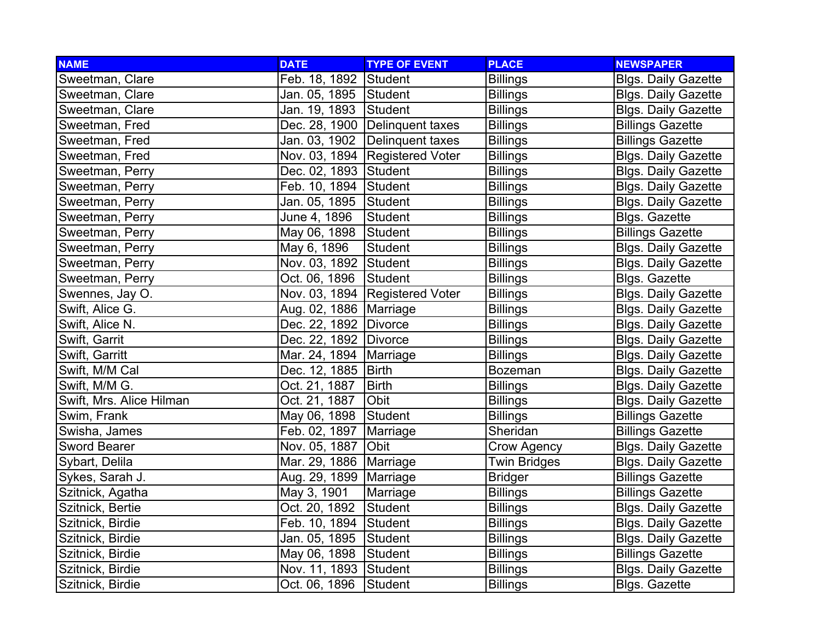| <b>NAME</b>              | <b>DATE</b>              | <b>TYPE OF EVENT</b>             | <b>PLACE</b>        | <b>NEWSPAPER</b>           |
|--------------------------|--------------------------|----------------------------------|---------------------|----------------------------|
| Sweetman, Clare          | Feb. 18, 1892 Student    |                                  | <b>Billings</b>     | <b>Blgs. Daily Gazette</b> |
| Sweetman, Clare          | Jan. 05, 1895 Student    |                                  | <b>Billings</b>     | <b>Blgs. Daily Gazette</b> |
| Sweetman, Clare          | Jan. 19, 1893 Student    |                                  | <b>Billings</b>     | <b>Blgs. Daily Gazette</b> |
| Sweetman, Fred           |                          | Dec. 28, 1900 Delinquent taxes   | <b>Billings</b>     | <b>Billings Gazette</b>    |
| Sweetman, Fred           |                          | Jan. 03, 1902 Delinquent taxes   | <b>Billings</b>     | <b>Billings Gazette</b>    |
| Sweetman, Fred           |                          | Nov. 03, 1894   Registered Voter | <b>Billings</b>     | <b>Blgs. Daily Gazette</b> |
| Sweetman, Perry          | Dec. 02, 1893 Student    |                                  | <b>Billings</b>     | <b>Blgs. Daily Gazette</b> |
| Sweetman, Perry          | Feb. 10, 1894 Student    |                                  | <b>Billings</b>     | <b>Blgs. Daily Gazette</b> |
| Sweetman, Perry          | Jan. 05, 1895 Student    |                                  | <b>Billings</b>     | <b>Blgs. Daily Gazette</b> |
| Sweetman, Perry          | June 4, 1896             | Student                          | <b>Billings</b>     | <b>Blgs. Gazette</b>       |
| Sweetman, Perry          | May 06, 1898             | Student                          | <b>Billings</b>     | <b>Billings Gazette</b>    |
| Sweetman, Perry          | May 6, 1896              | Student                          | <b>Billings</b>     | <b>Blgs. Daily Gazette</b> |
| Sweetman, Perry          | Nov. 03, 1892 Student    |                                  | <b>Billings</b>     | <b>Blgs. Daily Gazette</b> |
| Sweetman, Perry          | Oct. 06, 1896            | Student                          | <b>Billings</b>     | <b>Blgs. Gazette</b>       |
| Swennes, Jay O.          |                          | Nov. 03, 1894 Registered Voter   | <b>Billings</b>     | <b>Blgs. Daily Gazette</b> |
| Swift, Alice G.          | Aug. 02, 1886   Marriage |                                  | <b>Billings</b>     | <b>Blgs. Daily Gazette</b> |
| Swift, Alice N.          | Dec. 22, 1892 Divorce    |                                  | <b>Billings</b>     | <b>Blgs. Daily Gazette</b> |
| Swift, Garrit            | Dec. 22, 1892 Divorce    |                                  | <b>Billings</b>     | <b>Blgs. Daily Gazette</b> |
| Swift, Garritt           | Mar. 24, 1894   Marriage |                                  | <b>Billings</b>     | <b>Blgs. Daily Gazette</b> |
| Swift, M/M Cal           | Dec. 12, 1885   Birth    |                                  | Bozeman             | <b>Blgs. Daily Gazette</b> |
| Swift, M/M G.            | Oct. 21, 1887            | <b>Birth</b>                     | <b>Billings</b>     | <b>Blgs. Daily Gazette</b> |
| Swift, Mrs. Alice Hilman | Oct. 21, 1887            | Obit                             | <b>Billings</b>     | <b>Blgs. Daily Gazette</b> |
| Swim, Frank              | May 06, 1898             | Student                          | <b>Billings</b>     | <b>Billings Gazette</b>    |
| Swisha, James            | Feb. 02, 1897            | Marriage                         | Sheridan            | <b>Billings Gazette</b>    |
| <b>Sword Bearer</b>      | Nov. 05, 1887            | Obit                             | Crow Agency         | <b>Blgs. Daily Gazette</b> |
| Sybart, Delila           | Mar. 29, 1886   Marriage |                                  | <b>Twin Bridges</b> | <b>Blgs. Daily Gazette</b> |
| Sykes, Sarah J.          | Aug. 29, 1899   Marriage |                                  | <b>Bridger</b>      | <b>Billings Gazette</b>    |
| Szitnick, Agatha         | May 3, 1901              | Marriage                         | <b>Billings</b>     | <b>Billings Gazette</b>    |
| Szitnick, Bertie         | Oct. 20, 1892            | Student                          | <b>Billings</b>     | <b>Blgs. Daily Gazette</b> |
| Szitnick, Birdie         | Feb. 10, 1894 Student    |                                  | <b>Billings</b>     | <b>Blgs. Daily Gazette</b> |
| Szitnick, Birdie         | Jan. 05, 1895 Student    |                                  | <b>Billings</b>     | <b>Blgs. Daily Gazette</b> |
| Szitnick, Birdie         | May 06, 1898             | Student                          | <b>Billings</b>     | <b>Billings Gazette</b>    |
| Szitnick, Birdie         | Nov. 11, 1893 Student    |                                  | <b>Billings</b>     | <b>Blgs. Daily Gazette</b> |
| Szitnick, Birdie         | Oct. 06, 1896            | Student                          | <b>Billings</b>     | <b>Blgs. Gazette</b>       |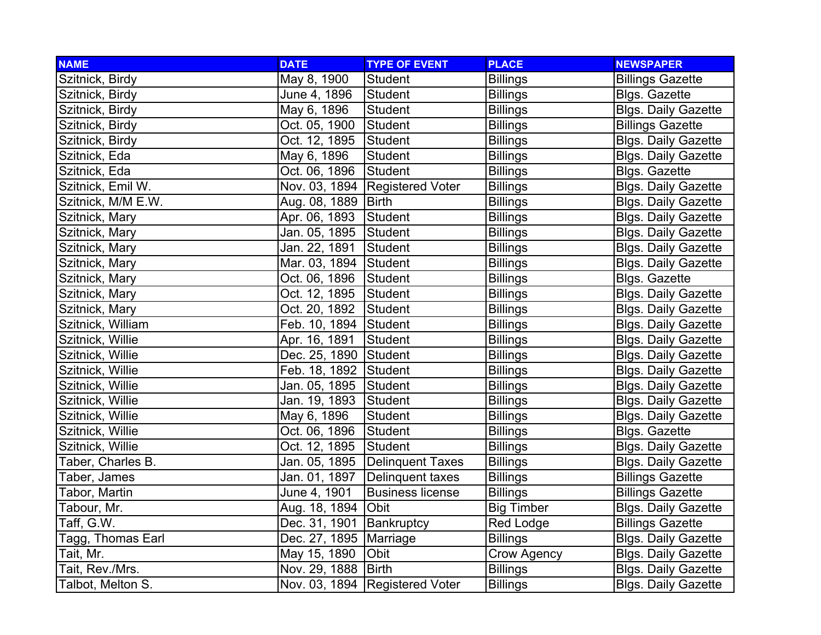| <b>NAME</b>        | <b>DATE</b>              | <b>TYPE OF EVENT</b>             | <b>PLACE</b>       | <b>NEWSPAPER</b>           |
|--------------------|--------------------------|----------------------------------|--------------------|----------------------------|
| Szitnick, Birdy    | May 8, 1900              | Student                          | <b>Billings</b>    | <b>Billings Gazette</b>    |
| Szitnick, Birdy    | June 4, 1896             | Student                          | <b>Billings</b>    | Blgs. Gazette              |
| Szitnick, Birdy    | May 6, 1896              | Student                          | <b>Billings</b>    | <b>Blgs. Daily Gazette</b> |
| Szitnick, Birdy    | Oct. 05, 1900            | Student                          | <b>Billings</b>    | <b>Billings Gazette</b>    |
| Szitnick, Birdy    | Oct. 12, 1895            | Student                          | <b>Billings</b>    | <b>Blgs. Daily Gazette</b> |
| Szitnick, Eda      | May 6, 1896              | Student                          | <b>Billings</b>    | <b>Blgs. Daily Gazette</b> |
| Szitnick, Eda      | Oct. 06, 1896            | Student                          | <b>Billings</b>    | <b>Blgs. Gazette</b>       |
| Szitnick, Emil W.  |                          | Nov. 03, 1894   Registered Voter | <b>Billings</b>    | <b>Blgs. Daily Gazette</b> |
| Szitnick, M/M E.W. | Aug. 08, 1889   Birth    |                                  | <b>Billings</b>    | <b>Blgs. Daily Gazette</b> |
| Szitnick, Mary     | Apr. 06, 1893            | Student                          | <b>Billings</b>    | <b>Blgs. Daily Gazette</b> |
| Szitnick, Mary     | Jan. 05, 1895            | Student                          | Billings           | <b>Blgs. Daily Gazette</b> |
| Szitnick, Mary     | Jan. 22, 1891            | Student                          | <b>Billings</b>    | <b>Blgs. Daily Gazette</b> |
| Szitnick, Mary     | Mar. 03, 1894 Student    |                                  | <b>Billings</b>    | <b>Blgs. Daily Gazette</b> |
| Szitnick, Mary     | Oct. 06, 1896            | Student                          | <b>Billings</b>    | <b>Blgs. Gazette</b>       |
| Szitnick, Mary     | Oct. 12, 1895            | Student                          | <b>Billings</b>    | <b>Blgs. Daily Gazette</b> |
| Szitnick, Mary     | Oct. 20, 1892            | Student                          | <b>Billings</b>    | <b>Blgs. Daily Gazette</b> |
| Szitnick, William  | Feb. 10, 1894 Student    |                                  | <b>Billings</b>    | <b>Blgs. Daily Gazette</b> |
| Szitnick, Willie   | Apr. 16, 1891            | Student                          | <b>Billings</b>    | <b>Blgs. Daily Gazette</b> |
| Szitnick, Willie   | Dec. 25, 1890 Student    |                                  | <b>Billings</b>    | <b>Blgs. Daily Gazette</b> |
| Szitnick, Willie   | Feb. 18, 1892 Student    |                                  | <b>Billings</b>    | <b>Blgs. Daily Gazette</b> |
| Szitnick, Willie   | Jan. 05, 1895 Student    |                                  | <b>Billings</b>    | <b>Blgs. Daily Gazette</b> |
| Szitnick, Willie   | Jan. 19, 1893 Student    |                                  | <b>Billings</b>    | <b>Blgs. Daily Gazette</b> |
| Szitnick, Willie   | May 6, 1896              | Student                          | <b>Billings</b>    | <b>Blgs. Daily Gazette</b> |
| Szitnick, Willie   | Oct. 06, 1896            | Student                          | <b>Billings</b>    | <b>Blgs. Gazette</b>       |
| Szitnick, Willie   | Oct. 12, 1895            | Student                          | <b>Billings</b>    | <b>Blgs. Daily Gazette</b> |
| Taber, Charles B.  | Jan. 05, 1895            | Delinquent Taxes                 | <b>Billings</b>    | <b>Blgs. Daily Gazette</b> |
| Taber, James       | Jan. 01, 1897            | Delinquent taxes                 | <b>Billings</b>    | <b>Billings Gazette</b>    |
| Tabor, Martin      | June 4, 1901             | <b>Business license</b>          | Billings           | <b>Billings Gazette</b>    |
| Tabour, Mr.        | Aug. 18, 1894 Obit       |                                  | <b>Big Timber</b>  | <b>Blgs. Daily Gazette</b> |
| Taff, G.W.         | Dec. 31, 1901            | Bankruptcy                       | Red Lodge          | <b>Billings Gazette</b>    |
| Tagg, Thomas Earl  | Dec. 27, 1895   Marriage |                                  | <b>Billings</b>    | <b>Blgs. Daily Gazette</b> |
| Tait, Mr.          | May 15, 1890             | Obit                             | <b>Crow Agency</b> | <b>Blgs. Daily Gazette</b> |
| Tait, Rev./Mrs.    | Nov. 29, 1888   Birth    |                                  | <b>Billings</b>    | <b>Blgs. Daily Gazette</b> |
| Talbot, Melton S.  |                          | Nov. 03, 1894   Registered Voter | <b>Billings</b>    | <b>Blgs. Daily Gazette</b> |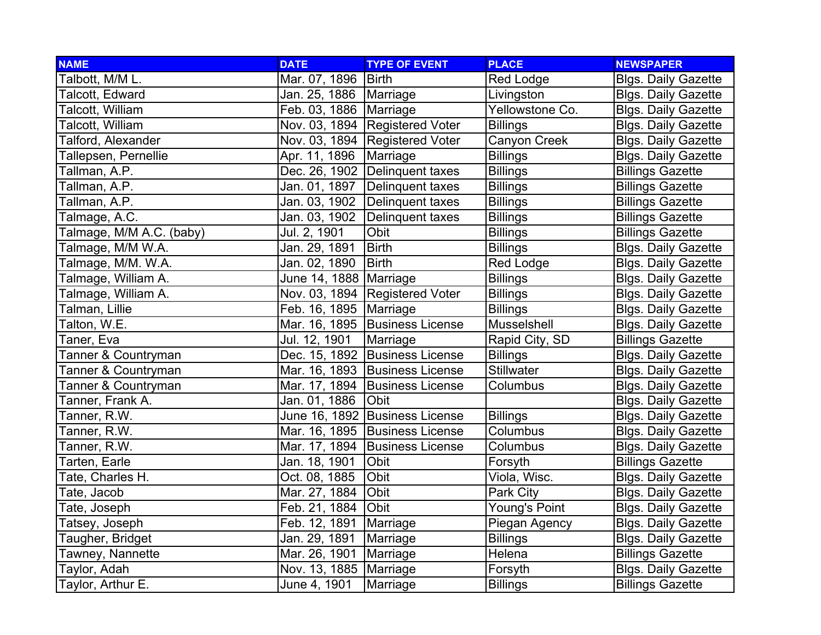| <b>NAME</b>              | <b>DATE</b>              | <b>TYPE OF EVENT</b>             | <b>PLACE</b>        | <b>NEWSPAPER</b>           |
|--------------------------|--------------------------|----------------------------------|---------------------|----------------------------|
| Talbott, M/M L.          | Mar. 07, 1896            | <b>Birth</b>                     | Red Lodge           | <b>Blgs. Daily Gazette</b> |
| Talcott, Edward          | Jan. 25, 1886   Marriage |                                  | Livingston          | <b>Blgs. Daily Gazette</b> |
| Talcott, William         | Feb. 03, 1886   Marriage |                                  | Yellowstone Co.     | <b>Blgs. Daily Gazette</b> |
| Talcott, William         |                          | Nov. 03, 1894 Registered Voter   | <b>Billings</b>     | <b>Blgs. Daily Gazette</b> |
| Talford, Alexander       |                          | Nov. 03, 1894 Registered Voter   | <b>Canyon Creek</b> | <b>Blgs. Daily Gazette</b> |
| Tallepsen, Pernellie     | Apr. 11, 1896            | Marriage                         | <b>Billings</b>     | <b>Blgs. Daily Gazette</b> |
| Tallman, A.P.            |                          | Dec. 26, 1902   Delinguent taxes | <b>Billings</b>     | <b>Billings Gazette</b>    |
| Tallman, A.P.            |                          | Jan. 01, 1897   Delinquent taxes | <b>Billings</b>     | <b>Billings Gazette</b>    |
| Tallman, A.P.            |                          | Jan. 03, 1902 Delinquent taxes   | <b>Billings</b>     | <b>Billings Gazette</b>    |
| Talmage, A.C.            | Jan. 03, 1902            | Delinquent taxes                 | <b>Billings</b>     | <b>Billings Gazette</b>    |
| Talmage, M/M A.C. (baby) | Jul. 2, 1901             | Obit                             | <b>Billings</b>     | <b>Billings Gazette</b>    |
| Talmage, M/M W.A.        | Jan. 29, 1891            | <b>Birth</b>                     | <b>Billings</b>     | <b>Blgs. Daily Gazette</b> |
| Talmage, M/M. W.A.       | Jan. 02, 1890            | <b>Birth</b>                     | Red Lodge           | <b>Blgs. Daily Gazette</b> |
| Talmage, William A.      | June 14, 1888   Marriage |                                  | <b>Billings</b>     | <b>Blgs. Daily Gazette</b> |
| Talmage, William A.      |                          | Nov. 03, 1894 Registered Voter   | <b>Billings</b>     | <b>Blgs. Daily Gazette</b> |
| Talman, Lillie           | Feb. 16, 1895   Marriage |                                  | <b>Billings</b>     | <b>Blgs. Daily Gazette</b> |
| Talton, W.E.             |                          | Mar. 16, 1895 Business License   | Musselshell         | <b>Blgs. Daily Gazette</b> |
| Taner, Eva               | Jul. 12, 1901            | Marriage                         | Rapid City, SD      | <b>Billings Gazette</b>    |
| Tanner & Countryman      |                          | Dec. 15, 1892 Business License   | <b>Billings</b>     | <b>Blgs. Daily Gazette</b> |
| Tanner & Countryman      |                          | Mar. 16, 1893 Business License   | <b>Stillwater</b>   | <b>Blgs. Daily Gazette</b> |
| Tanner & Countryman      |                          | Mar. 17, 1894 Business License   | Columbus            | <b>Blgs. Daily Gazette</b> |
| Tanner, Frank A.         | Jan. 01, 1886            | Obit                             |                     | <b>Blgs. Daily Gazette</b> |
| Tanner, R.W.             |                          | June 16, 1892 Business License   | <b>Billings</b>     | <b>Blgs. Daily Gazette</b> |
| Tanner, R.W.             |                          | Mar. 16, 1895   Business License | Columbus            | <b>Blgs. Daily Gazette</b> |
| Tanner, R.W.             |                          | Mar. 17, 1894   Business License | Columbus            | <b>Blgs. Daily Gazette</b> |
| Tarten, Earle            | Jan. 18, 1901            | <b>Obit</b>                      | Forsyth             | <b>Billings Gazette</b>    |
| Tate, Charles H.         | Oct. 08, 1885            | Obit                             | Viola, Wisc.        | <b>Blgs. Daily Gazette</b> |
| Tate, Jacob              | Mar. 27, 1884            | <b>Obit</b>                      | Park City           | <b>Blgs. Daily Gazette</b> |
| Tate, Joseph             | Feb. 21, 1884            | Obit                             | Young's Point       | <b>Blgs. Daily Gazette</b> |
| Tatsey, Joseph           | Feb. 12, 1891            | Marriage                         | Piegan Agency       | <b>Blgs. Daily Gazette</b> |
| Taugher, Bridget         | Jan. 29, 1891            | Marriage                         | <b>Billings</b>     | <b>Blgs. Daily Gazette</b> |
| Tawney, Nannette         | Mar. 26, 1901            | Marriage                         | Helena              | <b>Billings Gazette</b>    |
| Taylor, Adah             | Nov. 13, 1885   Marriage |                                  | Forsyth             | <b>Blgs. Daily Gazette</b> |
| Taylor, Arthur E.        | June 4, 1901             | Marriage                         | <b>Billings</b>     | <b>Billings Gazette</b>    |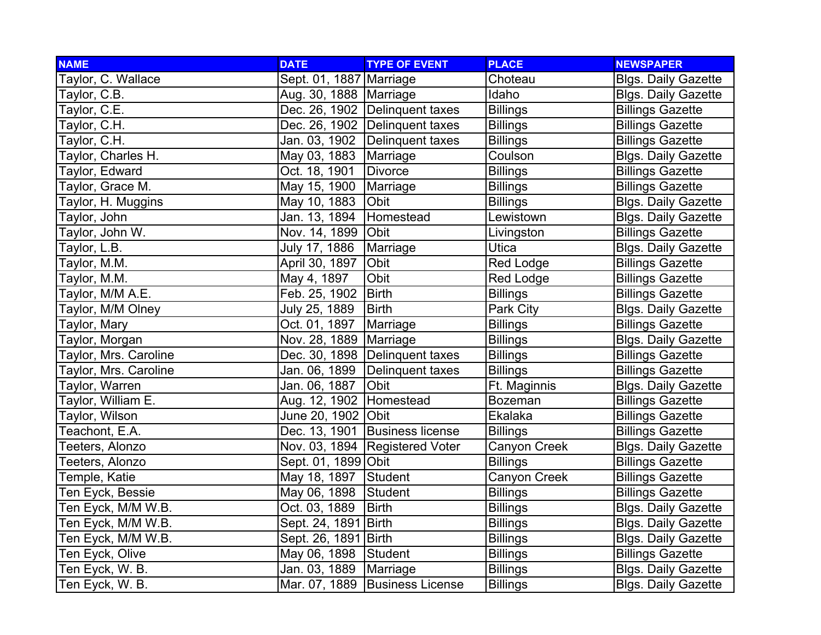| <b>NAME</b>            | <b>DATE</b>               | <b>TYPE OF EVENT</b>             | <b>PLACE</b>    | <b>NEWSPAPER</b>           |
|------------------------|---------------------------|----------------------------------|-----------------|----------------------------|
| Taylor, C. Wallace     | Sept. 01, 1887 Marriage   |                                  | Choteau         | <b>Blgs. Daily Gazette</b> |
| Taylor, C.B.           | Aug. 30, 1888   Marriage  |                                  | Idaho           | <b>Blgs. Daily Gazette</b> |
| Taylor, C.E.           |                           | Dec. 26, 1902 Delinguent taxes   | <b>Billings</b> | <b>Billings Gazette</b>    |
| Taylor, C.H.           |                           | Dec. 26, 1902 Delinquent taxes   | <b>Billings</b> | <b>Billings Gazette</b>    |
| Taylor, C.H.           |                           | Jan. 03, 1902 Delinquent taxes   | <b>Billings</b> | <b>Billings Gazette</b>    |
| Taylor, Charles H.     | May 03, 1883   Marriage   |                                  | Coulson         | <b>Blgs. Daily Gazette</b> |
| Taylor, Edward         | Oct. 18, 1901             | Divorce                          | <b>Billings</b> | <b>Billings Gazette</b>    |
| Taylor, Grace M.       | May 15, 1900              | Marriage                         | <b>Billings</b> | <b>Billings Gazette</b>    |
| Taylor, H. Muggins     | May 10, 1883              | Obit                             | <b>Billings</b> | <b>Blgs. Daily Gazette</b> |
| Taylor, John           | Jan. 13, 1894             | Homestead                        | Lewistown       | <b>Blgs. Daily Gazette</b> |
| Taylor, John W.        | Nov. 14, 1899 Obit        |                                  | Livingston      | <b>Billings Gazette</b>    |
| Taylor, L.B.           | July 17, 1886             | Marriage                         | Utica           | <b>Blgs. Daily Gazette</b> |
| Taylor, M.M.           | April 30, 1897            | Obit                             | Red Lodge       | <b>Billings Gazette</b>    |
| Taylor, M.M.           | May 4, 1897               | Obit                             | Red Lodge       | <b>Billings Gazette</b>    |
| Taylor, M/M A.E.       | Feb. 25, 1902             | <b>Birth</b>                     | <b>Billings</b> | <b>Billings Gazette</b>    |
| Taylor, M/M Olney      | July 25, 1889             | Birth                            | Park City       | <b>Blgs. Daily Gazette</b> |
| Taylor, Mary           | Oct. 01, 1897             | Marriage                         | <b>Billings</b> | <b>Billings Gazette</b>    |
| Taylor, Morgan         | Nov. 28, 1889   Marriage  |                                  | <b>Billings</b> | <b>Blgs. Daily Gazette</b> |
| Taylor, Mrs. Caroline  |                           | Dec. 30, 1898   Delinquent taxes | <b>Billings</b> | <b>Billings Gazette</b>    |
| Taylor, Mrs. Caroline  |                           | Jan. 06, 1899 Delinquent taxes   | <b>Billings</b> | <b>Billings Gazette</b>    |
| Taylor, Warren         | Jan. 06, 1887             | Obit                             | Ft. Maginnis    | <b>Blgs. Daily Gazette</b> |
| Taylor, William E.     | Aug. 12, 1902   Homestead |                                  | Bozeman         | <b>Billings Gazette</b>    |
| Taylor, Wilson         | June 20, 1902 Obit        |                                  | Ekalaka         | <b>Billings Gazette</b>    |
| Teachont, E.A.         |                           | Dec. 13, 1901 Business license   | <b>Billings</b> | <b>Billings Gazette</b>    |
| Teeters, Alonzo        |                           | Nov. 03, 1894   Registered Voter | Canyon Creek    | <b>Blgs. Daily Gazette</b> |
| <b>Feeters, Alonzo</b> | Sept. 01, 1899 Obit       |                                  | <b>Billings</b> | <b>Billings Gazette</b>    |
| Temple, Katie          | May 18, 1897 Student      |                                  | Canyon Creek    | <b>Billings Gazette</b>    |
| Ten Eyck, Bessie       | May 06, 1898              | Student                          | <b>Billings</b> | <b>Billings Gazette</b>    |
| Ten Eyck, M/M W.B.     | Oct. 03, 1889             | <b>Birth</b>                     | <b>Billings</b> | <b>Blgs. Daily Gazette</b> |
| Ten Eyck, M/M W.B.     | Sept. 24, 1891 Birth      |                                  | <b>Billings</b> | <b>Blgs. Daily Gazette</b> |
| Ten Eyck, M/M W.B.     | Sept. 26, 1891 Birth      |                                  | <b>Billings</b> | <b>Blgs. Daily Gazette</b> |
| Ten Eyck, Olive        | May 06, 1898 Student      |                                  | <b>Billings</b> | <b>Billings Gazette</b>    |
| Ten Eyck, W. B.        | Jan. 03, 1889             | Marriage                         | <b>Billings</b> | <b>Blgs. Daily Gazette</b> |
| Ten Eyck, W. B.        |                           | Mar. 07, 1889 Business License   | <b>Billings</b> | <b>Blgs. Daily Gazette</b> |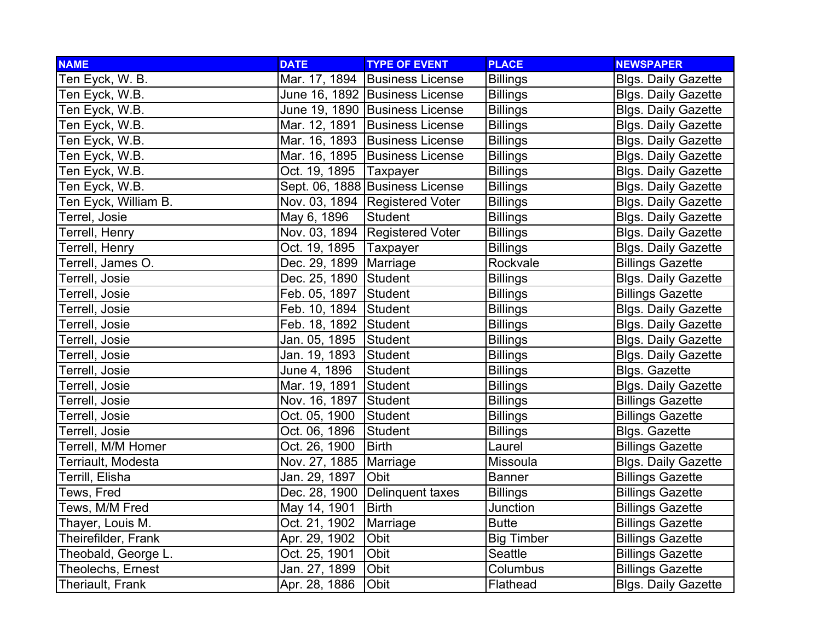| <b>NAME</b>          | <b>DATE</b>              | <b>TYPE OF EVENT</b>             | <b>PLACE</b>      | <b>NEWSPAPER</b>           |
|----------------------|--------------------------|----------------------------------|-------------------|----------------------------|
| Ten Eyck, W. B.      |                          | Mar. 17, 1894 Business License   | <b>Billings</b>   | <b>Blgs. Daily Gazette</b> |
| Ten Eyck, W.B.       |                          | June 16, 1892 Business License   | <b>Billings</b>   | <b>Blgs. Daily Gazette</b> |
| Ten Eyck, W.B.       |                          | June 19, 1890 Business License   | <b>Billings</b>   | <b>Blgs. Daily Gazette</b> |
| Ten Eyck, W.B.       |                          | Mar. 12, 1891 Business License   | <b>Billings</b>   | <b>Blgs. Daily Gazette</b> |
| Ten Eyck, W.B.       |                          | Mar. 16, 1893 Business License   | <b>Billings</b>   | <b>Blgs. Daily Gazette</b> |
| Ten Eyck, W.B.       |                          | Mar. 16, 1895   Business License | <b>Billings</b>   | <b>Blgs. Daily Gazette</b> |
| Ten Eyck, W.B.       | Oct. 19, 1895            | Taxpayer                         | <b>Billings</b>   | <b>Blgs. Daily Gazette</b> |
| Ten Eyck, W.B.       |                          | Sept. 06, 1888 Business License  | <b>Billings</b>   | <b>Blgs. Daily Gazette</b> |
| Ten Eyck, William B. |                          | Nov. 03, 1894   Registered Voter | <b>Billings</b>   | <b>Blgs. Daily Gazette</b> |
| Terrel, Josie        | May 6, 1896              | <b>Student</b>                   | <b>Billings</b>   | <b>Blgs. Daily Gazette</b> |
| Terrell, Henry       |                          | Nov. 03, 1894 Registered Voter   | <b>Billings</b>   | <b>Blgs. Daily Gazette</b> |
| Terrell, Henry       | Oct. 19, 1895   Taxpayer |                                  | <b>Billings</b>   | <b>Blgs. Daily Gazette</b> |
| Terrell, James O.    | Dec. 29, 1899   Marriage |                                  | Rockvale          | <b>Billings Gazette</b>    |
| Terrell, Josie       | Dec. 25, 1890 Student    |                                  | <b>Billings</b>   | <b>Blgs. Daily Gazette</b> |
| Terrell, Josie       | Feb. 05, 1897 Student    |                                  | <b>Billings</b>   | <b>Billings Gazette</b>    |
| Terrell, Josie       | Feb. 10, 1894 Student    |                                  | <b>Billings</b>   | <b>Blgs. Daily Gazette</b> |
| Terrell, Josie       | Feb. 18, 1892 Student    |                                  | <b>Billings</b>   | <b>Blgs. Daily Gazette</b> |
| Terrell, Josie       | Jan. 05, 1895 Student    |                                  | <b>Billings</b>   | <b>Blgs. Daily Gazette</b> |
| Terrell, Josie       | Jan. 19, 1893 Student    |                                  | <b>Billings</b>   | <b>Blgs. Daily Gazette</b> |
| Terrell, Josie       | June 4, 1896             | Student                          | <b>Billings</b>   | <b>Blgs. Gazette</b>       |
| Terrell, Josie       | Mar. 19, 1891            | Student                          | <b>Billings</b>   | <b>Blgs. Daily Gazette</b> |
| Terrell, Josie       | Nov. 16, 1897 Student    |                                  | <b>Billings</b>   | <b>Billings Gazette</b>    |
| Terrell, Josie       | Oct. 05, 1900            | Student                          | <b>Billings</b>   | <b>Billings Gazette</b>    |
| Terrell, Josie       | Oct. 06, 1896            | Student                          | <b>Billings</b>   | Blgs. Gazette              |
| Terrell, M/M Homer   | Oct. 26, 1900            | <b>Birth</b>                     | Laurel            | <b>Billings Gazette</b>    |
| Terriault, Modesta   | Nov. 27, 1885   Marriage |                                  | Missoula          | <b>Blgs. Daily Gazette</b> |
| Terrill, Elisha      | Jan. 29, 1897            | Obit                             | <b>Banner</b>     | <b>Billings Gazette</b>    |
| Tews, Fred           |                          | Dec. 28, 1900 Delinquent taxes   | Billings          | <b>Billings Gazette</b>    |
| Tews, M/M Fred       | May 14, 1901             | Birth                            | Junction          | <b>Billings Gazette</b>    |
| Thayer, Louis M.     | Oct. 21, 1902            | Marriage                         | <b>Butte</b>      | <b>Billings Gazette</b>    |
| Theirefilder, Frank  | Apr. 29, 1902            | Obit                             | <b>Big Timber</b> | <b>Billings Gazette</b>    |
| Theobald, George L.  | Oct. 25, 1901            | Obit                             | Seattle           | <b>Billings Gazette</b>    |
| Theolechs, Ernest    | Jan. 27, 1899            | Obit                             | Columbus          | <b>Billings Gazette</b>    |
| Theriault, Frank     | Apr. 28, 1886            | Obit                             | Flathead          | <b>Blgs. Daily Gazette</b> |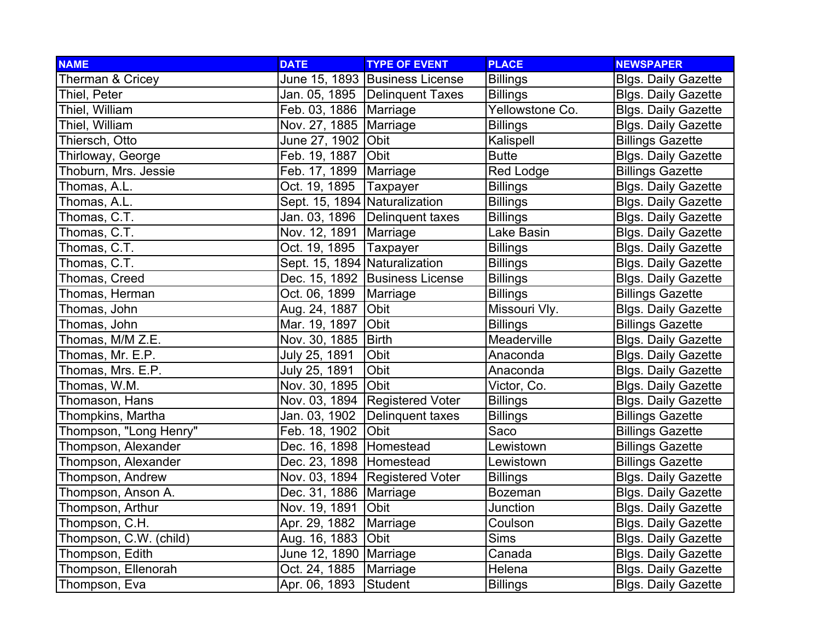| <b>NAME</b>            | <b>DATE</b>                   | <b>TYPE OF EVENT</b>             | <b>PLACE</b>    | <b>NEWSPAPER</b>           |
|------------------------|-------------------------------|----------------------------------|-----------------|----------------------------|
| Therman & Cricey       |                               | June 15, 1893 Business License   | <b>Billings</b> | <b>Blgs. Daily Gazette</b> |
| Thiel, Peter           |                               | Jan. 05, 1895 Delinquent Taxes   | <b>Billings</b> | <b>Blgs. Daily Gazette</b> |
| Thiel, William         | Feb. 03, 1886   Marriage      |                                  | Yellowstone Co. | <b>Blgs. Daily Gazette</b> |
| Thiel, William         | Nov. 27, 1885   Marriage      |                                  | <b>Billings</b> | <b>Blgs. Daily Gazette</b> |
| Thiersch, Otto         | June 27, 1902 Obit            |                                  | Kalispell       | <b>Billings Gazette</b>    |
| Thirloway, George      | Feb. 19, 1887                 | Obit                             | <b>Butte</b>    | <b>Blgs. Daily Gazette</b> |
| Thoburn, Mrs. Jessie   | Feb. 17, 1899   Marriage      |                                  | Red Lodge       | <b>Billings Gazette</b>    |
| Thomas, A.L.           | Oct. 19, 1895                 | Taxpayer                         | <b>Billings</b> | <b>Blgs. Daily Gazette</b> |
| Thomas, A.L.           | Sept. 15, 1894 Naturalization |                                  | <b>Billings</b> | <b>Blgs. Daily Gazette</b> |
| Thomas, C.T.           |                               | Jan. 03, 1896   Delinquent taxes | <b>Billings</b> | <b>Blgs. Daily Gazette</b> |
| Thomas, C.T.           | Nov. 12, 1891   Marriage      |                                  | Lake Basin      | <b>Blgs. Daily Gazette</b> |
| Thomas, C.T.           | Oct. 19, 1895   Taxpayer      |                                  | <b>Billings</b> | <b>Blgs. Daily Gazette</b> |
| Thomas, C.T.           | Sept. 15, 1894 Naturalization |                                  | <b>Billings</b> | <b>Blgs. Daily Gazette</b> |
| Thomas, Creed          |                               | Dec. 15, 1892 Business License   | <b>Billings</b> | <b>Blgs. Daily Gazette</b> |
| Thomas, Herman         | Oct. 06, 1899                 | Marriage                         | <b>Billings</b> | <b>Billings Gazette</b>    |
| Thomas, John           | Aug. 24, 1887                 | Obit                             | Missouri Vly.   | <b>Blgs. Daily Gazette</b> |
| Thomas, John           | Mar. 19, 1897                 | Obit                             | <b>Billings</b> | <b>Billings Gazette</b>    |
| Thomas, M/M Z.E.       | Nov. 30, 1885                 | Birth                            | Meaderville     | <b>Blgs. Daily Gazette</b> |
| Thomas, Mr. E.P.       | July 25, 1891                 | Obit                             | Anaconda        | <b>Blgs. Daily Gazette</b> |
| Thomas, Mrs. E.P.      | July 25, 1891                 | Obit                             | Anaconda        | <b>Blgs. Daily Gazette</b> |
| Thomas, W.M.           | Nov. 30, 1895 Obit            |                                  | Victor, Co.     | <b>Blgs. Daily Gazette</b> |
| Thomason, Hans         |                               | Nov. 03, 1894 Registered Voter   | <b>Billings</b> | <b>Blgs. Daily Gazette</b> |
| Thompkins, Martha      | Jan. 03, 1902                 | Delinquent taxes                 | <b>Billings</b> | <b>Billings Gazette</b>    |
| Thompson, "Long Henry" | Feb. 18, 1902                 | Obit                             | Saco            | <b>Billings Gazette</b>    |
| Thompson, Alexander    | Dec. 16, 1898 Homestead       |                                  | Lewistown       | <b>Billings Gazette</b>    |
| Thompson, Alexander    | Dec. 23, 1898 Homestead       |                                  | Lewistown       | <b>Billings Gazette</b>    |
| Thompson, Andrew       |                               | Nov. 03, 1894 Registered Voter   | <b>Billings</b> | <b>Blgs. Daily Gazette</b> |
| Thompson, Anson A.     | Dec. 31, 1886   Marriage      |                                  | <b>Bozeman</b>  | <b>Blgs. Daily Gazette</b> |
| Thompson, Arthur       | Nov. 19, 1891                 | <b>Obit</b>                      | Junction        | <b>Blgs. Daily Gazette</b> |
| Thompson, C.H.         | Apr. 29, 1882                 | Marriage                         | Coulson         | <b>Blgs. Daily Gazette</b> |
| Thompson, C.W. (child) | Aug. 16, 1883                 | Obit                             | <b>Sims</b>     | <b>Blgs. Daily Gazette</b> |
| Thompson, Edith        | June 12, 1890 Marriage        |                                  | Canada          | <b>Blgs. Daily Gazette</b> |
| Thompson, Ellenorah    | Oct. 24, 1885                 | Marriage                         | Helena          | <b>Blgs. Daily Gazette</b> |
| Thompson, Eva          | Apr. 06, 1893                 | Student                          | <b>Billings</b> | <b>Blgs. Daily Gazette</b> |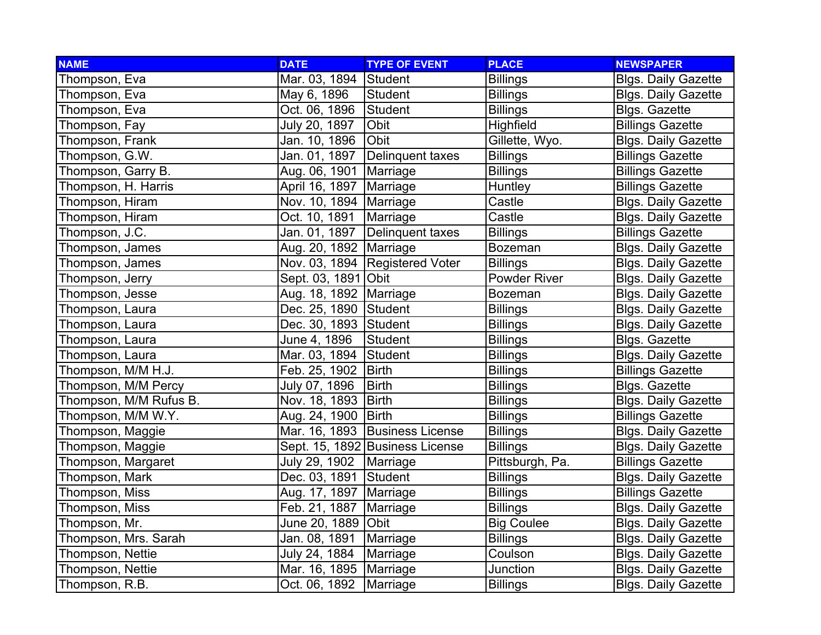| <b>NAME</b>            | <b>DATE</b>               | <b>TYPE OF EVENT</b>            | <b>PLACE</b>        | <b>NEWSPAPER</b>           |
|------------------------|---------------------------|---------------------------------|---------------------|----------------------------|
| Thompson, Eva          | Mar. 03, 1894 Student     |                                 | <b>Billings</b>     | <b>Blgs. Daily Gazette</b> |
| Thompson, Eva          | May 6, 1896               | Student                         | <b>Billings</b>     | <b>Blgs. Daily Gazette</b> |
| Thompson, Eva          | Oct. 06, 1896             | Student                         | <b>Billings</b>     | <b>Blgs. Gazette</b>       |
| Thompson, Fay          | July 20, 1897             | Obit                            | Highfield           | <b>Billings Gazette</b>    |
| Thompson, Frank        | Jan. 10, 1896             | Obit                            | Gillette, Wyo.      | <b>Blgs. Daily Gazette</b> |
| Thompson, G.W.         | Jan. 01, 1897             | Delinquent taxes                | <b>Billings</b>     | <b>Billings Gazette</b>    |
| Thompson, Garry B.     | Aug. 06, 1901 Marriage    |                                 | <b>Billings</b>     | <b>Billings Gazette</b>    |
| Thompson, H. Harris    | April 16, 1897   Marriage |                                 | Huntley             | <b>Billings Gazette</b>    |
| Thompson, Hiram        | Nov. 10, 1894   Marriage  |                                 | Castle              | <b>Blgs. Daily Gazette</b> |
| Thompson, Hiram        | Oct. 10, 1891             | Marriage                        | Castle              | <b>Blgs. Daily Gazette</b> |
| Thompson, J.C.         | Jan. 01, 1897             | Delinquent taxes                | <b>Billings</b>     | <b>Billings Gazette</b>    |
| Thompson, James        | Aug. 20, 1892   Marriage  |                                 | <b>Bozeman</b>      | <b>Blgs. Daily Gazette</b> |
| Thompson, James        |                           | Nov. 03, 1894 Registered Voter  | <b>Billings</b>     | <b>Blgs. Daily Gazette</b> |
| Thompson, Jerry        | Sept. 03, 1891 Obit       |                                 | <b>Powder River</b> | <b>Blgs. Daily Gazette</b> |
| Thompson, Jesse        | Aug. 18, 1892 Marriage    |                                 | <b>Bozeman</b>      | <b>Blgs. Daily Gazette</b> |
| Thompson, Laura        | Dec. 25, 1890 Student     |                                 | <b>Billings</b>     | <b>Blgs. Daily Gazette</b> |
| Thompson, Laura        | Dec. 30, 1893 Student     |                                 | <b>Billings</b>     | <b>Blgs. Daily Gazette</b> |
| Thompson, Laura        | June 4, 1896              | Student                         | <b>Billings</b>     | <b>Blgs. Gazette</b>       |
| Thompson, Laura        | Mar. 03, 1894 Student     |                                 | <b>Billings</b>     | <b>Blgs. Daily Gazette</b> |
| Thompson, M/M H.J.     | Feb. 25, 1902   Birth     |                                 | <b>Billings</b>     | <b>Billings Gazette</b>    |
| Thompson, M/M Percy    | July 07, 1896             | <b>Birth</b>                    | <b>Billings</b>     | <b>Blgs. Gazette</b>       |
| Thompson, M/M Rufus B. | Nov. 18, 1893             | Birth                           | <b>Billings</b>     | <b>Blgs. Daily Gazette</b> |
| Thompson, M/M W.Y.     | Aug. 24, 1900   Birth     |                                 | <b>Billings</b>     | <b>Billings Gazette</b>    |
| Thompson, Maggie       |                           | Mar. 16, 1893 Business License  | <b>Billings</b>     | <b>Blgs. Daily Gazette</b> |
| Thompson, Maggie       |                           | Sept. 15, 1892 Business License | <b>Billings</b>     | <b>Blgs. Daily Gazette</b> |
| Thompson, Margaret     | July 29, 1902             | Marriage                        | Pittsburgh, Pa.     | <b>Billings Gazette</b>    |
| Thompson, Mark         | Dec. 03, 1891 Student     |                                 | <b>Billings</b>     | <b>Blgs. Daily Gazette</b> |
| Thompson, Miss         | Aug. 17, 1897   Marriage  |                                 | <b>Billings</b>     | <b>Billings Gazette</b>    |
| Thompson, Miss         | Feb. 21, 1887             | Marriage                        | <b>Billings</b>     | <b>Blgs. Daily Gazette</b> |
| Thompson, Mr.          | June 20, 1889 Obit        |                                 | <b>Big Coulee</b>   | <b>Blgs. Daily Gazette</b> |
| Thompson, Mrs. Sarah   | Jan. 08, 1891   Marriage  |                                 | <b>Billings</b>     | <b>Blgs. Daily Gazette</b> |
| Thompson, Nettie       | July 24, 1884             | Marriage                        | Coulson             | <b>Blgs. Daily Gazette</b> |
| Thompson, Nettie       | Mar. 16, 1895   Marriage  |                                 | Junction            | <b>Blgs. Daily Gazette</b> |
| Thompson, R.B.         | Oct. 06, 1892             | Marriage                        | <b>Billings</b>     | <b>Blgs. Daily Gazette</b> |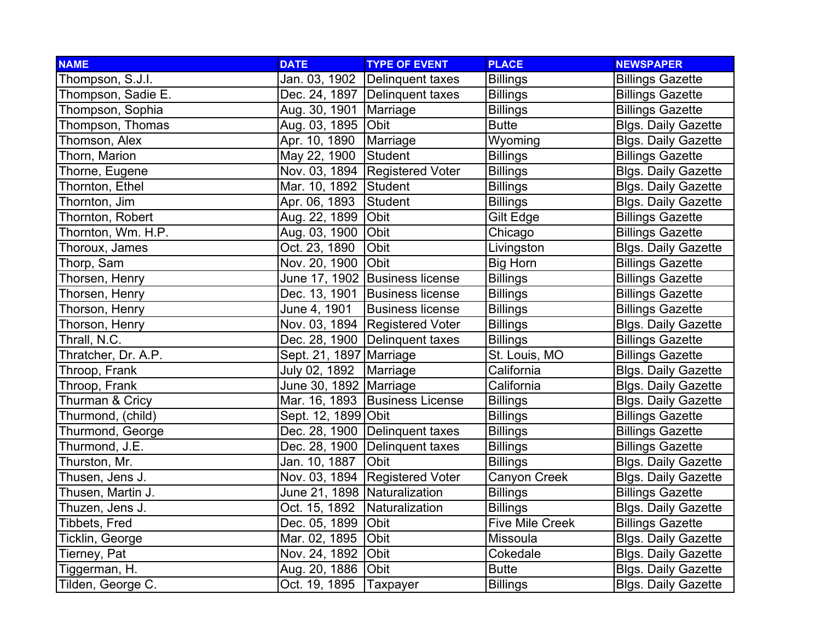| <b>NAME</b>         | <b>DATE</b>                    | <b>TYPE OF EVENT</b>             | <b>PLACE</b>           | <b>NEWSPAPER</b>           |
|---------------------|--------------------------------|----------------------------------|------------------------|----------------------------|
| Thompson, S.J.I.    |                                | Jan. 03, 1902 Delinquent taxes   | <b>Billings</b>        | <b>Billings Gazette</b>    |
| Thompson, Sadie E.  |                                | Dec. 24, 1897   Delinquent taxes | <b>Billings</b>        | <b>Billings Gazette</b>    |
| Thompson, Sophia    | Aug. 30, 1901   Marriage       |                                  | <b>Billings</b>        | <b>Billings Gazette</b>    |
| Thompson, Thomas    | Aug. 03, 1895 Obit             |                                  | <b>Butte</b>           | <b>Blgs. Daily Gazette</b> |
| Thomson, Alex       | Apr. 10, 1890                  | Marriage                         | Wyoming                | <b>Blgs. Daily Gazette</b> |
| Thorn, Marion       | May 22, 1900                   | Student                          | <b>Billings</b>        | <b>Billings Gazette</b>    |
| Thorne, Eugene      |                                | Nov. 03, 1894 Registered Voter   | <b>Billings</b>        | <b>Blgs. Daily Gazette</b> |
| Thornton, Ethel     | Mar. 10, 1892 Student          |                                  | <b>Billings</b>        | <b>Blgs. Daily Gazette</b> |
| Thornton, Jim       | Apr. 06, 1893                  | Student                          | <b>Billings</b>        | <b>Blgs. Daily Gazette</b> |
| Thornton, Robert    | Aug. 22, 1899                  | Obit                             | Gilt Edge              | <b>Billings Gazette</b>    |
| Thornton, Wm. H.P.  | Aug. 03, 1900                  | Obit                             | Chicago                | <b>Billings Gazette</b>    |
| Thoroux, James      | Oct. 23, 1890                  | Obit                             | Livingston             | <b>Blgs. Daily Gazette</b> |
| Thorp, Sam          | Nov. 20, 1900 Obit             |                                  | <b>Big Horn</b>        | <b>Billings Gazette</b>    |
| Thorsen, Henry      |                                | June 17, 1902 Business license   | <b>Billings</b>        | <b>Billings Gazette</b>    |
| Thorsen, Henry      |                                | Dec. 13, 1901 Business license   | <b>Billings</b>        | <b>Billings Gazette</b>    |
| Thorson, Henry      | June 4, 1901                   | <b>Business license</b>          | <b>Billings</b>        | <b>Billings Gazette</b>    |
| Thorson, Henry      |                                | Nov. 03, 1894   Registered Voter | <b>Billings</b>        | <b>Blgs. Daily Gazette</b> |
| Thrall, N.C.        |                                | Dec. 28, 1900 Delinquent taxes   | <b>Billings</b>        | <b>Billings Gazette</b>    |
| Thratcher, Dr. A.P. | Sept. 21, 1897   Marriage      |                                  | St. Louis, MO          | <b>Billings Gazette</b>    |
| Throop, Frank       | July 02, 1892   Marriage       |                                  | California             | <b>Blgs. Daily Gazette</b> |
| Throop, Frank       | June 30, 1892 Marriage         |                                  | California             | <b>Blgs. Daily Gazette</b> |
| Thurman & Cricy     |                                | Mar. 16, 1893   Business License | <b>Billings</b>        | <b>Blgs. Daily Gazette</b> |
| Thurmond, (child)   | Sept. 12, 1899 Obit            |                                  | <b>Billings</b>        | <b>Billings Gazette</b>    |
| Thurmond, George    |                                | Dec. 28, 1900 Delinquent taxes   | <b>Billings</b>        | <b>Billings Gazette</b>    |
| Thurmond, J.E.      |                                | Dec. 28, 1900   Delinquent taxes | <b>Billings</b>        | <b>Billings Gazette</b>    |
| Thurston, Mr.       | Jan. 10, 1887   Obit           |                                  | <b>Billings</b>        | <b>Blgs. Daily Gazette</b> |
| Thusen, Jens J.     |                                | Nov. 03, 1894 Registered Voter   | Canyon Creek           | <b>Blgs. Daily Gazette</b> |
| Thusen, Martin J.   | June 21, 1898 Naturalization   |                                  | <b>Billings</b>        | <b>Billings Gazette</b>    |
| Thuzen, Jens J.     | Oct. 15, 1892   Naturalization |                                  | <b>Billings</b>        | <b>Blgs. Daily Gazette</b> |
| Tibbets, Fred       | Dec. 05, 1899                  | <b>Obit</b>                      | <b>Five Mile Creek</b> | <b>Billings Gazette</b>    |
| Ticklin, George     | Mar. 02, 1895                  | Obit                             | Missoula               | <b>Blgs. Daily Gazette</b> |
| Tierney, Pat        | Nov. 24, 1892 Obit             |                                  | Cokedale               | <b>Blgs. Daily Gazette</b> |
| Tiggerman, H.       | Aug. 20, 1886 Obit             |                                  | <b>Butte</b>           | <b>Blgs. Daily Gazette</b> |
| Tilden, George C.   | Oct. 19, 1895                  | Taxpayer                         | <b>Billings</b>        | <b>Blgs. Daily Gazette</b> |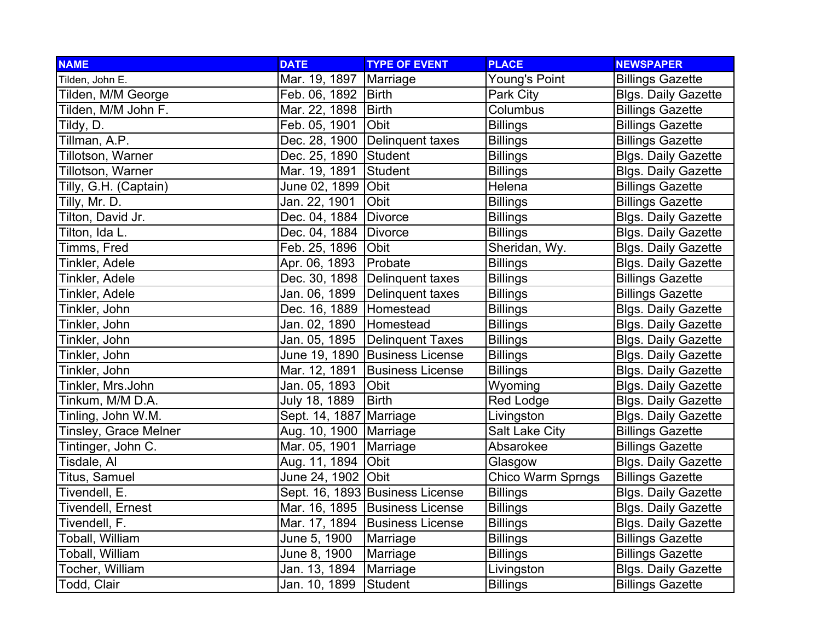| <b>NAME</b>           | <b>DATE</b>               | <b>TYPE OF EVENT</b>             | <b>PLACE</b>          | <b>NEWSPAPER</b>           |
|-----------------------|---------------------------|----------------------------------|-----------------------|----------------------------|
| Tilden, John E.       | Mar. 19, 1897             | Marriage                         | Young's Point         | <b>Billings Gazette</b>    |
| Tilden, M/M George    | Feb. 06, 1892   Birth     |                                  | Park City             | <b>Blgs. Daily Gazette</b> |
| Tilden, M/M John F.   | Mar. 22, 1898   Birth     |                                  | Columbus              | <b>Billings Gazette</b>    |
| Tildy, D.             | Feb. 05, 1901             | Obit                             | <b>Billings</b>       | <b>Billings Gazette</b>    |
| Tillman, A.P.         |                           | Dec. 28, 1900   Delinquent taxes | <b>Billings</b>       | <b>Billings Gazette</b>    |
| Tillotson, Warner     | Dec. 25, 1890 Student     |                                  | <b>Billings</b>       | <b>Blgs. Daily Gazette</b> |
| Tillotson, Warner     | Mar. 19, 1891             | <b>Student</b>                   | <b>Billings</b>       | <b>Blgs. Daily Gazette</b> |
| Tilly, G.H. (Captain) | June 02, 1899 Obit        |                                  | Helena                | <b>Billings Gazette</b>    |
| Tilly, Mr. D.         | Jan. 22, 1901             | Obit                             | <b>Billings</b>       | <b>Billings Gazette</b>    |
| Tilton, David Jr.     | Dec. 04, 1884             | <b>Divorce</b>                   | <b>Billings</b>       | <b>Blgs. Daily Gazette</b> |
| Tilton, Ida L.        | Dec. 04, 1884             | <b>Divorce</b>                   | <b>Billings</b>       | <b>Blgs. Daily Gazette</b> |
| Timms, Fred           | Feb. 25, 1896             | <b>Obit</b>                      | Sheridan, Wy.         | <b>Blgs. Daily Gazette</b> |
| Tinkler, Adele        | Apr. 06, 1893             | Probate                          | <b>Billings</b>       | <b>Blgs. Daily Gazette</b> |
| Tinkler, Adele        |                           | Dec. 30, 1898   Delinquent taxes | <b>Billings</b>       | <b>Billings Gazette</b>    |
| Tinkler, Adele        |                           | Jan. 06, 1899 Delinquent taxes   | <b>Billings</b>       | <b>Billings Gazette</b>    |
| Tinkler, John         | Dec. 16, 1889   Homestead |                                  | <b>Billings</b>       | <b>Blgs. Daily Gazette</b> |
| Tinkler, John         | Jan. 02, 1890 Homestead   |                                  | <b>Billings</b>       | <b>Blgs. Daily Gazette</b> |
| Tinkler, John         |                           | Jan. 05, 1895   Delinquent Taxes | <b>Billings</b>       | <b>Blgs. Daily Gazette</b> |
| Tinkler, John         |                           | June 19, 1890 Business License   | <b>Billings</b>       | <b>Blgs. Daily Gazette</b> |
| Tinkler, John         |                           | Mar. 12, 1891 Business License   | <b>Billings</b>       | <b>Blgs. Daily Gazette</b> |
| Tinkler, Mrs.John     | Jan. 05, 1893             | Obit                             | Wyoming               | <b>Blgs. Daily Gazette</b> |
| Tinkum, M/M D.A.      | July 18, 1889             | <b>Birth</b>                     | Red Lodge             | <b>Blgs. Daily Gazette</b> |
| Tinling, John W.M.    | Sept. 14, 1887 Marriage   |                                  | Livingston            | <b>Blgs. Daily Gazette</b> |
| Tinsley, Grace Melner | Aug. 10, 1900   Marriage  |                                  | <b>Salt Lake City</b> | <b>Billings Gazette</b>    |
| Tintinger, John C.    | Mar. 05, 1901             | Marriage                         | Absarokee             | <b>Billings Gazette</b>    |
| Tisdale, Al           | Aug. 11, 1894             | <b>Obit</b>                      | Glasgow               | <b>Blgs. Daily Gazette</b> |
| Titus, Samuel         | June 24, 1902 Obit        |                                  | Chico Warm Sprngs     | <b>Billings Gazette</b>    |
| Tivendell, E.         |                           | Sept. 16, 1893 Business License  | <b>Billings</b>       | <b>Blgs. Daily Gazette</b> |
| Tivendell, Ernest     |                           | Mar. 16, 1895 Business License   | <b>Billings</b>       | <b>Blgs. Daily Gazette</b> |
| Tivendell, F.         |                           | Mar. 17, 1894 Business License   | <b>Billings</b>       | <b>Blgs. Daily Gazette</b> |
| Toball, William       | June 5, 1900              | Marriage                         | <b>Billings</b>       | <b>Billings Gazette</b>    |
| Toball, William       | June 8, 1900              | Marriage                         | <b>Billings</b>       | <b>Billings Gazette</b>    |
| Tocher, William       | Jan. 13, 1894             | Marriage                         | Livingston            | <b>Blgs. Daily Gazette</b> |
| Todd, Clair           | Jan. 10, 1899             | Student                          | <b>Billings</b>       | <b>Billings Gazette</b>    |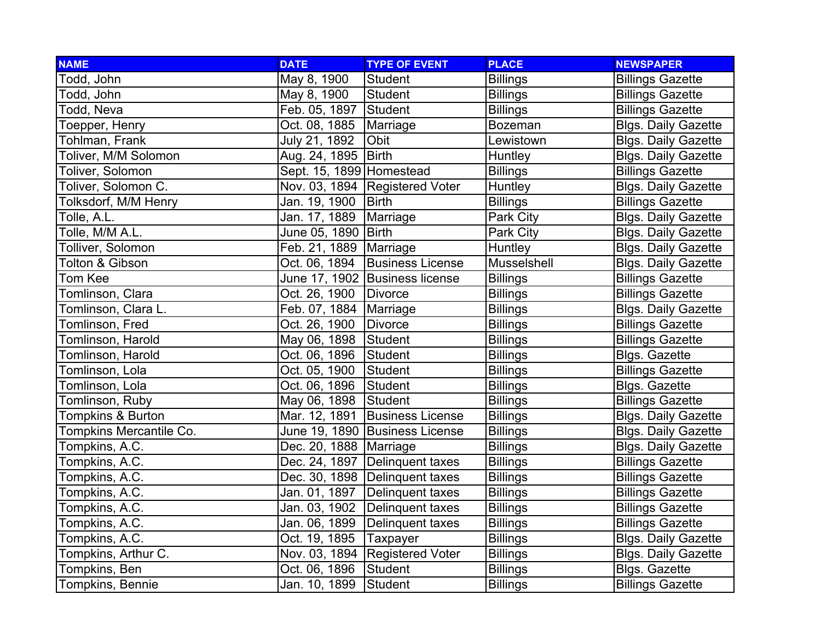| <b>NAME</b>             | <b>DATE</b>              | <b>TYPE OF EVENT</b>             | <b>PLACE</b>    | <b>NEWSPAPER</b>           |
|-------------------------|--------------------------|----------------------------------|-----------------|----------------------------|
| Todd, John              | May 8, 1900              | Student                          | <b>Billings</b> | <b>Billings Gazette</b>    |
| Todd, John              | May 8, 1900              | Student                          | <b>Billings</b> | <b>Billings Gazette</b>    |
| Todd, Neva              | Feb. 05, 1897            | Student                          | <b>Billings</b> | <b>Billings Gazette</b>    |
| Toepper, Henry          | Oct. 08, 1885            | Marriage                         | <b>Bozeman</b>  | <b>Blgs. Daily Gazette</b> |
| Tohlman, Frank          | July 21, 1892            | Obit                             | Lewistown       | <b>Blgs. Daily Gazette</b> |
| Toliver, M/M Solomon    | Aug. 24, 1895   Birth    |                                  | <b>Huntley</b>  | <b>Blgs. Daily Gazette</b> |
| Toliver, Solomon        | Sept. 15, 1899 Homestead |                                  | <b>Billings</b> | <b>Billings Gazette</b>    |
| Toliver, Solomon C.     |                          | Nov. 03, 1894 Registered Voter   | Huntley         | <b>Blgs. Daily Gazette</b> |
| Tolksdorf, M/M Henry    | Jan. 19, 1900            | Birth                            | <b>Billings</b> | <b>Billings Gazette</b>    |
| Tolle, A.L.             | Jan. 17, 1889            | Marriage                         | Park City       | <b>Blgs. Daily Gazette</b> |
| Tolle, M/M A.L.         | June 05, 1890   Birth    |                                  | Park City       | <b>Blgs. Daily Gazette</b> |
| Tolliver, Solomon       | Feb. 21, 1889   Marriage |                                  | Huntley         | <b>Blgs. Daily Gazette</b> |
| Tolton & Gibson         | Oct. 06, 1894            | <b>Business License</b>          | Musselshell     | <b>Blgs. Daily Gazette</b> |
| Tom Kee                 |                          | June 17, 1902 Business license   | <b>Billings</b> | <b>Billings Gazette</b>    |
| Tomlinson, Clara        | Oct. 26, 1900            | Divorce                          | <b>Billings</b> | <b>Billings Gazette</b>    |
| Tomlinson, Clara L.     | Feb. 07, 1884   Marriage |                                  | <b>Billings</b> | <b>Blgs. Daily Gazette</b> |
| Tomlinson, Fred         | Oct. 26, 1900            | Divorce                          | <b>Billings</b> | <b>Billings Gazette</b>    |
| Tomlinson, Harold       | May 06, 1898             | Student                          | <b>Billings</b> | <b>Billings Gazette</b>    |
| Tomlinson, Harold       | Oct. 06, 1896            | Student                          | <b>Billings</b> | Blgs. Gazette              |
| Tomlinson, Lola         | Oct. 05, 1900            | Student                          | <b>Billings</b> | <b>Billings Gazette</b>    |
| Tomlinson, Lola         | Oct. 06, 1896            | Student                          | <b>Billings</b> | Blgs. Gazette              |
| Tomlinson, Ruby         | May 06, 1898             | Student                          | <b>Billings</b> | <b>Billings Gazette</b>    |
| Tompkins & Burton       |                          | Mar. 12, 1891 Business License   | <b>Billings</b> | <b>Blgs. Daily Gazette</b> |
| Tompkins Mercantile Co. |                          | June 19, 1890 Business License   | <b>Billings</b> | <b>Blgs. Daily Gazette</b> |
| Tompkins, A.C.          | Dec. 20, 1888   Marriage |                                  | <b>Billings</b> | <b>Blgs. Daily Gazette</b> |
| Tompkins, A.C.          |                          | Dec. 24, 1897   Delinquent taxes | <b>Billings</b> | <b>Billings Gazette</b>    |
| Tompkins, A.C.          |                          | Dec. 30, 1898 Delinquent taxes   | <b>Billings</b> | <b>Billings Gazette</b>    |
| Tompkins, A.C.          |                          | Jan. 01, 1897 Delinquent taxes   | <b>Billings</b> | <b>Billings Gazette</b>    |
| Tompkins, A.C.          |                          | Jan. 03, 1902 Delinquent taxes   | <b>Billings</b> | <b>Billings Gazette</b>    |
| Tompkins, A.C.          | Jan. 06, 1899            | Delinquent taxes                 | <b>Billings</b> | <b>Billings Gazette</b>    |
| Tompkins, A.C.          | Oct. 19, 1895            | Taxpayer                         | <b>Billings</b> | <b>Blgs. Daily Gazette</b> |
| Tompkins, Arthur C.     |                          | Nov. 03, 1894 Registered Voter   | <b>Billings</b> | <b>Blgs. Daily Gazette</b> |
| Tompkins, Ben           | Oct. 06, 1896            | Student                          | <b>Billings</b> | Blgs. Gazette              |
| Tompkins, Bennie        | Jan. 10, 1899            | Student                          | <b>Billings</b> | <b>Billings Gazette</b>    |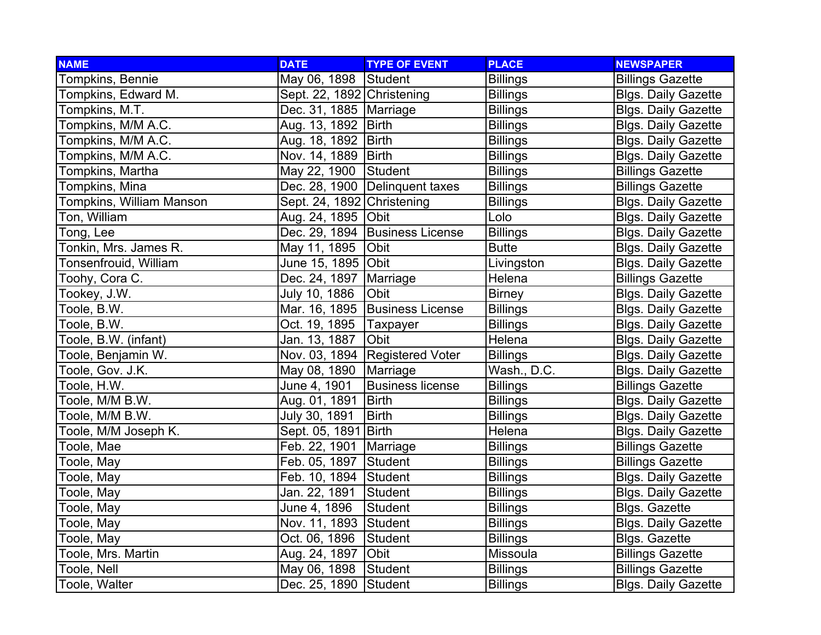| <b>NAME</b>                     | <b>DATE</b>                | <b>TYPE OF EVENT</b>             | <b>PLACE</b>    | <b>NEWSPAPER</b>           |
|---------------------------------|----------------------------|----------------------------------|-----------------|----------------------------|
| Tompkins, Bennie                | May 06, 1898 Student       |                                  | <b>Billings</b> | <b>Billings Gazette</b>    |
| Tompkins, Edward M.             | Sept. 22, 1892 Christening |                                  | <b>Billings</b> | <b>Blgs. Daily Gazette</b> |
| Tompkins, M.T.                  | Dec. 31, 1885   Marriage   |                                  | <b>Billings</b> | <b>Blgs. Daily Gazette</b> |
| Tompkins, M/M A.C.              | Aug. 13, 1892   Birth      |                                  | <b>Billings</b> | <b>Blgs. Daily Gazette</b> |
| Tompkins, M/M A.C.              | Aug. 18, 1892   Birth      |                                  | <b>Billings</b> | <b>Blgs. Daily Gazette</b> |
| Tompkins, M/M A.C.              | Nov. 14, 1889   Birth      |                                  | <b>Billings</b> | <b>Blgs. Daily Gazette</b> |
| Tompkins, Martha                | May 22, 1900               | Student                          | <b>Billings</b> | <b>Billings Gazette</b>    |
| Tompkins, Mina                  |                            | Dec. 28, 1900   Delinquent taxes | <b>Billings</b> | <b>Billings Gazette</b>    |
| <b>Tompkins, William Manson</b> | Sept. 24, 1892 Christening |                                  | <b>Billings</b> | <b>Blgs. Daily Gazette</b> |
| <b>Ton, William</b>             | Aug. 24, 1895   Obit       |                                  | Lolo            | <b>Blgs. Daily Gazette</b> |
| Tong, Lee                       |                            | Dec. 29, 1894 Business License   | <b>Billings</b> | <b>Blgs. Daily Gazette</b> |
| Tonkin, Mrs. James R.           | May 11, 1895               | Obit                             | <b>Butte</b>    | <b>Blgs. Daily Gazette</b> |
| <b>Tonsenfrouid, William</b>    | June 15, 1895 Obit         |                                  | Livingston      | <b>Blgs. Daily Gazette</b> |
| Toohy, Cora C.                  | Dec. 24, 1897   Marriage   |                                  | Helena          | <b>Billings Gazette</b>    |
| Tookey, J.W.                    | July 10, 1886              | Obit                             | <b>Birney</b>   | <b>Blgs. Daily Gazette</b> |
| Toole, B.W.                     |                            | Mar. 16, 1895   Business License | <b>Billings</b> | <b>Blgs. Daily Gazette</b> |
| Toole, B.W.                     | Oct. 19, 1895              | Taxpayer                         | <b>Billings</b> | <b>Blgs. Daily Gazette</b> |
| Toole, B.W. (infant)            | Jan. 13, 1887              | <b>Obit</b>                      | Helena          | <b>Blgs. Daily Gazette</b> |
| Toole, Benjamin W.              |                            | Nov. 03, 1894 Registered Voter   | <b>Billings</b> | <b>Blgs. Daily Gazette</b> |
| Toole, Gov. J.K.                | May 08, 1890               | Marriage                         | Wash., D.C.     | <b>Blgs. Daily Gazette</b> |
| Toole, H.W.                     | June 4, 1901               | <b>Business license</b>          | <b>Billings</b> | <b>Billings Gazette</b>    |
| Toole, M/M B.W.                 | Aug. 01, 1891              | <b>Birth</b>                     | <b>Billings</b> | <b>Blgs. Daily Gazette</b> |
| Toole, M/M B.W.                 | July 30, 1891              | <b>Birth</b>                     | <b>Billings</b> | <b>Blgs. Daily Gazette</b> |
| Toole, M/M Joseph K.            | Sept. 05, 1891 Birth       |                                  | Helena          | <b>Blgs. Daily Gazette</b> |
| Toole, Mae                      | Feb. 22, 1901              | Marriage                         | <b>Billings</b> | <b>Billings Gazette</b>    |
| Toole, May                      | Feb. 05, 1897              | Student                          | <b>Billings</b> | <b>Billings Gazette</b>    |
| Toole, May                      | Feb. 10, 1894              | Student                          | <b>Billings</b> | <b>Blgs. Daily Gazette</b> |
| Toole, May                      | Jan. 22, 1891              | Student                          | <b>Billings</b> | <b>Blgs. Daily Gazette</b> |
| Toole, May                      | June 4, 1896               | Student                          | <b>Billings</b> | <b>Blgs. Gazette</b>       |
| Toole, May                      | Nov. 11, 1893 Student      |                                  | <b>Billings</b> | <b>Blgs. Daily Gazette</b> |
| Toole, May                      | Oct. 06, 1896              | Student                          | <b>Billings</b> | <b>Blgs. Gazette</b>       |
| Toole, Mrs. Martin              | Aug. 24, 1897              | <b>Obit</b>                      | Missoula        | <b>Billings Gazette</b>    |
| Toole, Nell                     | May 06, 1898               | Student                          | <b>Billings</b> | <b>Billings Gazette</b>    |
| Toole, Walter                   | Dec. 25, 1890 Student      |                                  | <b>Billings</b> | <b>Blgs. Daily Gazette</b> |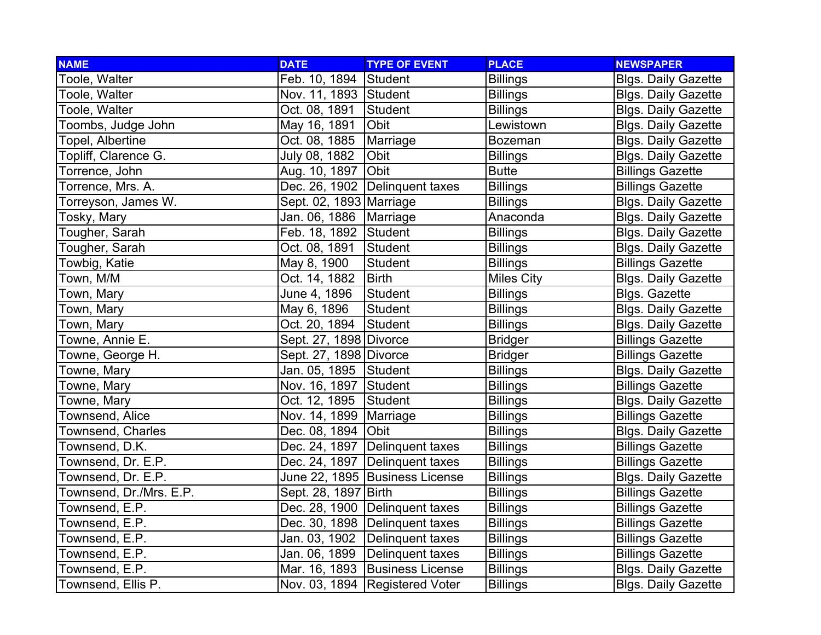| <b>NAME</b>             | <b>DATE</b>              | <b>TYPE OF EVENT</b>             | <b>PLACE</b>      | <b>NEWSPAPER</b>           |
|-------------------------|--------------------------|----------------------------------|-------------------|----------------------------|
| Toole, Walter           | Feb. 10, 1894 Student    |                                  | <b>Billings</b>   | <b>Blgs. Daily Gazette</b> |
| Toole, Walter           | Nov. 11, 1893 Student    |                                  | <b>Billings</b>   | <b>Blgs. Daily Gazette</b> |
| Toole, Walter           | Oct. 08, 1891            | Student                          | <b>Billings</b>   | <b>Blgs. Daily Gazette</b> |
| Toombs, Judge John      | May 16, 1891             | <b>Obit</b>                      | Lewistown         | <b>Blgs. Daily Gazette</b> |
| Topel, Albertine        | Oct. 08, 1885            | Marriage                         | <b>Bozeman</b>    | <b>Blgs. Daily Gazette</b> |
| Topliff, Clarence G.    | July 08, 1882            | Obit                             | <b>Billings</b>   | <b>Blgs. Daily Gazette</b> |
| Torrence, John          | Aug. 10, 1897            | Obit                             | <b>Butte</b>      | <b>Billings Gazette</b>    |
| Torrence, Mrs. A.       |                          | Dec. 26, 1902 Delinquent taxes   | <b>Billings</b>   | <b>Billings Gazette</b>    |
| Torreyson, James W.     | Sept. 02, 1893 Marriage  |                                  | <b>Billings</b>   | <b>Blgs. Daily Gazette</b> |
| <b>Tosky, Mary</b>      | Jan. 06, 1886   Marriage |                                  | Anaconda          | <b>Blgs. Daily Gazette</b> |
| Tougher, Sarah          | Feb. 18, 1892 Student    |                                  | <b>Billings</b>   | <b>Blgs. Daily Gazette</b> |
| Tougher, Sarah          | Oct. 08, 1891            | Student                          | <b>Billings</b>   | <b>Blgs. Daily Gazette</b> |
| Towbig, Katie           | May 8, 1900              | <b>Student</b>                   | <b>Billings</b>   | <b>Billings Gazette</b>    |
| Town, M/M               | Oct. 14, 1882            | <b>Birth</b>                     | <b>Miles City</b> | <b>Blgs. Daily Gazette</b> |
| Town, Mary              | June 4, 1896             | Student                          | <b>Billings</b>   | <b>Blgs. Gazette</b>       |
| Town, Mary              | May 6, 1896              | <b>Student</b>                   | <b>Billings</b>   | <b>Blgs. Daily Gazette</b> |
| Town, Mary              | Oct. 20, 1894            | Student                          | <b>Billings</b>   | <b>Blgs. Daily Gazette</b> |
| Towne, Annie E.         | Sept. 27, 1898 Divorce   |                                  | <b>Bridger</b>    | <b>Billings Gazette</b>    |
| Towne, George H.        | Sept. 27, 1898 Divorce   |                                  | <b>Bridger</b>    | <b>Billings Gazette</b>    |
| Towne, Mary             | Jan. 05, 1895 Student    |                                  | <b>Billings</b>   | <b>Blgs. Daily Gazette</b> |
| Towne, Mary             | Nov. 16, 1897 Student    |                                  | <b>Billings</b>   | <b>Billings Gazette</b>    |
| Towne, Mary             | Oct. 12, 1895 Student    |                                  | <b>Billings</b>   | <b>Blgs. Daily Gazette</b> |
| Townsend, Alice         | Nov. 14, 1899   Marriage |                                  | <b>Billings</b>   | <b>Billings Gazette</b>    |
| Townsend, Charles       | Dec. 08, 1894            | <b>Obit</b>                      | <b>Billings</b>   | <b>Blgs. Daily Gazette</b> |
| Townsend, D.K.          |                          | Dec. 24, 1897   Delinquent taxes | <b>Billings</b>   | <b>Billings Gazette</b>    |
| Townsend, Dr. E.P.      |                          | Dec. 24, 1897   Delinquent taxes | <b>Billings</b>   | <b>Billings Gazette</b>    |
| Townsend, Dr. E.P.      |                          | June 22, 1895 Business License   | <b>Billings</b>   | <b>Blgs. Daily Gazette</b> |
| Townsend, Dr./Mrs. E.P. | Sept. 28, 1897   Birth   |                                  | <b>Billings</b>   | <b>Billings Gazette</b>    |
| Townsend, E.P.          |                          | Dec. 28, 1900   Delinquent taxes | <b>Billings</b>   | <b>Billings Gazette</b>    |
| Townsend, E.P.          |                          | Dec. 30, 1898   Delinquent taxes | <b>Billings</b>   | <b>Billings Gazette</b>    |
| Townsend, E.P.          |                          | Jan. 03, 1902 Delinquent taxes   | <b>Billings</b>   | <b>Billings Gazette</b>    |
| Townsend, E.P.          |                          | Jan. 06, 1899 Delinquent taxes   | <b>Billings</b>   | <b>Billings Gazette</b>    |
| Townsend, E.P.          |                          | Mar. 16, 1893 Business License   | <b>Billings</b>   | <b>Blgs. Daily Gazette</b> |
| Townsend, Ellis P.      |                          | Nov. 03, 1894   Registered Voter | <b>Billings</b>   | <b>Blgs. Daily Gazette</b> |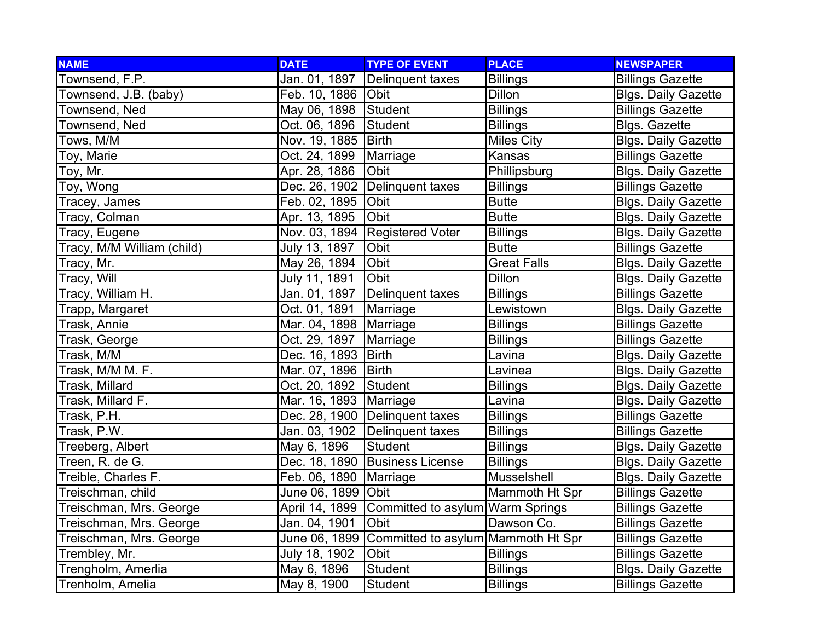| <b>NAME</b>                | <b>DATE</b>              | <b>TYPE OF EVENT</b>                             | <b>PLACE</b>       | <b>NEWSPAPER</b>           |
|----------------------------|--------------------------|--------------------------------------------------|--------------------|----------------------------|
| Townsend, F.P.             | Jan. 01, 1897            | Delinquent taxes                                 | <b>Billings</b>    | <b>Billings Gazette</b>    |
| Townsend, J.B. (baby)      | Feb. 10, 1886 Obit       |                                                  | Dillon             | <b>Blgs. Daily Gazette</b> |
| Townsend, Ned              | May 06, 1898 Student     |                                                  | <b>Billings</b>    | <b>Billings Gazette</b>    |
| Townsend, Ned              | Oct. 06, 1896            | Student                                          | <b>Billings</b>    | <b>Blgs. Gazette</b>       |
| Tows, $M/M$                | Nov. 19, 1885   Birth    |                                                  | <b>Miles City</b>  | <b>Blgs. Daily Gazette</b> |
| Toy, Marie                 | Oct. 24, 1899            | Marriage                                         | Kansas             | <b>Billings Gazette</b>    |
| Toy, Mr.                   | Apr. 28, 1886            | Obit                                             | Phillipsburg       | <b>Blgs. Daily Gazette</b> |
| Toy, Wong                  | Dec. 26, 1902            | Delinquent taxes                                 | <b>Billings</b>    | <b>Billings Gazette</b>    |
| Tracey, James              | Feb. 02, 1895            | Obit                                             | <b>Butte</b>       | <b>Blgs. Daily Gazette</b> |
| Tracy, Colman              | Apr. 13, 1895            | <b>Obit</b>                                      | <b>Butte</b>       | <b>Blgs. Daily Gazette</b> |
| Tracy, Eugene              |                          | Nov. 03, 1894 Registered Voter                   | <b>Billings</b>    | <b>Blgs. Daily Gazette</b> |
| Tracy, M/M William (child) | July 13, 1897            | Obit                                             | <b>Butte</b>       | <b>Billings Gazette</b>    |
| Tracy, Mr.                 | May 26, 1894             | Obit                                             | <b>Great Falls</b> | <b>Blgs. Daily Gazette</b> |
| Tracy, Will                | July 11, 1891            | Obit                                             | <b>Dillon</b>      | <b>Blgs. Daily Gazette</b> |
| Tracy, William H.          | Jan. 01, 1897            | Delinquent taxes                                 | <b>Billings</b>    | <b>Billings Gazette</b>    |
| Trapp, Margaret            | Oct. 01, 1891            | Marriage                                         | Lewistown          | <b>Blgs. Daily Gazette</b> |
| Trask, Annie               | Mar. 04, 1898   Marriage |                                                  | <b>Billings</b>    | <b>Billings Gazette</b>    |
| Trask, George              | Oct. 29, 1897            | Marriage                                         | <b>Billings</b>    | <b>Billings Gazette</b>    |
| Trask, M/M                 | Dec. 16, 1893            | <b>Birth</b>                                     | Lavina             | <b>Blgs. Daily Gazette</b> |
| Trask, M/M M. F.           | Mar. 07, 1896   Birth    |                                                  | Lavinea            | <b>Blgs. Daily Gazette</b> |
| Trask, Millard             | Oct. 20, 1892            | Student                                          | <b>Billings</b>    | <b>Blgs. Daily Gazette</b> |
| Trask, Millard F.          | Mar. 16, 1893   Marriage |                                                  | Lavina             | <b>Blgs. Daily Gazette</b> |
| Trask, P.H.                |                          | Dec. 28, 1900   Delinquent taxes                 | <b>Billings</b>    | <b>Billings Gazette</b>    |
| Trask, P.W.                | Jan. 03, 1902            | Delinquent taxes                                 | <b>Billings</b>    | <b>Billings Gazette</b>    |
| Treeberg, Albert           | May 6, 1896              | Student                                          | <b>Billings</b>    | <b>Blgs. Daily Gazette</b> |
| Treen, R. de G.            |                          | Dec. 18, 1890 Business License                   | <b>Billings</b>    | <b>Blgs. Daily Gazette</b> |
| Treible, Charles F.        | Feb. 06, 1890            | Marriage                                         | Musselshell        | <b>Blgs. Daily Gazette</b> |
| Treischman, child          | June 06, 1899   Obit     |                                                  | Mammoth Ht Spr     | <b>Billings Gazette</b>    |
| Treischman, Mrs. George    | April 14, 1899           | Committed to asylum Warm Springs                 |                    | <b>Billings Gazette</b>    |
| Treischman, Mrs. George    | Jan. 04, 1901            | Obit                                             | Dawson Co.         | <b>Billings Gazette</b>    |
| Treischman, Mrs. George    |                          | June 06, 1899 Committed to asylum Mammoth Ht Spr |                    | <b>Billings Gazette</b>    |
| Trembley, Mr.              | July 18, 1902            | Obit                                             | <b>Billings</b>    | <b>Billings Gazette</b>    |
| Trengholm, Amerlia         | May 6, 1896              | Student                                          | <b>Billings</b>    | <b>Blgs. Daily Gazette</b> |
| Trenholm, Amelia           | May 8, 1900              | Student                                          | <b>Billings</b>    | <b>Billings Gazette</b>    |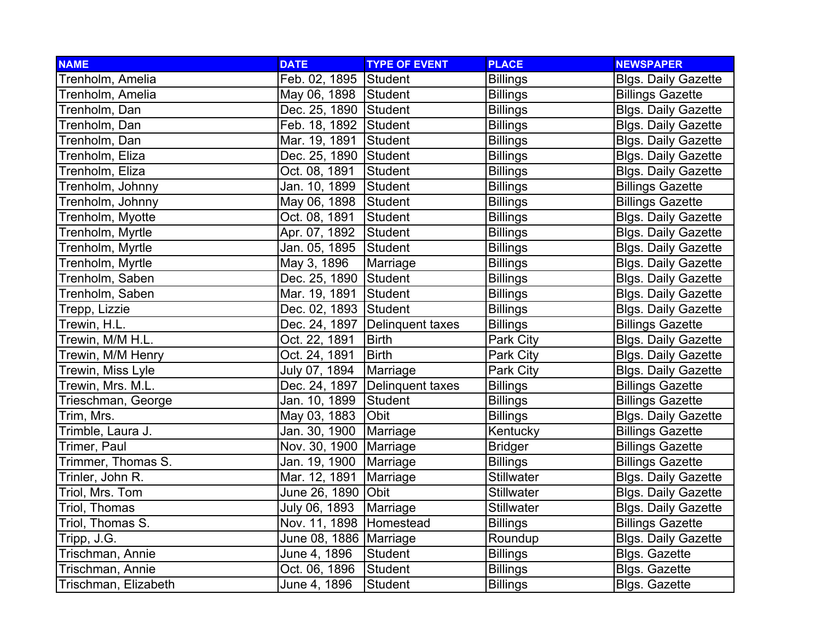| <b>NAME</b>          | <b>DATE</b>               | <b>TYPE OF EVENT</b>             | <b>PLACE</b>      | <b>NEWSPAPER</b>           |
|----------------------|---------------------------|----------------------------------|-------------------|----------------------------|
| Trenholm, Amelia     | Feb. 02, 1895 Student     |                                  | <b>Billings</b>   | <b>Blgs. Daily Gazette</b> |
| Trenholm, Amelia     | May 06, 1898 Student      |                                  | <b>Billings</b>   | <b>Billings Gazette</b>    |
| Trenholm, Dan        | Dec. 25, 1890 Student     |                                  | <b>Billings</b>   | <b>Blgs. Daily Gazette</b> |
| Trenholm, Dan        | Feb. 18, 1892 Student     |                                  | <b>Billings</b>   | <b>Blgs. Daily Gazette</b> |
| Trenholm, Dan        | Mar. 19, 1891 Student     |                                  | <b>Billings</b>   | <b>Blgs. Daily Gazette</b> |
| Trenholm, Eliza      | Dec. 25, 1890 Student     |                                  | <b>Billings</b>   | <b>Blgs. Daily Gazette</b> |
| Trenholm, Eliza      | Oct. 08, 1891             | Student                          | <b>Billings</b>   | <b>Blgs. Daily Gazette</b> |
| Trenholm, Johnny     | Jan. 10, 1899             | Student                          | <b>Billings</b>   | <b>Billings Gazette</b>    |
| Trenholm, Johnny     | May 06, 1898              | Student                          | <b>Billings</b>   | <b>Billings Gazette</b>    |
| Trenholm, Myotte     | Oct. 08, 1891             | <b>Student</b>                   | <b>Billings</b>   | <b>Blgs. Daily Gazette</b> |
| Trenholm, Myrtle     | Apr. 07, 1892             | Student                          | <b>Billings</b>   | <b>Blgs. Daily Gazette</b> |
| Trenholm, Myrtle     | Jan. 05, 1895             | Student                          | <b>Billings</b>   | <b>Blgs. Daily Gazette</b> |
| Trenholm, Myrtle     | May 3, 1896               | Marriage                         | <b>Billings</b>   | <b>Blgs. Daily Gazette</b> |
| Trenholm, Saben      | Dec. 25, 1890 Student     |                                  | <b>Billings</b>   | <b>Blgs. Daily Gazette</b> |
| Trenholm, Saben      | Mar. 19, 1891             | Student                          | <b>Billings</b>   | <b>Blgs. Daily Gazette</b> |
| Trepp, Lizzie        | Dec. 02, 1893 Student     |                                  | <b>Billings</b>   | <b>Blgs. Daily Gazette</b> |
| Trewin, H.L.         |                           | Dec. 24, 1897   Delinquent taxes | <b>Billings</b>   | <b>Billings Gazette</b>    |
| Trewin, M/M H.L.     | Oct. 22, 1891             | <b>Birth</b>                     | Park City         | <b>Blgs. Daily Gazette</b> |
| Trewin, M/M Henry    | Oct. 24, 1891             | <b>Birth</b>                     | Park City         | <b>Blgs. Daily Gazette</b> |
| Trewin, Miss Lyle    | July 07, 1894             | Marriage                         | Park City         | <b>Blgs. Daily Gazette</b> |
| Trewin, Mrs. M.L.    |                           | Dec. 24, 1897   Delinquent taxes | <b>Billings</b>   | <b>Billings Gazette</b>    |
| Trieschman, George   | Jan. 10, 1899             | Student                          | <b>Billings</b>   | <b>Billings Gazette</b>    |
| Trim, Mrs.           | May 03, 1883              | Obit                             | <b>Billings</b>   | <b>Blgs. Daily Gazette</b> |
| Trimble, Laura J.    | Jan. 30, 1900             | Marriage                         | Kentucky          | <b>Billings Gazette</b>    |
| Trimer, Paul         | Nov. 30, 1900   Marriage  |                                  | <b>Bridger</b>    | <b>Billings Gazette</b>    |
| Trimmer, Thomas S.   | Jan. 19, 1900   Marriage  |                                  | <b>Billings</b>   | <b>Billings Gazette</b>    |
| Trinler, John R.     | Mar. 12, 1891             | Marriage                         | <b>Stillwater</b> | <b>Blgs. Daily Gazette</b> |
| Triol, Mrs. Tom      | June 26, 1890   Obit      |                                  | <b>Stillwater</b> | <b>Blgs. Daily Gazette</b> |
| Triol, Thomas        | July 06, 1893             | Marriage                         | <b>Stillwater</b> | <b>Blgs. Daily Gazette</b> |
| Triol, Thomas S.     | Nov. 11, 1898   Homestead |                                  | <b>Billings</b>   | <b>Billings Gazette</b>    |
| Tripp, J.G.          | June 08, 1886   Marriage  |                                  | Roundup           | <b>Blgs. Daily Gazette</b> |
| Trischman, Annie     | June 4, 1896              | Student                          | <b>Billings</b>   | <b>Blgs. Gazette</b>       |
| Trischman, Annie     | Oct. 06, 1896             | Student                          | <b>Billings</b>   | Blgs. Gazette              |
| Trischman, Elizabeth | June 4, 1896              | Student                          | <b>Billings</b>   | <b>Blgs. Gazette</b>       |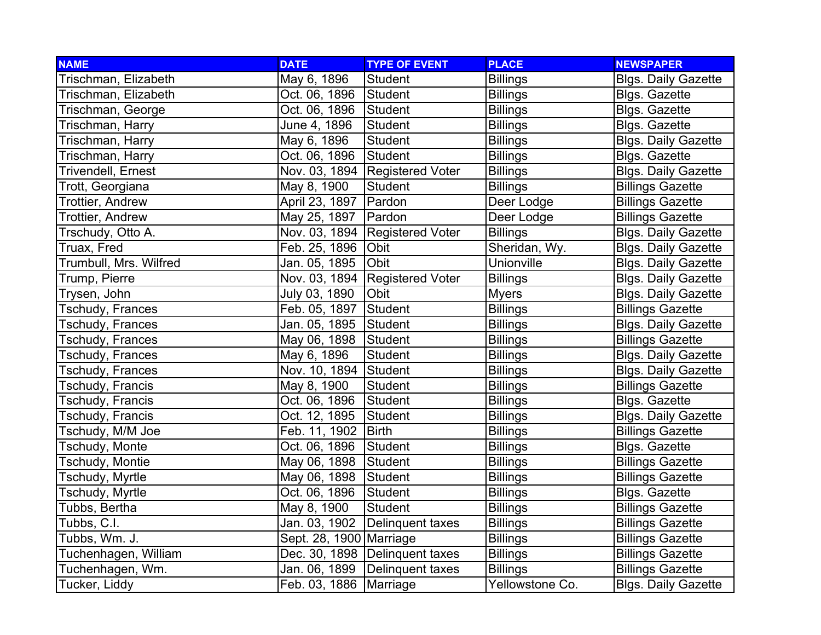| <b>NAME</b>            | <b>DATE</b>              | <b>TYPE OF EVENT</b>           | <b>PLACE</b>    | <b>NEWSPAPER</b>           |
|------------------------|--------------------------|--------------------------------|-----------------|----------------------------|
| Trischman, Elizabeth   | May 6, 1896              | <b>Student</b>                 | <b>Billings</b> | <b>Blgs. Daily Gazette</b> |
| Trischman, Elizabeth   | Oct. 06, 1896            | Student                        | <b>Billings</b> | <b>Blgs. Gazette</b>       |
| Trischman, George      | Oct. 06, 1896            | Student                        | <b>Billings</b> | <b>Blgs. Gazette</b>       |
| Trischman, Harry       | June 4, 1896             | Student                        | <b>Billings</b> | Blgs. Gazette              |
| Trischman, Harry       | May 6, 1896              | Student                        | <b>Billings</b> | <b>Blgs. Daily Gazette</b> |
| Trischman, Harry       | Oct. 06, 1896            | Student                        | <b>Billings</b> | <b>Blgs. Gazette</b>       |
| Trivendell, Ernest     |                          | Nov. 03, 1894 Registered Voter | <b>Billings</b> | <b>Blgs. Daily Gazette</b> |
| Trott, Georgiana       | May 8, 1900              | Student                        | <b>Billings</b> | <b>Billings Gazette</b>    |
| Trottier, Andrew       | April 23, 1897           | Pardon                         | Deer Lodge      | <b>Billings Gazette</b>    |
| Trottier, Andrew       | May 25, 1897             | Pardon                         | Deer Lodge      | <b>Billings Gazette</b>    |
| Trschudy, Otto A.      | Nov. 03, 1894            | <b>Registered Voter</b>        | <b>Billings</b> | <b>Blgs. Daily Gazette</b> |
| Truax, Fred            | Feb. 25, 1896            | <b>Obit</b>                    | Sheridan, Wy.   | <b>Blgs. Daily Gazette</b> |
| Trumbull, Mrs. Wilfred | Jan. 05, 1895            | Obit                           | Unionville      | <b>Blgs. Daily Gazette</b> |
| Trump, Pierre          |                          | Nov. 03, 1894 Registered Voter | <b>Billings</b> | <b>Blgs. Daily Gazette</b> |
| Trysen, John           | July 03, 1890            | Obit                           | <b>Myers</b>    | <b>Blgs. Daily Gazette</b> |
| Tschudy, Frances       | Feb. 05, 1897 Student    |                                | <b>Billings</b> | <b>Billings Gazette</b>    |
| Tschudy, Frances       | Jan. 05, 1895            | Student                        | <b>Billings</b> | <b>Blgs. Daily Gazette</b> |
| Tschudy, Frances       | May 06, 1898 Student     |                                | <b>Billings</b> | <b>Billings Gazette</b>    |
| Tschudy, Frances       | May 6, 1896              | Student                        | <b>Billings</b> | <b>Blgs. Daily Gazette</b> |
| Tschudy, Frances       | Nov. 10, 1894 Student    |                                | <b>Billings</b> | <b>Blgs. Daily Gazette</b> |
| Tschudy, Francis       | May 8, 1900              | Student                        | <b>Billings</b> | <b>Billings Gazette</b>    |
| Tschudy, Francis       | Oct. 06, 1896            | Student                        | <b>Billings</b> | Blgs. Gazette              |
| Tschudy, Francis       | Oct. 12, 1895            | Student                        | <b>Billings</b> | <b>Blgs. Daily Gazette</b> |
| Tschudy, M/M Joe       | Feb. 11, 1902            | <b>Birth</b>                   | <b>Billings</b> | <b>Billings Gazette</b>    |
| Tschudy, Monte         | Oct. 06, 1896            | Student                        | <b>Billings</b> | Blgs. Gazette              |
| Tschudy, Montie        | May 06, 1898             | Student                        | <b>Billings</b> | <b>Billings Gazette</b>    |
| Tschudy, Myrtle        | May 06, 1898             | Student                        | <b>Billings</b> | <b>Billings Gazette</b>    |
| Tschudy, Myrtle        | Oct. 06, 1896            | Student                        | <b>Billings</b> | <b>Blgs. Gazette</b>       |
| Tubbs, Bertha          | May 8, 1900              | Student                        | <b>Billings</b> | <b>Billings Gazette</b>    |
| Tubbs, C.I.            | Jan. 03, 1902            | Delinquent taxes               | <b>Billings</b> | <b>Billings Gazette</b>    |
| Tubbs, Wm. J.          | Sept. 28, 1900 Marriage  |                                | <b>Billings</b> | <b>Billings Gazette</b>    |
| Tuchenhagen, William   |                          | Dec. 30, 1898 Delinquent taxes | <b>Billings</b> | <b>Billings Gazette</b>    |
| Tuchenhagen, Wm.       |                          | Jan. 06, 1899 Delinquent taxes | <b>Billings</b> | <b>Billings Gazette</b>    |
| Tucker, Liddy          | Feb. 03, 1886   Marriage |                                | Yellowstone Co. | <b>Blgs. Daily Gazette</b> |